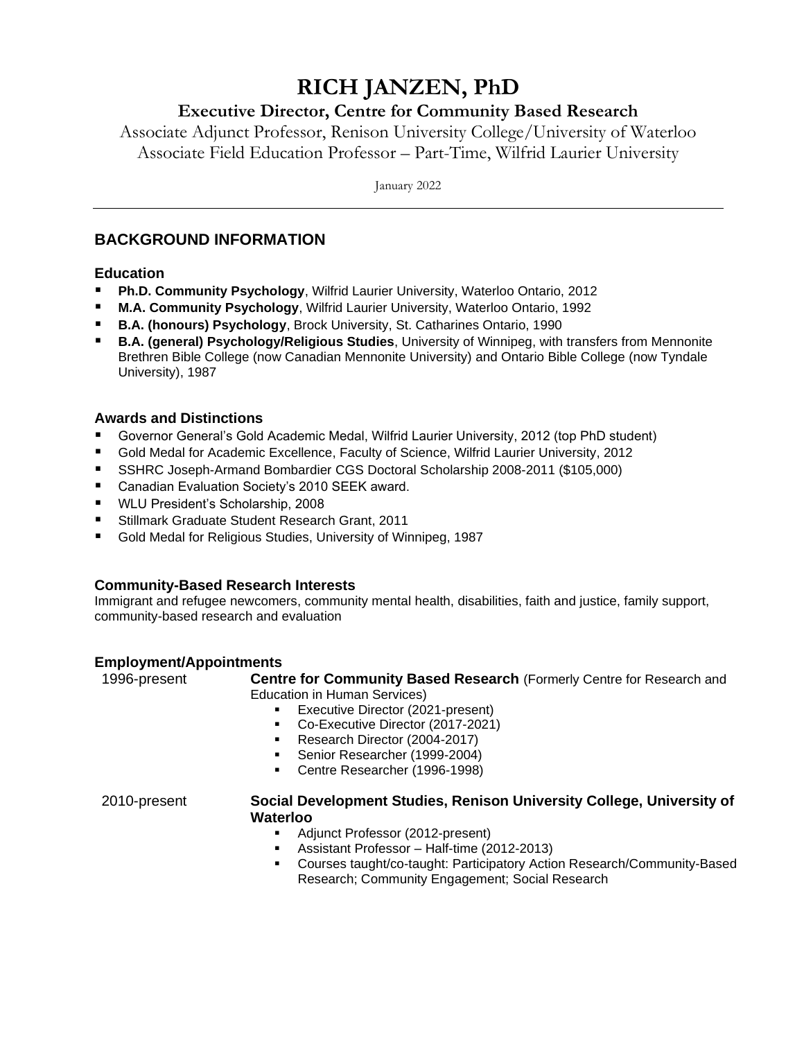# **RICH JANZEN, PhD**

## **Executive Director, Centre for Community Based Research**

Associate Adjunct Professor, Renison University College/University of Waterloo Associate Field Education Professor – Part-Time, Wilfrid Laurier University

January 2022

## **BACKGROUND INFORMATION**

## **Education**

- **Ph.D. Community Psychology**, Wilfrid Laurier University, Waterloo Ontario, 2012
- **M.A. Community Psychology**, Wilfrid Laurier University, Waterloo Ontario, 1992
- **B.A. (honours) Psychology**, Brock University, St. Catharines Ontario, 1990
- **B.A. (general) Psychology/Religious Studies**, University of Winnipeg, with transfers from Mennonite Brethren Bible College (now Canadian Mennonite University) and Ontario Bible College (now Tyndale University), 1987

## **Awards and Distinctions**

- Governor General's Gold Academic Medal, Wilfrid Laurier University, 2012 (top PhD student)
- Gold Medal for Academic Excellence, Faculty of Science, Wilfrid Laurier University, 2012
- SSHRC Joseph-Armand Bombardier CGS Doctoral Scholarship 2008-2011 (\$105,000)
- Canadian Evaluation Society's 2010 SEEK award.
- WLU President's Scholarship, 2008
- Stillmark Graduate Student Research Grant, 2011
- Gold Medal for Religious Studies, University of Winnipeg, 1987

## **Community-Based Research Interests**

Immigrant and refugee newcomers, community mental health, disabilities, faith and justice, family support, community-based research and evaluation

## **Employment/Appointments**

1996-present **Centre for Community Based Research** (Formerly Centre for Research and Education in Human Services)

- Executive Director (2021-present)
- Co-Executive Director (2017-2021)
- Research Director (2004-2017)
- Senior Researcher (1999-2004)
- Centre Researcher (1996-1998)

### 2010-present **Social Development Studies, Renison University College, University of Waterloo**

- Adjunct Professor (2012-present)<br>■ Assistant Professor Half-time (2
- Assistant Professor Half-time (2012-2013)
- Courses taught/co-taught: Participatory Action Research/Community-Based Research; Community Engagement; Social Research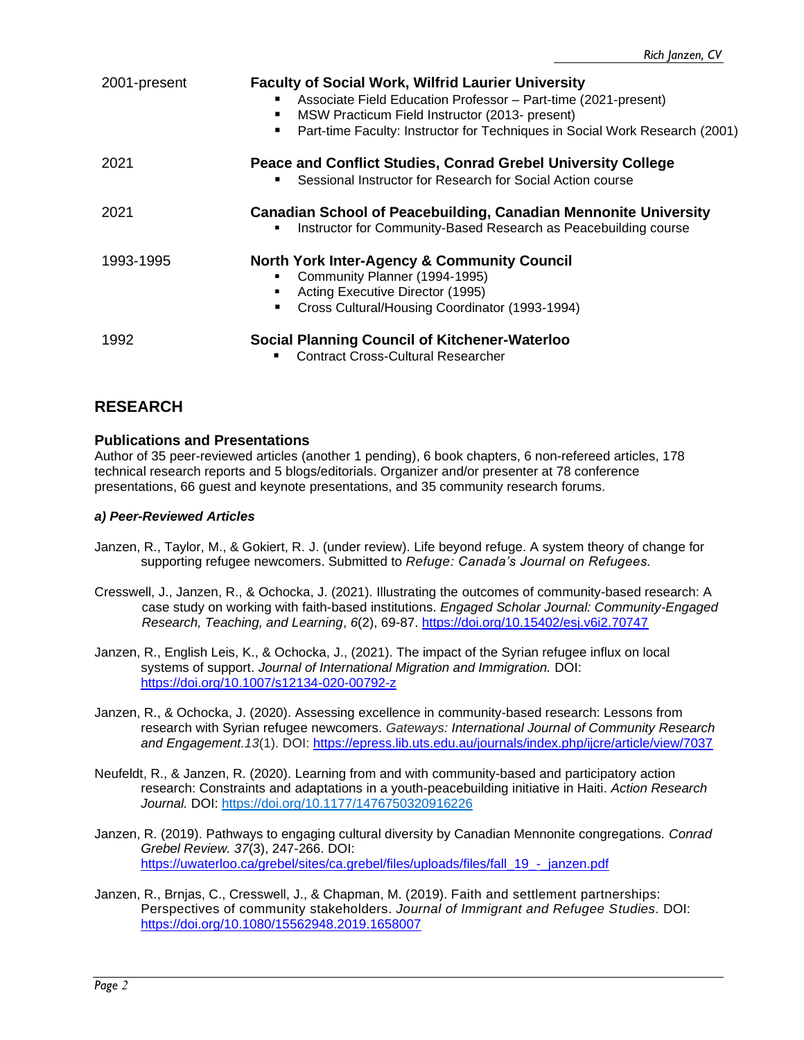| 2001-present | <b>Faculty of Social Work, Wilfrid Laurier University</b><br>Associate Field Education Professor - Part-time (2021-present)<br>MSW Practicum Field Instructor (2013- present)<br>٠<br>Part-time Faculty: Instructor for Techniques in Social Work Research (2001) |
|--------------|-------------------------------------------------------------------------------------------------------------------------------------------------------------------------------------------------------------------------------------------------------------------|
| 2021         | Peace and Conflict Studies, Conrad Grebel University College<br>Sessional Instructor for Research for Social Action course                                                                                                                                        |
| 2021         | <b>Canadian School of Peacebuilding, Canadian Mennonite University</b><br>Instructor for Community-Based Research as Peacebuilding course                                                                                                                         |
| 1993-1995    | <b>North York Inter-Agency &amp; Community Council</b><br>Community Planner (1994-1995)<br>Acting Executive Director (1995)<br>Cross Cultural/Housing Coordinator (1993-1994)                                                                                     |
| 1992         | <b>Social Planning Council of Kitchener-Waterloo</b><br><b>Contract Cross-Cultural Researcher</b>                                                                                                                                                                 |

## **RESEARCH**

## **Publications and Presentations**

Author of 35 peer-reviewed articles (another 1 pending), 6 book chapters, 6 non-refereed articles, 178 technical research reports and 5 blogs/editorials. Organizer and/or presenter at 78 conference presentations, 66 guest and keynote presentations, and 35 community research forums.

## *a) Peer-Reviewed Articles*

- Janzen, R., Taylor, M., & Gokiert, R. J. (under review). Life beyond refuge. A system theory of change for supporting refugee newcomers. Submitted to *Refuge: Canada's Journal on Refugees.*
- Cresswell, J., Janzen, R., & Ochocka, J. (2021). Illustrating the outcomes of community-based research: A case study on working with faith-based institutions. *Engaged Scholar Journal: Community-Engaged Research, Teaching, and Learning*, *6*(2), 69-87.<https://doi.org/10.15402/esj.v6i2.70747>
- Janzen, R., English Leis, K., & Ochocka, J., (2021). The impact of the Syrian refugee influx on local systems of support. *Journal of International Migration and Immigration.* DOI: <https://doi.org/10.1007/s12134-020-00792-z>
- Janzen, R., & Ochocka, J. (2020). Assessing excellence in community-based research: Lessons from research with Syrian refugee newcomers. *Gateways: International Journal of Community Research and Engagement.13*(1). DOI:<https://epress.lib.uts.edu.au/journals/index.php/ijcre/article/view/7037>
- Neufeldt, R., & Janzen, R. (2020). Learning from and with community-based and participatory action research: Constraints and adaptations in a youth-peacebuilding initiative in Haiti. *Action Research Journal.* DOI: [https://doi.org/10.1177/1476750320916226](https://doi.org/10.1177%2F1476750320916226)
- Janzen, R. (2019). Pathways to engaging cultural diversity by Canadian Mennonite congregations. *Conrad Grebel Review. 37*(3), 247-266. DOI: [https://uwaterloo.ca/grebel/sites/ca.grebel/files/uploads/files/fall\\_19\\_-\\_janzen.pdf](https://uwaterloo.ca/grebel/sites/ca.grebel/files/uploads/files/fall_19_-_janzen.pdf)
- Janzen, R., Brnjas, C., Cresswell, J., & Chapman, M. (2019). Faith and settlement partnerships: Perspectives of community stakeholders. *Journal of Immigrant and Refugee Studies*. DOI: <https://doi.org/10.1080/15562948.2019.1658007>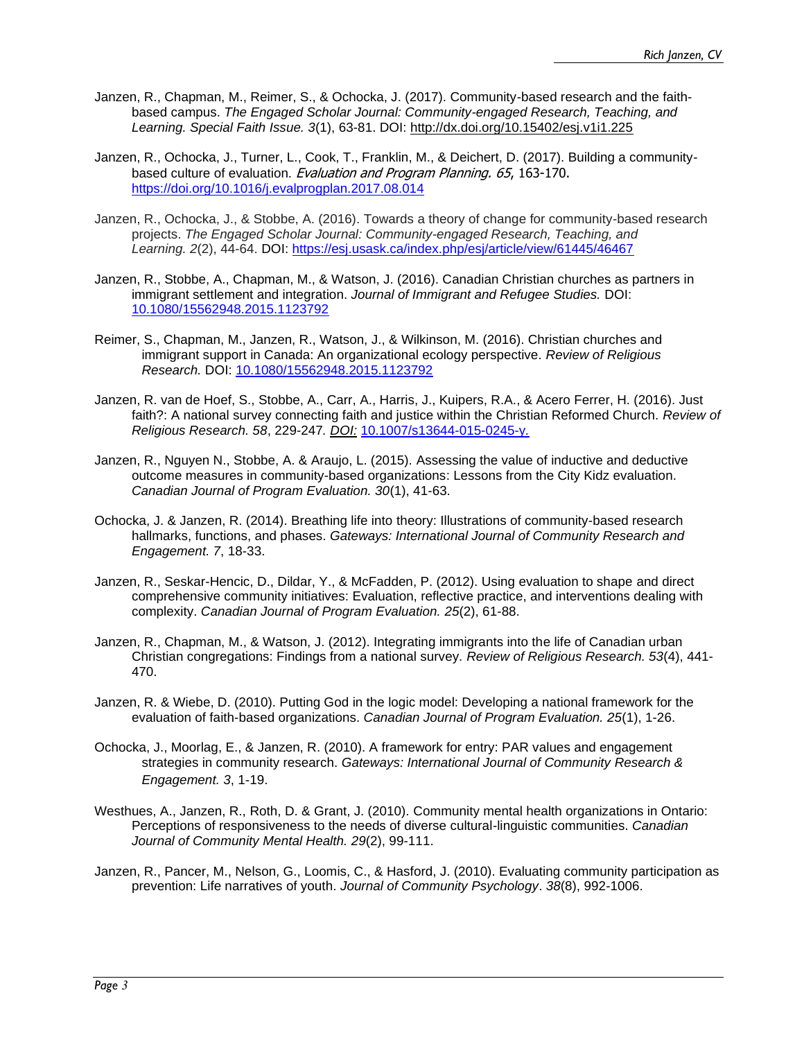- Janzen, R., Chapman, M., Reimer, S., & Ochocka, J. (2017). Community-based research and the faithbased campus. *The Engaged Scholar Journal: Community-engaged Research, Teaching, and Learning. Special Faith Issue. 3*(1), 63-81. DOI: <http://dx.doi.org/10.15402/esj.v1i1.225>
- Janzen, R., Ochocka, J., Turner, L., Cook, T., Franklin, M., & Deichert, D. (2017). Building a communitybased culture of evaluation. *Evaluation and Program Planning, 65,* 163-170. <https://doi.org/10.1016/j.evalprogplan.2017.08.014>
- Janzen, R., Ochocka, J., & Stobbe, A. (2016). Towards a theory of change for community-based research projects. *The Engaged Scholar Journal: Community-engaged Research, Teaching, and Learning. 2*(2), 44-64. DOI: <https://esj.usask.ca/index.php/esj/article/view/61445/46467>
- Janzen, R., Stobbe, A., Chapman, M., & Watson, J. (2016). Canadian Christian churches as partners in immigrant settlement and integration. *Journal of Immigrant and Refugee Studies.* DOI: [10.1080/15562948.2015.1123792](http://www.tandfonline.com/doi/full/10.1080/15562948.2015.1123792#.VzHd4IQrLRY)
- Reimer, S., Chapman, M., Janzen, R., Watson, J., & Wilkinson, M. (2016). Christian churches and immigrant support in Canada: An organizational ecology perspective. *Review of Religious Research.* DOI: [10.1080/15562948.2015.1123792](http://link.springer.com/article/10.1007/s13644-016-0252-7)
- Janzen, R. van de Hoef, S., Stobbe, A., Carr, A., Harris, J., Kuipers, R.A., & Acero Ferrer, H. (2016). Just faith?: A national survey connecting faith and justice within the Christian Reformed Church. *Review of Religious Research. 58*, 229-247*. [DOI:](http://link.springer.com/article/10.1007/s13644-015-0245-y/fulltext.html)* [10.1007/s13644-015-0245-y](http://link.springer.com/article/10.1007/s13644-015-0245-y/fulltext.html)*.*
- Janzen, R., Nguyen N., Stobbe, A. & Araujo, L. (2015). Assessing the value of inductive and deductive outcome measures in community-based organizations: Lessons from the City Kidz evaluation. *Canadian Journal of Program Evaluation. 30*(1), 41-63.
- Ochocka, J. & Janzen, R. (2014). Breathing life into theory: Illustrations of community-based research hallmarks, functions, and phases. *Gateways: International Journal of Community Research and Engagement. 7*, 18-33.
- Janzen, R., Seskar-Hencic, D., Dildar, Y., & McFadden, P. (2012). Using evaluation to shape and direct comprehensive community initiatives: Evaluation, reflective practice, and interventions dealing with complexity. *Canadian Journal of Program Evaluation. 25*(2), 61-88.
- Janzen, R., Chapman, M., & Watson, J. (2012). Integrating immigrants into the life of Canadian urban Christian congregations: Findings from a national survey*. Review of Religious Research. 53*(4), 441- 470.
- Janzen, R. & Wiebe, D. (2010). Putting God in the logic model: Developing a national framework for the evaluation of faith-based organizations. *Canadian Journal of Program Evaluation. 25*(1), 1-26.
- Ochocka, J., Moorlag, E., & Janzen, R. (2010). A framework for entry: PAR values and engagement strategies in community research. *Gateways: International Journal of Community Research & Engagement. 3*, 1-19.
- Westhues, A., Janzen, R., Roth, D. & Grant, J. (2010). Community mental health organizations in Ontario: Perceptions of responsiveness to the needs of diverse cultural-linguistic communities. *Canadian Journal of Community Mental Health. 29*(2), 99-111.
- Janzen, R., Pancer, M., Nelson, G., Loomis, C., & Hasford, J. (2010). Evaluating community participation as prevention: Life narratives of youth. *Journal of Community Psychology*. *38*(8), 992-1006.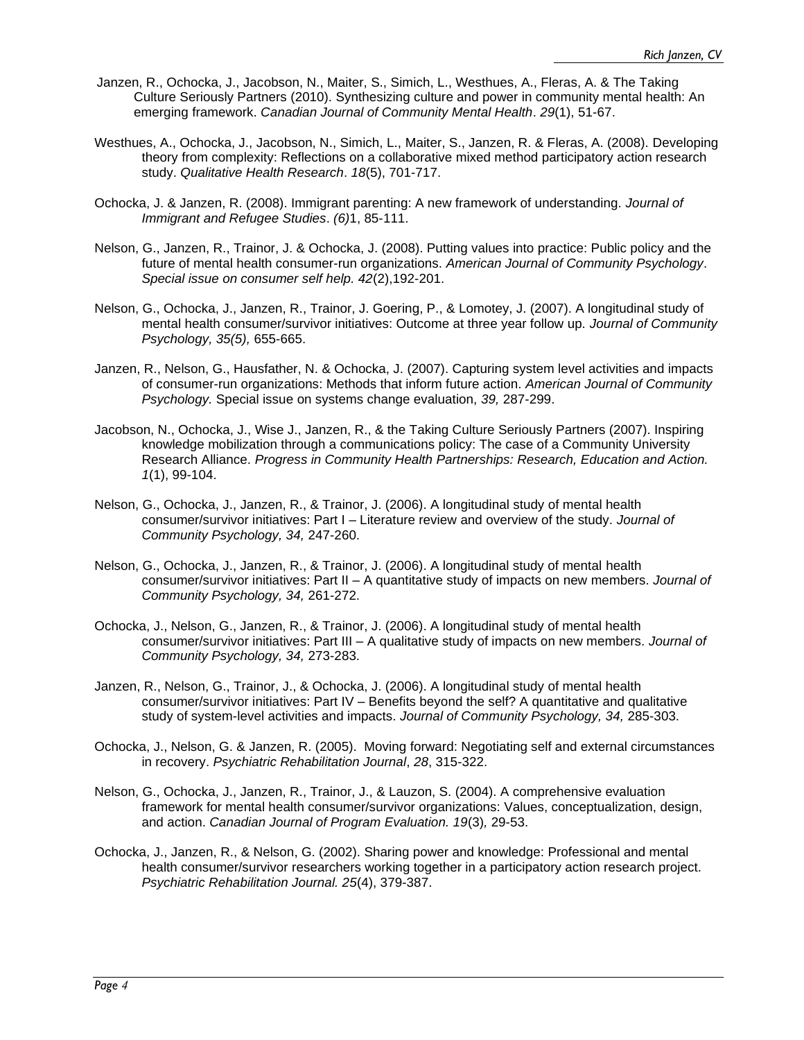- Janzen, R., Ochocka, J., Jacobson, N., Maiter, S., Simich, L., Westhues, A., Fleras, A. & The Taking Culture Seriously Partners (2010). Synthesizing culture and power in community mental health: An emerging framework. *Canadian Journal of Community Mental Health*. *29*(1), 51-67.
- Westhues, A., Ochocka, J., Jacobson, N., Simich, L., Maiter, S., Janzen, R. & Fleras, A. (2008). Developing theory from complexity: Reflections on a collaborative mixed method participatory action research study. *Qualitative Health Research*. *18*(5), 701-717.
- Ochocka, J. & Janzen, R. (2008). Immigrant parenting: A new framework of understanding. *Journal of Immigrant and Refugee Studies*. *(6)*1, 85-111.
- Nelson, G., Janzen, R., Trainor, J. & Ochocka, J. (2008). Putting values into practice: Public policy and the future of mental health consumer-run organizations. *American Journal of Community Psychology*. *Special issue on consumer self help. 42*(2),192-201.
- Nelson, G., Ochocka, J., Janzen, R., Trainor, J. Goering, P., & Lomotey, J. (2007). A longitudinal study of mental health consumer/survivor initiatives: Outcome at three year follow up. *Journal of Community Psychology, 35(5),* 655-665.
- Janzen, R., Nelson, G., Hausfather, N. & Ochocka, J. (2007). Capturing system level activities and impacts of consumer-run organizations: Methods that inform future action. *American Journal of Community Psychology.* Special issue on systems change evaluation, *39,* 287-299.
- Jacobson, N., Ochocka, J., Wise J., Janzen, R., & the Taking Culture Seriously Partners (2007). Inspiring knowledge mobilization through a communications policy: The case of a Community University Research Alliance. *Progress in Community Health Partnerships: Research, Education and Action. 1*(1), 99-104.
- Nelson, G., Ochocka, J., Janzen, R., & Trainor, J. (2006). A longitudinal study of mental health consumer/survivor initiatives: Part I – Literature review and overview of the study. *Journal of Community Psychology, 34,* 247-260.
- Nelson, G., Ochocka, J., Janzen, R., & Trainor, J. (2006). A longitudinal study of mental health consumer/survivor initiatives: Part II – A quantitative study of impacts on new members. *Journal of Community Psychology, 34,* 261-272.
- Ochocka, J., Nelson, G., Janzen, R., & Trainor, J. (2006). A longitudinal study of mental health consumer/survivor initiatives: Part III – A qualitative study of impacts on new members. *Journal of Community Psychology, 34,* 273-283.
- Janzen, R., Nelson, G., Trainor, J., & Ochocka, J. (2006). A longitudinal study of mental health consumer/survivor initiatives: Part IV – Benefits beyond the self? A quantitative and qualitative study of system-level activities and impacts. *Journal of Community Psychology, 34,* 285-303.
- Ochocka, J., Nelson, G. & Janzen, R. (2005). Moving forward: Negotiating self and external circumstances in recovery. *Psychiatric Rehabilitation Journal*, *28*, 315-322.
- Nelson, G., Ochocka, J., Janzen, R., Trainor, J., & Lauzon, S. (2004). A comprehensive evaluation framework for mental health consumer/survivor organizations: Values, conceptualization, design, and action. *Canadian Journal of Program Evaluation. 19*(3)*,* 29-53.
- Ochocka, J., Janzen, R., & Nelson, G. (2002). Sharing power and knowledge: Professional and mental health consumer/survivor researchers working together in a participatory action research project. *Psychiatric Rehabilitation Journal. 25*(4), 379-387.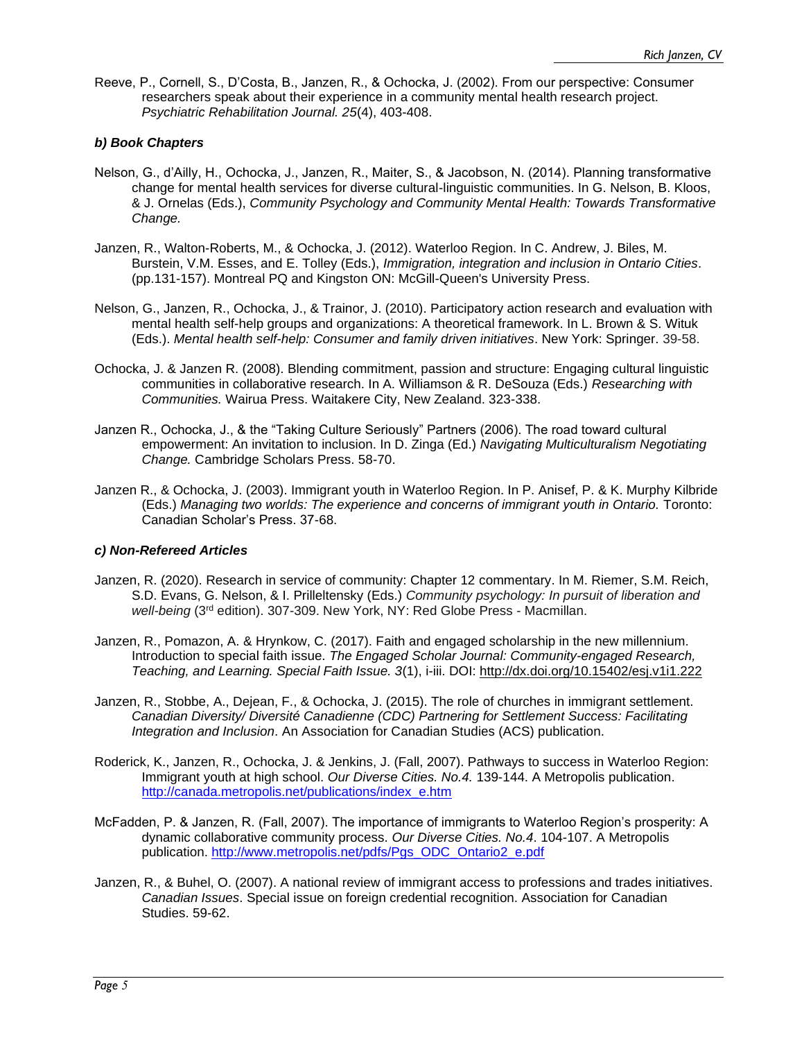Reeve, P., Cornell, S., D'Costa, B., Janzen, R., & Ochocka, J. (2002). From our perspective: Consumer researchers speak about their experience in a community mental health research project. *Psychiatric Rehabilitation Journal. 25*(4), 403-408.

#### *b) Book Chapters*

- Nelson, G., d'Ailly, H., Ochocka, J., Janzen, R., Maiter, S., & Jacobson, N. (2014). Planning transformative change for mental health services for diverse cultural-linguistic communities. In G. Nelson, B. Kloos, & J. Ornelas (Eds.), *Community Psychology and Community Mental Health: Towards Transformative Change.*
- Janzen, R., Walton-Roberts, M., & Ochocka, J. (2012). Waterloo Region. In C. Andrew, J. Biles, M. Burstein, V.M. Esses, and E. Tolley (Eds.), *Immigration, integration and inclusion in Ontario Cities*. (pp.131-157). Montreal PQ and Kingston ON: McGill-Queen's University Press.
- Nelson, G., Janzen, R., Ochocka, J., & Trainor, J. (2010). Participatory action research and evaluation with mental health self-help groups and organizations: A theoretical framework. In L. Brown & S. Wituk (Eds.). *Mental health self-help: Consumer and family driven initiatives*. New York: Springer. 39-58.
- Ochocka, J. & Janzen R. (2008). Blending commitment, passion and structure: Engaging cultural linguistic communities in collaborative research. In A. Williamson & R. DeSouza (Eds.) *Researching with Communities.* Wairua Press. Waitakere City, New Zealand. 323-338.
- Janzen R., Ochocka, J., & the "Taking Culture Seriously" Partners (2006). The road toward cultural empowerment: An invitation to inclusion. In D. Zinga (Ed.) *Navigating Multiculturalism Negotiating Change.* Cambridge Scholars Press. 58-70.
- Janzen R., & Ochocka, J. (2003). Immigrant youth in Waterloo Region. In P. Anisef, P. & K. Murphy Kilbride (Eds.) *Managing two worlds: The experience and concerns of immigrant youth in Ontario.* Toronto: Canadian Scholar's Press. 37-68.

#### *c) Non-Refereed Articles*

- Janzen, R. (2020). Research in service of community: Chapter 12 commentary. In M. Riemer, S.M. Reich, S.D. Evans, G. Nelson, & I. Prilleltensky (Eds.) *Community psychology: In pursuit of liberation and well-being* (3rd edition). 307-309. New York, NY: Red Globe Press - Macmillan.
- Janzen, R., Pomazon, A. & Hrynkow, C. (2017). Faith and engaged scholarship in the new millennium. Introduction to special faith issue. *The Engaged Scholar Journal: Community-engaged Research, Teaching, and Learning. Special Faith Issue. 3*(1), i-iii. DOI: <http://dx.doi.org/10.15402/esj.v1i1.222>
- Janzen, R., Stobbe, A., Dejean, F., & Ochocka, J. (2015). The role of churches in immigrant settlement. *Canadian Diversity/ Diversité Canadienne (CDC) Partnering for Settlement Success: Facilitating Integration and Inclusion*. An Association for Canadian Studies (ACS) publication.
- Roderick, K., Janzen, R., Ochocka, J. & Jenkins, J. (Fall, 2007). Pathways to success in Waterloo Region: Immigrant youth at high school. *Our Diverse Cities. No.4.* 139-144. A Metropolis publication. [http://canada.metropolis.net/publications/index\\_e.htm](http://canada.metropolis.net/publications/index_e.htm)
- McFadden, P. & Janzen, R. (Fall, 2007). The importance of immigrants to Waterloo Region's prosperity: A dynamic collaborative community process. *Our Diverse Cities. No.4*. 104-107. A Metropolis publication. [http://www.metropolis.net/pdfs/Pgs\\_ODC\\_Ontario2\\_e.pdf](http://www.metropolis.net/pdfs/Pgs_ODC_Ontario2_e.pdf)
- Janzen, R., & Buhel, O. (2007). A national review of immigrant access to professions and trades initiatives. *Canadian Issues*. Special issue on foreign credential recognition. Association for Canadian Studies. 59-62.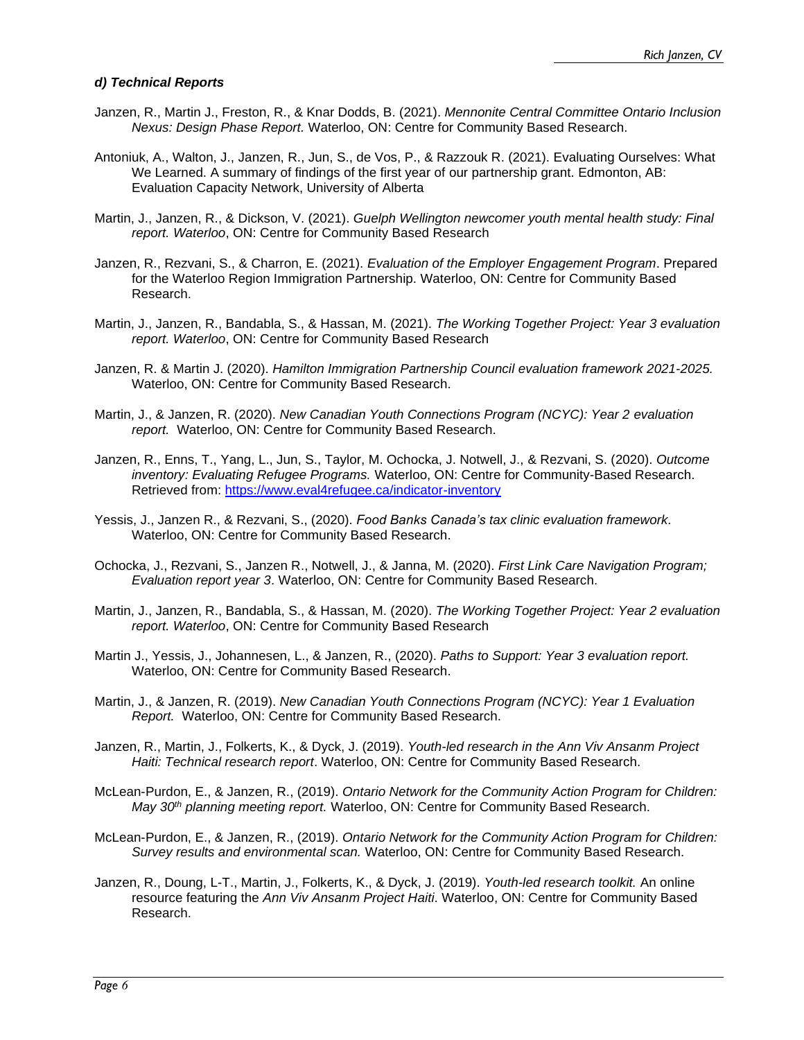#### *d) Technical Reports*

- Janzen, R., Martin J., Freston, R., & Knar Dodds, B. (2021). *Mennonite Central Committee Ontario Inclusion Nexus: Design Phase Report.* Waterloo, ON: Centre for Community Based Research.
- Antoniuk, A., Walton, J., Janzen, R., Jun, S., de Vos, P., & Razzouk R. (2021). Evaluating Ourselves: What We Learned. A summary of findings of the first year of our partnership grant. Edmonton, AB: Evaluation Capacity Network, University of Alberta
- Martin, J., Janzen, R., & Dickson, V. (2021). *Guelph Wellington newcomer youth mental health study: Final report. Waterloo*, ON: Centre for Community Based Research
- Janzen, R., Rezvani, S., & Charron, E. (2021). *Evaluation of the Employer Engagement Program*. Prepared for the Waterloo Region Immigration Partnership. Waterloo, ON: Centre for Community Based Research.
- Martin, J., Janzen, R., Bandabla, S., & Hassan, M. (2021). *The Working Together Project: Year 3 evaluation report. Waterloo*, ON: Centre for Community Based Research
- Janzen, R. & Martin J. (2020). *Hamilton Immigration Partnership Council evaluation framework 2021-2025.*  Waterloo, ON: Centre for Community Based Research.
- Martin, J., & Janzen, R. (2020). *New Canadian Youth Connections Program (NCYC): Year 2 evaluation report.* Waterloo, ON: Centre for Community Based Research.
- Janzen, R., Enns, T., Yang, L., Jun, S., Taylor, M. Ochocka, J. Notwell, J., & Rezvani, S. (2020). *Outcome inventory: Evaluating Refugee Programs.* Waterloo, ON: Centre for Community-Based Research. Retrieved from:<https://www.eval4refugee.ca/indicator-inventory>
- Yessis, J., Janzen R., & Rezvani, S., (2020). *Food Banks Canada's tax clinic evaluation framework.* Waterloo, ON: Centre for Community Based Research.
- Ochocka, J., Rezvani, S., Janzen R., Notwell, J., & Janna, M. (2020). *First Link Care Navigation Program; Evaluation report year 3*. Waterloo, ON: Centre for Community Based Research.
- Martin, J., Janzen, R., Bandabla, S., & Hassan, M. (2020). *The Working Together Project: Year 2 evaluation report. Waterloo*, ON: Centre for Community Based Research
- Martin J., Yessis, J., Johannesen, L., & Janzen, R., (2020). *Paths to Support: Year 3 evaluation report.*  Waterloo, ON: Centre for Community Based Research.
- Martin, J., & Janzen, R. (2019). *New Canadian Youth Connections Program (NCYC): Year 1 Evaluation Report.* Waterloo, ON: Centre for Community Based Research.
- Janzen, R., Martin, J., Folkerts, K., & Dyck, J. (2019). *Youth-led research in the Ann Viv Ansanm Project Haiti: Technical research report*. Waterloo, ON: Centre for Community Based Research.
- McLean-Purdon, E., & Janzen, R., (2019). *Ontario Network for the Community Action Program for Children: May 30th planning meeting report.* Waterloo, ON: Centre for Community Based Research.
- McLean-Purdon, E., & Janzen, R., (2019). *Ontario Network for the Community Action Program for Children: Survey results and environmental scan.* Waterloo, ON: Centre for Community Based Research.
- Janzen, R., Doung, L-T., Martin, J., Folkerts, K., & Dyck, J. (2019). *Youth-led research toolkit.* An online resource featuring the *Ann Viv Ansanm Project Haiti*. Waterloo, ON: Centre for Community Based Research.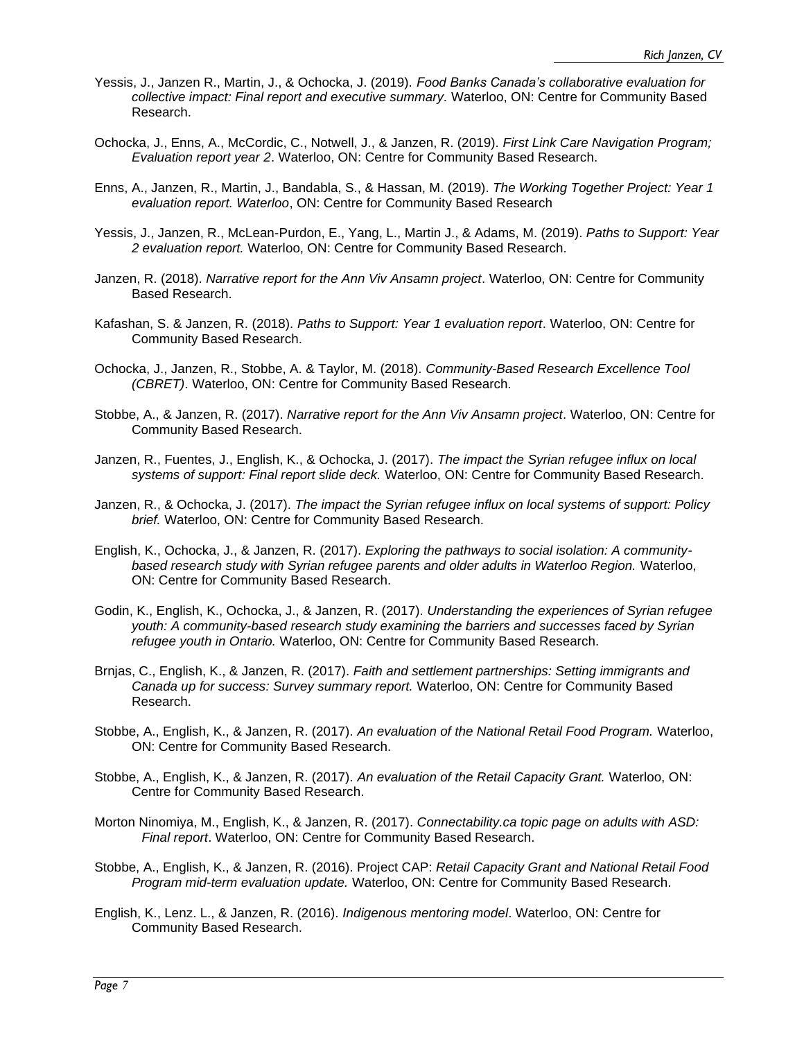- Yessis, J., Janzen R., Martin, J., & Ochocka, J. (2019). *Food Banks Canada's collaborative evaluation for collective impact: Final report and executive summary.* Waterloo, ON: Centre for Community Based Research.
- Ochocka, J., Enns, A., McCordic, C., Notwell, J., & Janzen, R. (2019). *First Link Care Navigation Program; Evaluation report year 2*. Waterloo, ON: Centre for Community Based Research.
- Enns, A., Janzen, R., Martin, J., Bandabla, S., & Hassan, M. (2019). *The Working Together Project: Year 1 evaluation report. Waterloo*, ON: Centre for Community Based Research
- Yessis, J., Janzen, R., McLean-Purdon, E., Yang, L., Martin J., & Adams, M. (2019). *Paths to Support: Year 2 evaluation report.* Waterloo, ON: Centre for Community Based Research.
- Janzen, R. (2018). *Narrative report for the Ann Viv Ansamn project*. Waterloo, ON: Centre for Community Based Research.
- Kafashan, S. & Janzen, R. (2018). *Paths to Support: Year 1 evaluation report*. Waterloo, ON: Centre for Community Based Research.
- Ochocka, J., Janzen, R., Stobbe, A. & Taylor, M. (2018). *Community-Based Research Excellence Tool (CBRET)*. Waterloo, ON: Centre for Community Based Research.
- Stobbe, A., & Janzen, R. (2017). *Narrative report for the Ann Viv Ansamn project*. Waterloo, ON: Centre for Community Based Research.
- Janzen, R., Fuentes, J., English, K., & Ochocka, J. (2017). *The impact the Syrian refugee influx on local systems of support: Final report slide deck.* Waterloo, ON: Centre for Community Based Research.
- Janzen, R., & Ochocka, J. (2017). *The impact the Syrian refugee influx on local systems of support: Policy brief.* Waterloo, ON: Centre for Community Based Research.
- English, K., Ochocka, J., & Janzen, R. (2017). *Exploring the pathways to social isolation: A communitybased research study with Syrian refugee parents and older adults in Waterloo Region.* Waterloo, ON: Centre for Community Based Research.
- Godin, K., English, K., Ochocka, J., & Janzen, R. (2017). *Understanding the experiences of Syrian refugee youth: A community-based research study examining the barriers and successes faced by Syrian refugee youth in Ontario.* Waterloo, ON: Centre for Community Based Research.
- Brnjas, C., English, K., & Janzen, R. (2017). *Faith and settlement partnerships: Setting immigrants and Canada up for success: Survey summary report.* Waterloo, ON: Centre for Community Based Research.
- Stobbe, A., English, K., & Janzen, R. (2017). *An evaluation of the National Retail Food Program.* Waterloo, ON: Centre for Community Based Research.
- Stobbe, A., English, K., & Janzen, R. (2017). *An evaluation of the Retail Capacity Grant.* Waterloo, ON: Centre for Community Based Research.
- Morton Ninomiya, M., English, K., & Janzen, R. (2017). *Connectability.ca topic page on adults with ASD: Final report*. Waterloo, ON: Centre for Community Based Research.
- Stobbe, A., English, K., & Janzen, R. (2016). Project CAP: *Retail Capacity Grant and National Retail Food Program mid-term evaluation update.* Waterloo, ON: Centre for Community Based Research.
- English, K., Lenz. L., & Janzen, R. (2016). *Indigenous mentoring model*. Waterloo, ON: Centre for Community Based Research.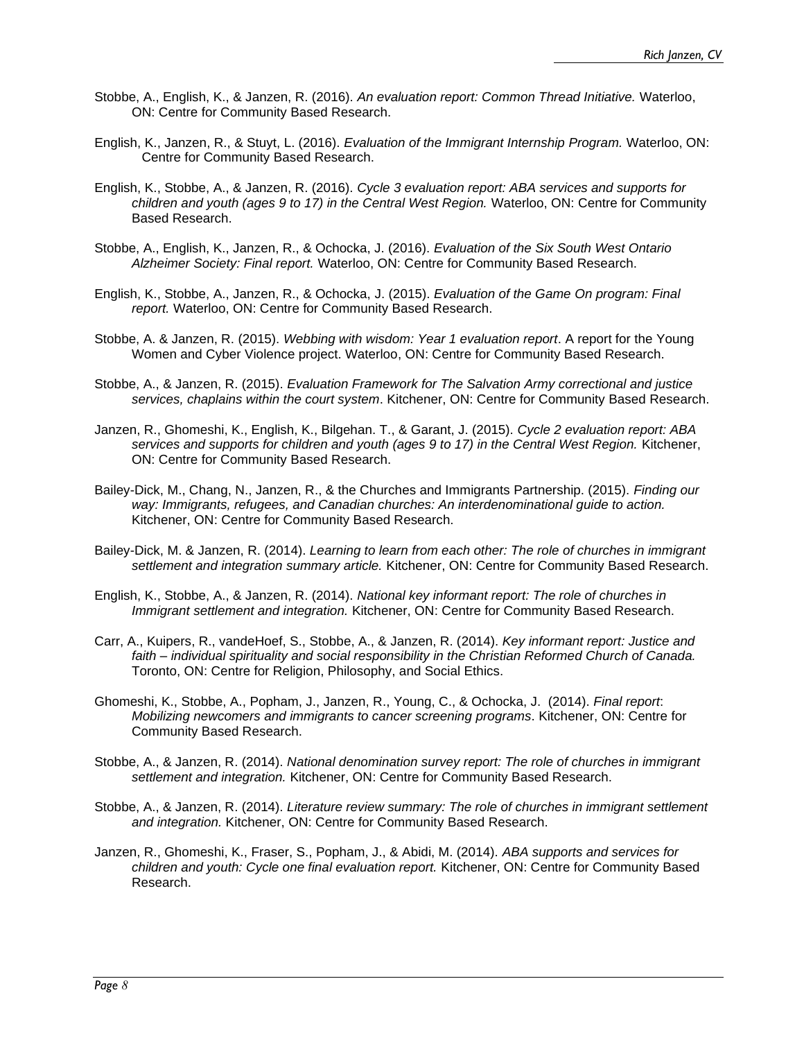- Stobbe, A., English, K., & Janzen, R. (2016). *An evaluation report: Common Thread Initiative.* Waterloo, ON: Centre for Community Based Research.
- English, K., Janzen, R., & Stuyt, L. (2016). *Evaluation of the Immigrant Internship Program.* Waterloo, ON: Centre for Community Based Research.
- English, K., Stobbe, A., & Janzen, R. (2016). *Cycle 3 evaluation report: ABA services and supports for children and youth (ages 9 to 17) in the Central West Region.* Waterloo, ON: Centre for Community Based Research.
- Stobbe, A., English, K., Janzen, R., & Ochocka, J. (2016). *Evaluation of the Six South West Ontario Alzheimer Society: Final report.* Waterloo, ON: Centre for Community Based Research.
- English, K., Stobbe, A., Janzen, R., & Ochocka, J. (2015). *Evaluation of the Game On program: Final report.* Waterloo, ON: Centre for Community Based Research.
- Stobbe, A. & Janzen, R. (2015). *Webbing with wisdom: Year 1 evaluation report*. A report for the Young Women and Cyber Violence project. Waterloo, ON: Centre for Community Based Research.
- Stobbe, A., & Janzen, R. (2015). *Evaluation Framework for The Salvation Army correctional and justice services, chaplains within the court system*. Kitchener, ON: Centre for Community Based Research.
- Janzen, R., Ghomeshi, K., English, K., Bilgehan. T., & Garant, J. (2015). *Cycle 2 evaluation report: ABA*  services and supports for children and youth (ages 9 to 17) in the Central West Region. Kitchener, ON: Centre for Community Based Research.
- Bailey-Dick, M., Chang, N., Janzen, R., & the Churches and Immigrants Partnership. (2015). *Finding our*  way: Immigrants, refugees, and Canadian churches: An interdenominational guide to action. Kitchener, ON: Centre for Community Based Research.
- Bailey-Dick, M. & Janzen, R. (2014). *Learning to learn from each other: The role of churches in immigrant settlement and integration summary article.* Kitchener, ON: Centre for Community Based Research.
- English, K., Stobbe, A., & Janzen, R. (2014). *National key informant report: The role of churches in Immigrant settlement and integration.* Kitchener, ON: Centre for Community Based Research.
- Carr, A., Kuipers, R., vandeHoef, S., Stobbe, A., & Janzen, R. (2014). *Key informant report: Justice and faith – individual spirituality and social responsibility in the Christian Reformed Church of Canada.*  Toronto, ON: Centre for Religion, Philosophy, and Social Ethics.
- Ghomeshi, K., Stobbe, A., Popham, J., Janzen, R., Young, C., & Ochocka, J. (2014). *Final report*: *Mobilizing newcomers and immigrants to cancer screening programs*. Kitchener, ON: Centre for Community Based Research.
- Stobbe, A., & Janzen, R. (2014). *National denomination survey report: The role of churches in immigrant settlement and integration.* Kitchener, ON: Centre for Community Based Research.
- Stobbe, A., & Janzen, R. (2014). *Literature review summary: The role of churches in immigrant settlement and integration.* Kitchener, ON: Centre for Community Based Research.
- Janzen, R., Ghomeshi, K., Fraser, S., Popham, J., & Abidi, M. (2014). *ABA supports and services for children and youth: Cycle one final evaluation report.* Kitchener, ON: Centre for Community Based Research.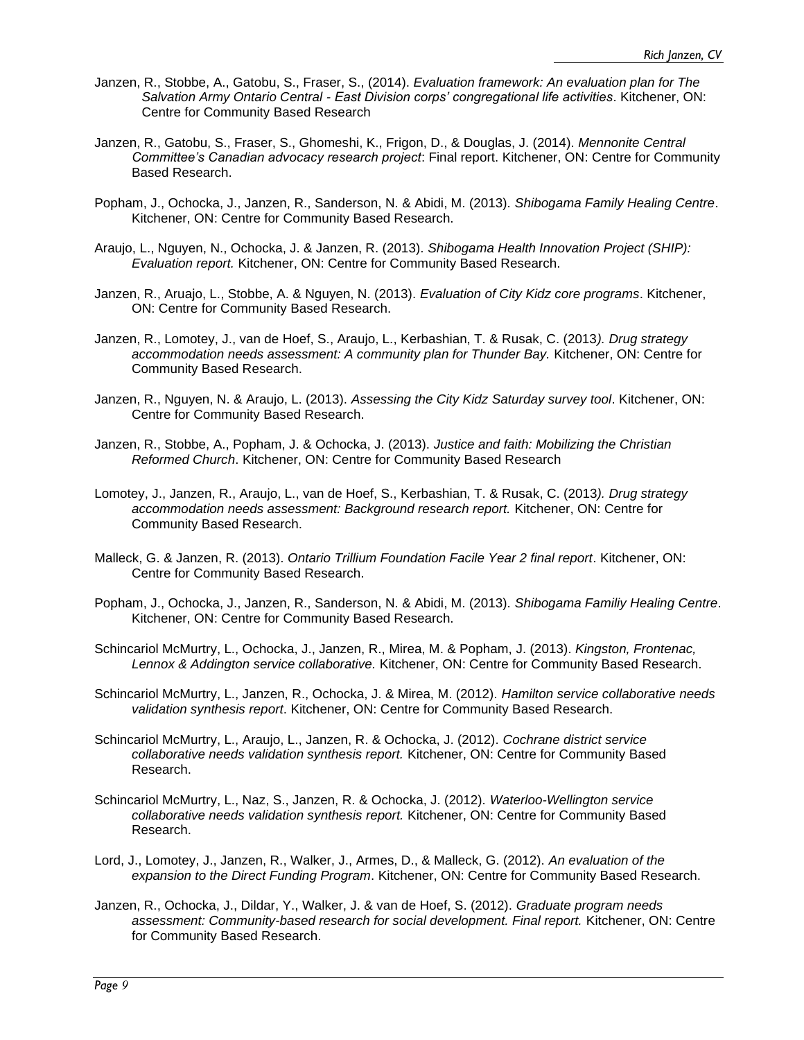- Janzen, R., Stobbe, A., Gatobu, S., Fraser, S., (2014). *Evaluation framework: An evaluation plan for The Salvation Army Ontario Central - East Division corps' congregational life activities*. Kitchener, ON: Centre for Community Based Research
- Janzen, R., Gatobu, S., Fraser, S., Ghomeshi, K., Frigon, D., & Douglas, J. (2014). *Mennonite Central Committee's Canadian advocacy research project*: Final report. Kitchener, ON: Centre for Community Based Research.
- Popham, J., Ochocka, J., Janzen, R., Sanderson, N. & Abidi, M. (2013). *Shibogama Family Healing Centre*. Kitchener, ON: Centre for Community Based Research.
- Araujo, L., Nguyen, N., Ochocka, J. & Janzen, R. (2013). *Shibogama Health Innovation Project (SHIP): Evaluation report.* Kitchener, ON: Centre for Community Based Research.
- Janzen, R., Aruajo, L., Stobbe, A. & Nguyen, N. (2013). *Evaluation of City Kidz core programs*. Kitchener, ON: Centre for Community Based Research.
- Janzen, R., Lomotey, J., van de Hoef, S., Araujo, L., Kerbashian, T. & Rusak, C. (2013*). Drug strategy accommodation needs assessment: A community plan for Thunder Bay.* Kitchener, ON: Centre for Community Based Research.
- Janzen, R., Nguyen, N. & Araujo, L. (2013). *Assessing the City Kidz Saturday survey tool*. Kitchener, ON: Centre for Community Based Research.
- Janzen, R., Stobbe, A., Popham, J. & Ochocka, J. (2013). *Justice and faith: Mobilizing the Christian Reformed Church*. Kitchener, ON: Centre for Community Based Research
- Lomotey, J., Janzen, R., Araujo, L., van de Hoef, S., Kerbashian, T. & Rusak, C. (2013*). Drug strategy accommodation needs assessment: Background research report.* Kitchener, ON: Centre for Community Based Research.
- Malleck, G. & Janzen, R. (2013). *Ontario Trillium Foundation Facile Year 2 final report*. Kitchener, ON: Centre for Community Based Research.
- Popham, J., Ochocka, J., Janzen, R., Sanderson, N. & Abidi, M. (2013). *Shibogama Familiy Healing Centre*. Kitchener, ON: Centre for Community Based Research.
- Schincariol McMurtry, L., Ochocka, J., Janzen, R., Mirea, M. & Popham, J. (2013). *Kingston, Frontenac, Lennox & Addington service collaborative.* Kitchener, ON: Centre for Community Based Research.
- Schincariol McMurtry, L., Janzen, R., Ochocka, J. & Mirea, M. (2012). *Hamilton service collaborative needs validation synthesis report*. Kitchener, ON: Centre for Community Based Research.
- Schincariol McMurtry, L., Araujo, L., Janzen, R. & Ochocka, J. (2012). *Cochrane district service collaborative needs validation synthesis report.* Kitchener, ON: Centre for Community Based Research.
- Schincariol McMurtry, L., Naz, S., Janzen, R. & Ochocka, J. (2012). *Waterloo-Wellington service collaborative needs validation synthesis report.* Kitchener, ON: Centre for Community Based Research.
- Lord, J., Lomotey, J., Janzen, R., Walker, J., Armes, D., & Malleck, G. (2012). *An evaluation of the expansion to the Direct Funding Program*. Kitchener, ON: Centre for Community Based Research.
- Janzen, R., Ochocka, J., Dildar, Y., Walker, J. & van de Hoef, S. (2012). *Graduate program needs assessment: Community-based research for social development. Final report.* Kitchener, ON: Centre for Community Based Research.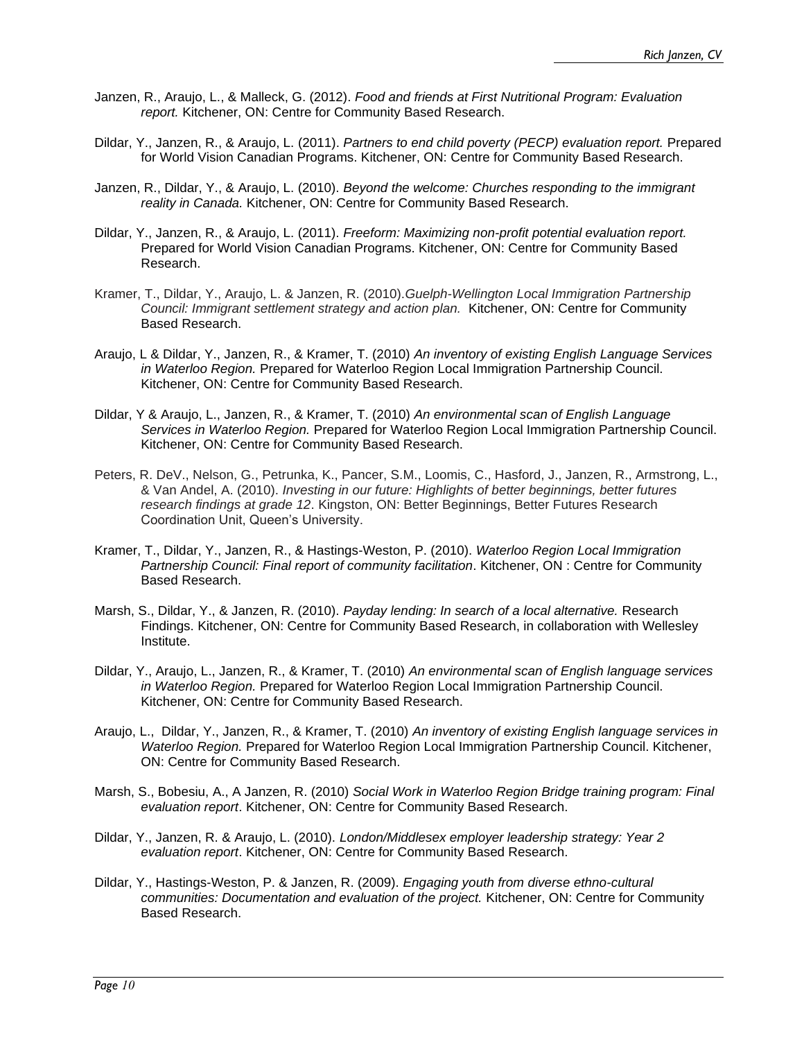- Janzen, R., Araujo, L., & Malleck, G. (2012). *Food and friends at First Nutritional Program: Evaluation report.* Kitchener, ON: Centre for Community Based Research.
- Dildar, Y., Janzen, R., & Araujo, L. (2011). *Partners to end child poverty (PECP) evaluation report.* Prepared for World Vision Canadian Programs. Kitchener, ON: Centre for Community Based Research.
- Janzen, R., Dildar, Y., & Araujo, L. (2010). *Beyond the welcome: Churches responding to the immigrant reality in Canada.* Kitchener, ON: Centre for Community Based Research.
- Dildar, Y., Janzen, R., & Araujo, L. (2011). *Freeform: Maximizing non-profit potential evaluation report.*  Prepared for World Vision Canadian Programs. Kitchener, ON: Centre for Community Based Research.
- Kramer, T., Dildar, Y., Araujo, L. & Janzen, R. (2010).*Guelph-Wellington Local Immigration Partnership Council: Immigrant settlement strategy and action plan.* Kitchener, ON: Centre for Community Based Research.
- Araujo, L & Dildar, Y., Janzen, R., & Kramer, T. (2010) *An inventory of existing English Language Services in Waterloo Region.* Prepared for Waterloo Region Local Immigration Partnership Council. Kitchener, ON: Centre for Community Based Research.
- Dildar, Y & Araujo, L., Janzen, R., & Kramer, T. (2010) *An environmental scan of English Language Services in Waterloo Region.* Prepared for Waterloo Region Local Immigration Partnership Council. Kitchener, ON: Centre for Community Based Research.
- Peters, R. DeV., Nelson, G., Petrunka, K., Pancer, S.M., Loomis, C., Hasford, J., Janzen, R., Armstrong, L., & Van Andel, A. (2010). *Investing in our future: Highlights of better beginnings, better futures research findings at grade 12*. Kingston, ON: Better Beginnings, Better Futures Research Coordination Unit, Queen's University.
- Kramer, T., Dildar, Y., Janzen, R., & Hastings-Weston, P. (2010). *Waterloo Region Local Immigration Partnership Council: Final report of community facilitation*. Kitchener, ON : Centre for Community Based Research.
- Marsh, S., Dildar, Y., & Janzen, R. (2010). *Payday lending: In search of a local alternative.* Research Findings. Kitchener, ON: Centre for Community Based Research, in collaboration with Wellesley Institute.
- Dildar, Y., Araujo, L., Janzen, R., & Kramer, T. (2010) *An environmental scan of English language services in Waterloo Region.* Prepared for Waterloo Region Local Immigration Partnership Council. Kitchener, ON: Centre for Community Based Research.
- Araujo, L., Dildar, Y., Janzen, R., & Kramer, T. (2010) *An inventory of existing English language services in Waterloo Region.* Prepared for Waterloo Region Local Immigration Partnership Council. Kitchener, ON: Centre for Community Based Research.
- Marsh, S., Bobesiu, A., A Janzen, R. (2010) *Social Work in Waterloo Region Bridge training program: Final evaluation report*. Kitchener, ON: Centre for Community Based Research.
- Dildar, Y., Janzen, R. & Araujo, L. (2010). *London/Middlesex employer leadership strategy: Year 2 evaluation report*. Kitchener, ON: Centre for Community Based Research.
- Dildar, Y., Hastings-Weston, P. & Janzen, R. (2009). *Engaging youth from diverse ethno-cultural communities: Documentation and evaluation of the project.* Kitchener, ON: Centre for Community Based Research.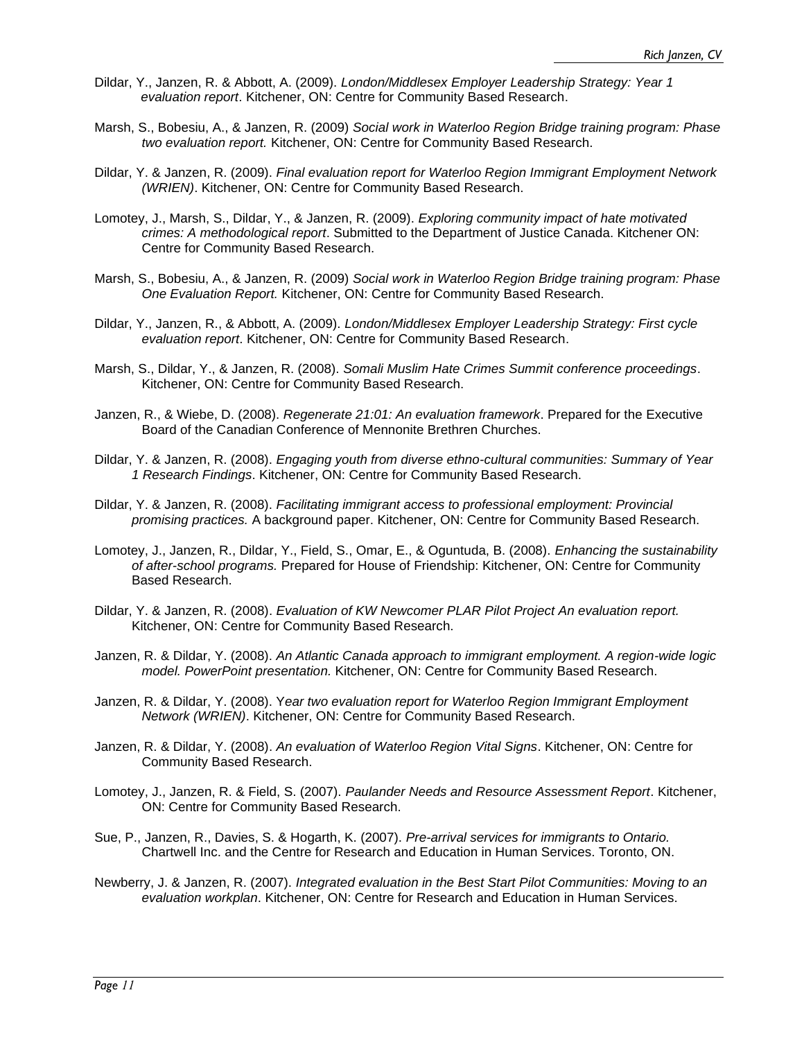- Dildar, Y., Janzen, R. & Abbott, A. (2009). *[London/Middlesex Employer Leadership Strategy: Year 1](file:///C:/Users/rich/AppData/Local/Packages/Microsoft.Office.Desktop_8wekyb3d8bbwe/rich/AppData/Local/Microsoft/Windows/PROJECTS/547%20LMIETF/FIRST%20YEAR/report/LMIEC%20First%20Year%20Evaluation%20Report%20Final.doc)  evaluation report*[. Kitchener, ON: Centre for Community Based Research.](file:///C:/Users/rich/AppData/Local/Packages/Microsoft.Office.Desktop_8wekyb3d8bbwe/rich/AppData/Local/Microsoft/Windows/PROJECTS/547%20LMIETF/FIRST%20YEAR/report/LMIEC%20First%20Year%20Evaluation%20Report%20Final.doc)
- Marsh, S., Bobesiu, A., & Janzen, R. (2009) *Social work in Waterloo Region Bridge training program: Phase two evaluation report.* Kitchener, ON: Centre for Community Based Research.
- Dildar, Y. & Janzen, R. (2009). *Final evaluation report for Waterloo Region Immigrant Employment Network (WRIEN)*. Kitchener, ON: Centre for Community Based Research.
- Lomotey, J., Marsh, S., Dildar, Y., & Janzen, R. (2009). *Exploring community impact of hate motivated crimes: A methodological report*. Submitted to the Department of Justice Canada. Kitchener ON: Centre for Community Based Research.
- Marsh, S., Bobesiu, A., & Janzen, R. (2009) *Social work in Waterloo Region Bridge training program: Phase One Evaluation Report.* Kitchener, ON: Centre for Community Based Research.
- Dildar, Y., Janzen, R., & Abbott, A. (2009). *[London/Middlesex Employer Leadership Strategy: First cycle](file:///C:/Users/rich/AppData/Local/Packages/Microsoft.Office.Desktop_8wekyb3d8bbwe/rich/AppData/Local/Microsoft/Windows/PROJECTS/547%20LMIETF/First%20Cycle/LMIEC%20First%20Cycle%20Report%20FINAL.ppt)  evaluation report*[. Kitchener, ON: Centre for Community Based Research.](file:///C:/Users/rich/AppData/Local/Packages/Microsoft.Office.Desktop_8wekyb3d8bbwe/rich/AppData/Local/Microsoft/Windows/PROJECTS/547%20LMIETF/First%20Cycle/LMIEC%20First%20Cycle%20Report%20FINAL.ppt)
- Marsh, S., Dildar, Y., & Janzen, R. (2008). *Somali Muslim Hate Crimes Summit conference proceedings*. Kitchener, ON: Centre for Community Based Research.
- Janzen, R., & Wiebe, D. (2008). *Regenerate 21:01: An evaluation framework*. Prepared for the Executive Board of the Canadian Conference of Mennonite Brethren Churches.
- Dildar, Y. & Janzen, R. (2008). *Engaging youth from diverse ethno-cultural communities: Summary of Year 1 Research Findings*. Kitchener, ON: Centre for Community Based Research.
- Dildar, Y. & Janzen, R. (2008). *Facilitating immigrant access to professional employment: Provincial promising practices.* A background paper. Kitchener, ON: Centre for Community Based Research.
- Lomotey, J., Janzen, R., Dildar, Y., Field, S., Omar, E., & Oguntuda, B. (2008). *Enhancing the sustainability of after-school programs.* Prepared for House of Friendship: Kitchener, ON: Centre for Community Based Research.
- Dildar, Y. & Janzen, R. (2008). *Evaluation of KW Newcomer PLAR Pilot Project An evaluation report.*  Kitchener, ON: Centre for Community Based Research.
- Janzen, R. & Dildar, Y. (2008). *An Atlantic Canada approach to immigrant employment. A region-wide logic model. PowerPoint presentation.* Kitchener, ON: Centre for Community Based Research.
- Janzen, R. & Dildar, Y. (2008). Y*ear two evaluation report for Waterloo Region Immigrant Employment Network (WRIEN)*. Kitchener, ON: Centre for Community Based Research.
- Janzen, R. & Dildar, Y. (2008). *An evaluation of Waterloo Region Vital Signs*. Kitchener, ON: Centre for Community Based Research.
- Lomotey, J., Janzen, R. & Field, S. (2007). *Paulander Needs and Resource Assessment Report*. Kitchener, ON: Centre for Community Based Research.
- Sue, P., Janzen, R., Davies, S. & Hogarth, K. (2007). *Pre-arrival services for immigrants to Ontario.* Chartwell Inc. and the Centre for Research and Education in Human Services. Toronto, ON.
- Newberry, J. & Janzen, R. (2007). *Integrated evaluation in the Best Start Pilot Communities: Moving to an evaluation workplan*. Kitchener, ON: Centre for Research and Education in Human Services.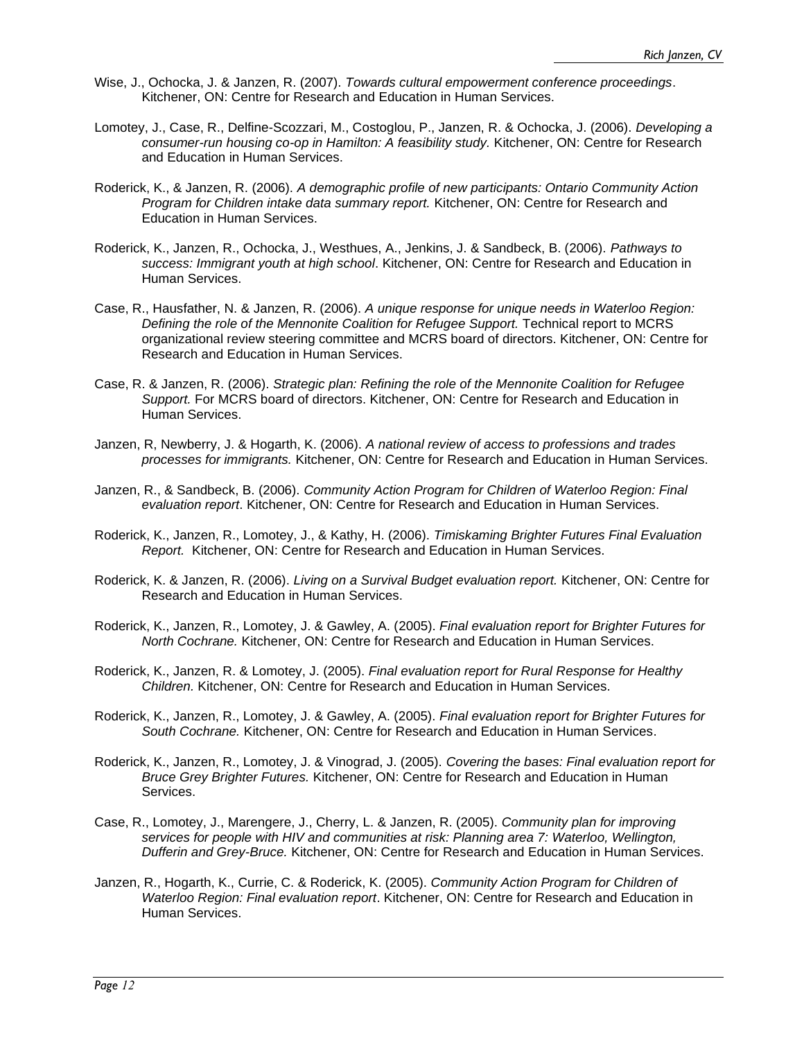- Wise, J., Ochocka, J. & Janzen, R. (2007). *Towards cultural empowerment conference proceedings*. Kitchener, ON: Centre for Research and Education in Human Services.
- Lomotey, J., Case, R., Delfine-Scozzari, M., Costoglou, P., Janzen, R. & Ochocka, J. (2006). *Developing a consumer-run housing co-op in Hamilton: A feasibility study.* Kitchener, ON: Centre for Research and Education in Human Services.
- Roderick, K., & Janzen, R. (2006). *A demographic profile of new participants: Ontario Community Action Program for Children intake data summary report.* Kitchener, ON: Centre for Research and Education in Human Services.
- Roderick, K., Janzen, R., Ochocka, J., Westhues, A., Jenkins, J. & Sandbeck, B. (2006). *Pathways to success: Immigrant youth at high school*. Kitchener, ON: Centre for Research and Education in Human Services.
- Case, R., Hausfather, N. & Janzen, R. (2006). *A unique response for unique needs in Waterloo Region: Defining the role of the Mennonite Coalition for Refugee Support.* Technical report to MCRS organizational review steering committee and MCRS board of directors. Kitchener, ON: Centre for Research and Education in Human Services.
- Case, R. & Janzen, R. (2006). *Strategic plan: Refining the role of the Mennonite Coalition for Refugee Support.* For MCRS board of directors. Kitchener, ON: Centre for Research and Education in Human Services.
- Janzen, R, Newberry, J. & Hogarth, K. (2006). *A national review of access to professions and trades processes for immigrants.* Kitchener, ON: Centre for Research and Education in Human Services.
- Janzen, R., & Sandbeck, B. (2006). *Community Action Program for Children of Waterloo Region: Final evaluation report*. Kitchener, ON: Centre for Research and Education in Human Services.
- Roderick, K., Janzen, R., Lomotey, J., & Kathy, H. (2006). *Timiskaming Brighter Futures Final Evaluation Report.* Kitchener, ON: Centre for Research and Education in Human Services.
- Roderick, K. & Janzen, R. (2006). *Living on a Survival Budget evaluation report.* Kitchener, ON: Centre for Research and Education in Human Services.
- Roderick, K., Janzen, R., Lomotey, J. & Gawley, A. (2005). *Final evaluation report for Brighter Futures for North Cochrane.* Kitchener, ON: Centre for Research and Education in Human Services.
- Roderick, K., Janzen, R. & Lomotey, J. (2005). *Final evaluation report for Rural Response for Healthy Children.* Kitchener, ON: Centre for Research and Education in Human Services.
- Roderick, K., Janzen, R., Lomotey, J. & Gawley, A. (2005). *Final evaluation report for Brighter Futures for South Cochrane.* Kitchener, ON: Centre for Research and Education in Human Services.
- Roderick, K., Janzen, R., Lomotey, J. & Vinograd, J. (2005). *Covering the bases: Final evaluation report for Bruce Grey Brighter Futures.* Kitchener, ON: Centre for Research and Education in Human Services.
- Case, R., Lomotey, J., Marengere, J., Cherry, L. & Janzen, R. (2005). *Community plan for improving services for people with HIV and communities at risk: Planning area 7: Waterloo, Wellington, Dufferin and Grey-Bruce.* Kitchener, ON: Centre for Research and Education in Human Services.
- Janzen, R., Hogarth, K., Currie, C. & Roderick, K. (2005). *Community Action Program for Children of Waterloo Region: Final evaluation report*. Kitchener, ON: Centre for Research and Education in Human Services.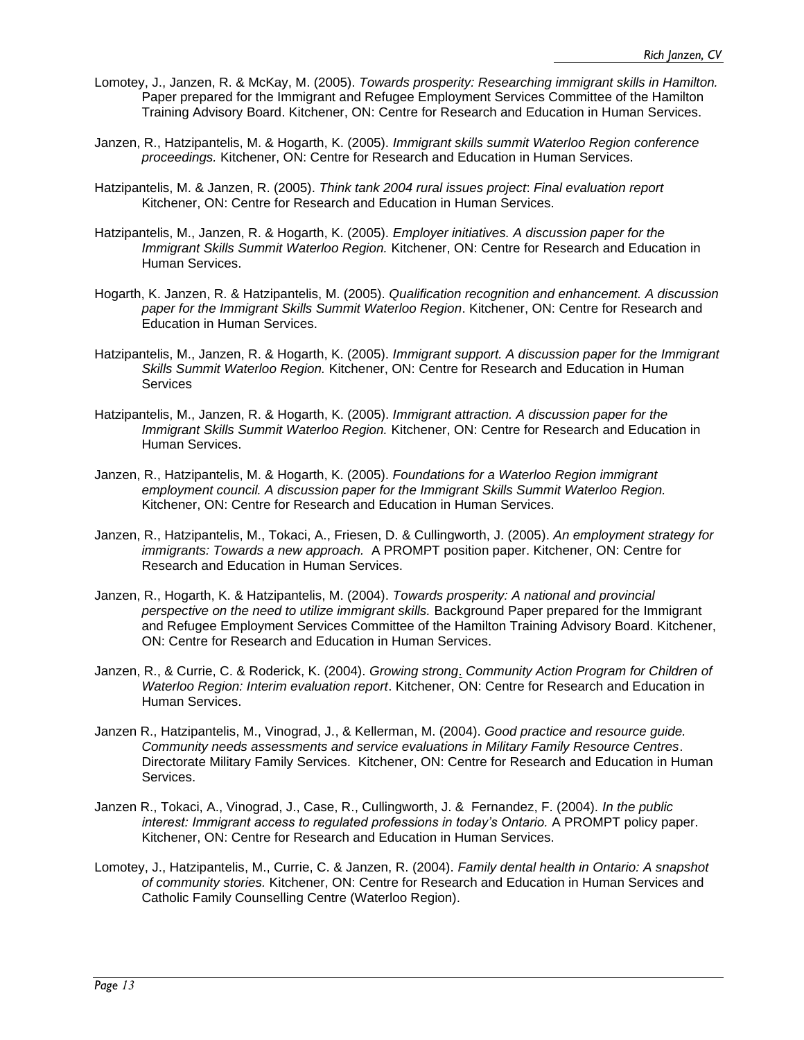- Lomotey, J., Janzen, R. & McKay, M. (2005). *Towards prosperity: Researching immigrant skills in Hamilton.* Paper prepared for the Immigrant and Refugee Employment Services Committee of the Hamilton Training Advisory Board. Kitchener, ON: Centre for Research and Education in Human Services.
- Janzen, R., Hatzipantelis, M. & Hogarth, K. (2005). *Immigrant skills summit Waterloo Region conference proceedings.* Kitchener, ON: Centre for Research and Education in Human Services.
- Hatzipantelis, M. & Janzen, R. (2005). *Think tank 2004 rural issues project*: *Final evaluation report* Kitchener, ON: Centre for Research and Education in Human Services.
- Hatzipantelis, M., Janzen, R. & Hogarth, K. (2005). *Employer initiatives. A discussion paper for the Immigrant Skills Summit Waterloo Region.* Kitchener, ON: Centre for Research and Education in Human Services.
- Hogarth, K. Janzen, R. & Hatzipantelis, M. (2005). *Qualification recognition and enhancement. A discussion paper for the Immigrant Skills Summit Waterloo Region*. Kitchener, ON: Centre for Research and Education in Human Services.
- Hatzipantelis, M., Janzen, R. & Hogarth, K. (2005). *Immigrant support. A discussion paper for the Immigrant Skills Summit Waterloo Region.* Kitchener, ON: Centre for Research and Education in Human **Services**
- Hatzipantelis, M., Janzen, R. & Hogarth, K. (2005). *Immigrant attraction. A discussion paper for the Immigrant Skills Summit Waterloo Region.* Kitchener, ON: Centre for Research and Education in Human Services.
- Janzen, R., Hatzipantelis, M. & Hogarth, K. (2005). *Foundations for a Waterloo Region immigrant employment council. A discussion paper for the Immigrant Skills Summit Waterloo Region.* Kitchener, ON: Centre for Research and Education in Human Services.
- Janzen, R., Hatzipantelis, M., Tokaci, A., Friesen, D. & Cullingworth, J. (2005). *An employment strategy for immigrants: Towards a new approach.* A PROMPT position paper. Kitchener, ON: Centre for Research and Education in Human Services.
- Janzen, R., Hogarth, K. & Hatzipantelis, M. (2004). *Towards prosperity: A national and provincial perspective on the need to utilize immigrant skills.* Background Paper prepared for the Immigrant and Refugee Employment Services Committee of the Hamilton Training Advisory Board. Kitchener, ON: Centre for Research and Education in Human Services.
- Janzen, R., & Currie, C. & Roderick, K. (2004). *Growing strong*. *Community Action Program for Children of Waterloo Region: Interim evaluation report*. Kitchener, ON: Centre for Research and Education in Human Services.
- Janzen R., Hatzipantelis, M., Vinograd, J., & Kellerman, M. (2004). *Good practice and resource guide. Community needs assessments and service evaluations in Military Family Resource Centres*. Directorate Military Family Services. Kitchener, ON: Centre for Research and Education in Human Services.
- Janzen R., Tokaci, A., Vinograd, J., Case, R., Cullingworth, J. & Fernandez, F. (2004). *In the public interest: Immigrant access to regulated professions in today's Ontario.* A PROMPT policy paper. Kitchener, ON: Centre for Research and Education in Human Services.
- Lomotey, J., Hatzipantelis, M., Currie, C. & Janzen, R. (2004). *Family dental health in Ontario: A snapshot of community stories.* Kitchener, ON: Centre for Research and Education in Human Services and Catholic Family Counselling Centre (Waterloo Region).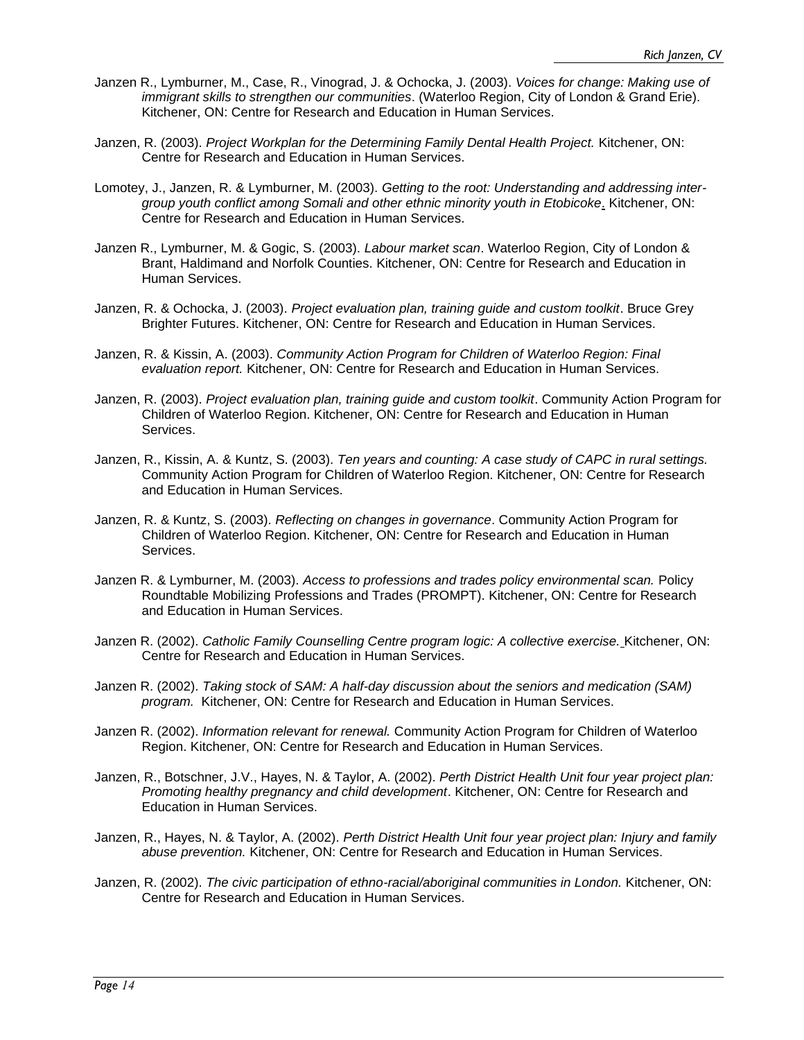- Janzen R., Lymburner, M., Case, R., Vinograd, J. & Ochocka, J. (2003). *Voices for change: Making use of immigrant skills to strengthen our communities*. (Waterloo Region, City of London & Grand Erie). Kitchener, ON: Centre for Research and Education in Human Services.
- Janzen, R. (2003). *Project Workplan for the Determining Family Dental Health Project.* Kitchener, ON: Centre for Research and Education in Human Services.
- Lomotey, J., Janzen, R. & Lymburner, M. (2003). *Getting to the root: Understanding and addressing intergroup youth conflict among Somali and other ethnic minority youth in Etobicoke*. Kitchener, ON: Centre for Research and Education in Human Services.
- Janzen R., Lymburner, M. & Gogic, S. (2003). *Labour market scan*. Waterloo Region, City of London & Brant, Haldimand and Norfolk Counties. Kitchener, ON: Centre for Research and Education in Human Services.
- Janzen, R. & Ochocka, J. (2003). *Project evaluation plan, training guide and custom toolkit*. Bruce Grey Brighter Futures. Kitchener, ON: Centre for Research and Education in Human Services.
- Janzen, R. & Kissin, A. (2003). *Community Action Program for Children of Waterloo Region: Final evaluation report.* Kitchener, ON: Centre for Research and Education in Human Services.
- Janzen, R. (2003). *Project evaluation plan, training guide and custom toolkit*. Community Action Program for Children of Waterloo Region. Kitchener, ON: Centre for Research and Education in Human Services.
- Janzen, R., Kissin, A. & Kuntz, S. (2003). *Ten years and counting: A case study of CAPC in rural settings.*  Community Action Program for Children of Waterloo Region. Kitchener, ON: Centre for Research and Education in Human Services.
- Janzen, R. & Kuntz, S. (2003). *Reflecting on changes in governance*. Community Action Program for Children of Waterloo Region. Kitchener, ON: Centre for Research and Education in Human Services.
- Janzen R. & Lymburner, M. (2003). *Access to professions and trades policy environmental scan.* Policy Roundtable Mobilizing Professions and Trades (PROMPT). Kitchener, ON: Centre for Research and Education in Human Services.
- Janzen R. (2002). *Catholic Family Counselling Centre program logic: A collective exercise.* Kitchener, ON: Centre for Research and Education in Human Services.
- Janzen R. (2002). *Taking stock of SAM: A half-day discussion about the seniors and medication (SAM) program.* Kitchener, ON: Centre for Research and Education in Human Services.
- Janzen R. (2002). *Information relevant for renewal.* Community Action Program for Children of Waterloo Region. Kitchener, ON: Centre for Research and Education in Human Services.
- Janzen, R., Botschner, J.V., Hayes, N. & Taylor, A. (2002). *Perth District Health Unit four year project plan: Promoting healthy pregnancy and child development*. Kitchener, ON: Centre for Research and Education in Human Services.
- Janzen, R., Hayes, N. & Taylor, A. (2002). *Perth District Health Unit four year project plan: Injury and family abuse prevention.* Kitchener, ON: Centre for Research and Education in Human Services.
- Janzen, R. (2002). *The civic participation of ethno-racial/aboriginal communities in London.* Kitchener, ON: Centre for Research and Education in Human Services.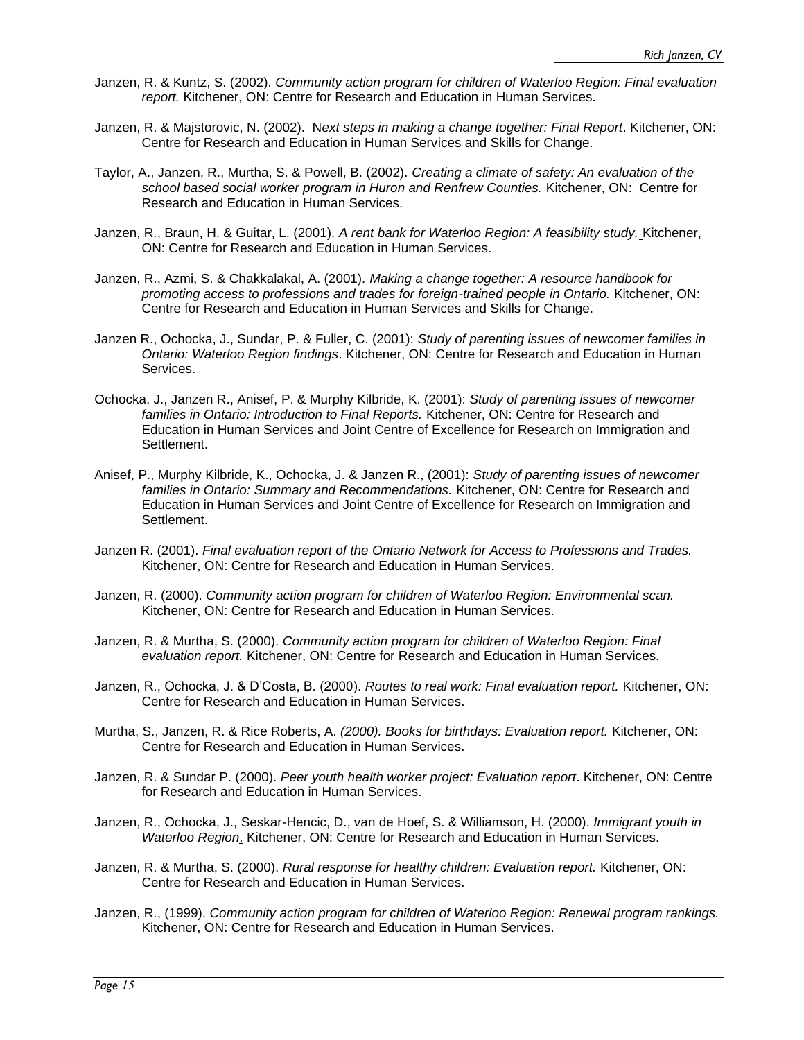- Janzen, R. & Kuntz, S. (2002). *Community action program for children of Waterloo Region: Final evaluation report.* Kitchener, ON: Centre for Research and Education in Human Services.
- Janzen, R. & Majstorovic, N. (2002). N*ext steps in making a change together: Final Report*. Kitchener, ON: Centre for Research and Education in Human Services and Skills for Change.
- Taylor, A., Janzen, R., Murtha, S. & Powell, B. (2002). *Creating a climate of safety: An evaluation of the school based social worker program in Huron and Renfrew Counties.* Kitchener, ON: Centre for Research and Education in Human Services.
- Janzen, R., Braun, H. & Guitar, L. (2001). *A rent bank for Waterloo Region: A feasibility study.* Kitchener, ON: Centre for Research and Education in Human Services.
- Janzen, R., Azmi, S. & Chakkalakal, A. (2001). *Making a change together: A resource handbook for promoting access to professions and trades for foreign-trained people in Ontario.* Kitchener, ON: Centre for Research and Education in Human Services and Skills for Change.
- Janzen R., Ochocka, J., Sundar, P. & Fuller, C. (2001): *Study of parenting issues of newcomer families in Ontario: Waterloo Region findings*. Kitchener, ON: Centre for Research and Education in Human Services.
- Ochocka, J., Janzen R., Anisef, P. & Murphy Kilbride, K. (2001): *Study of parenting issues of newcomer families in Ontario: Introduction to Final Reports.* Kitchener, ON: Centre for Research and Education in Human Services and Joint Centre of Excellence for Research on Immigration and Settlement.
- Anisef, P., Murphy Kilbride, K., Ochocka, J. & Janzen R., (2001): *Study of parenting issues of newcomer families in Ontario: Summary and Recommendations.* Kitchener, ON: Centre for Research and Education in Human Services and Joint Centre of Excellence for Research on Immigration and Settlement.
- Janzen R. (2001). *Final evaluation report of the Ontario Network for Access to Professions and Trades.* Kitchener, ON: Centre for Research and Education in Human Services.
- Janzen, R. (2000). *Community action program for children of Waterloo Region: Environmental scan.* Kitchener, ON: Centre for Research and Education in Human Services.
- Janzen, R. & Murtha, S. (2000). *Community action program for children of Waterloo Region: Final evaluation report.* Kitchener, ON: Centre for Research and Education in Human Services.
- Janzen, R., Ochocka, J. & D'Costa, B. (2000). *Routes to real work: Final evaluation report.* Kitchener, ON: Centre for Research and Education in Human Services.
- Murtha, S., Janzen, R. & Rice Roberts, A. *(2000). Books for birthdays: Evaluation report.* Kitchener, ON: Centre for Research and Education in Human Services.
- Janzen, R. & Sundar P. (2000). *Peer youth health worker project: Evaluation report*. Kitchener, ON: Centre for Research and Education in Human Services.
- Janzen, R., Ochocka, J., Seskar-Hencic, D., van de Hoef, S. & Williamson, H. (2000). *Immigrant youth in Waterloo Region*. Kitchener, ON: Centre for Research and Education in Human Services.
- Janzen, R. & Murtha, S. (2000). *Rural response for healthy children: Evaluation report.* Kitchener, ON: Centre for Research and Education in Human Services.
- Janzen, R., (1999). *Community action program for children of Waterloo Region: Renewal program rankings.*  Kitchener, ON: Centre for Research and Education in Human Services.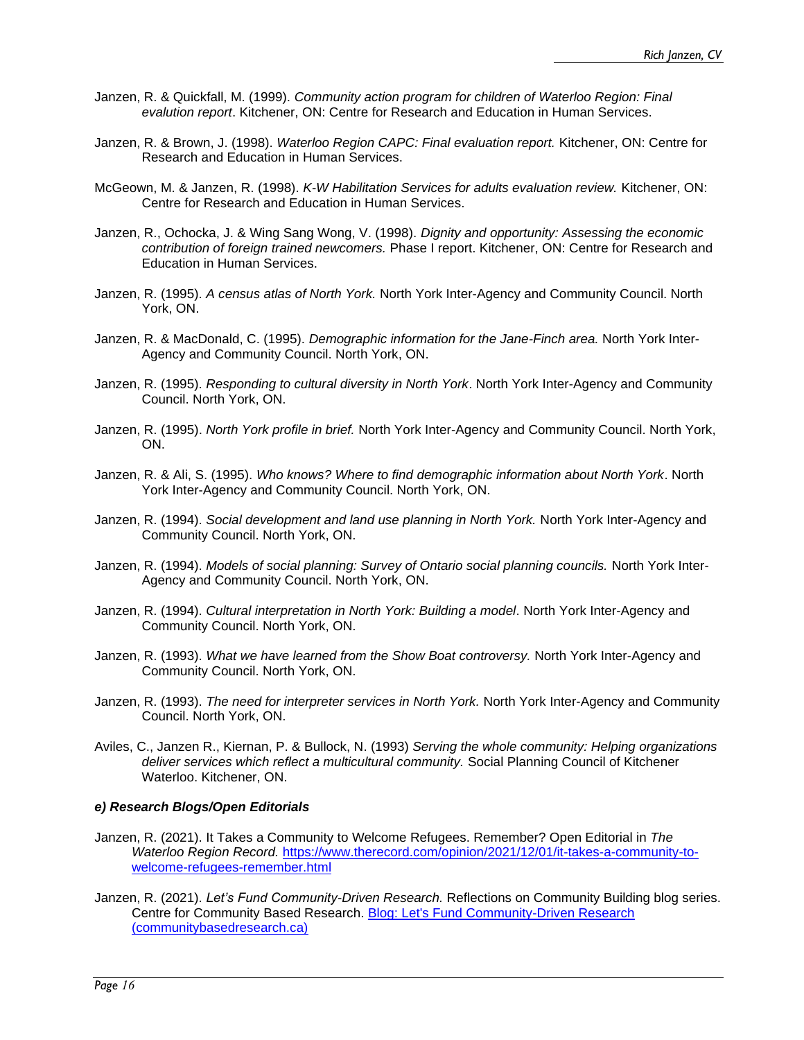- Janzen, R. & Quickfall, M. (1999). *Community action program for children of Waterloo Region: Final evalution report*. Kitchener, ON: Centre for Research and Education in Human Services.
- Janzen, R. & Brown, J. (1998). *Waterloo Region CAPC: Final evaluation report.* Kitchener, ON: Centre for Research and Education in Human Services.
- McGeown, M. & Janzen, R. (1998). *K-W Habilitation Services for adults evaluation review.* Kitchener, ON: Centre for Research and Education in Human Services.
- Janzen, R., Ochocka, J. & Wing Sang Wong, V. (1998). *Dignity and opportunity: Assessing the economic contribution of foreign trained newcomers.* Phase I report. Kitchener, ON: Centre for Research and Education in Human Services.
- Janzen, R. (1995). *A census atlas of North York.* North York Inter-Agency and Community Council. North York, ON.
- Janzen, R. & MacDonald, C. (1995). *Demographic information for the Jane-Finch area.* North York Inter-Agency and Community Council. North York, ON.
- Janzen, R. (1995). *Responding to cultural diversity in North York*. North York Inter-Agency and Community Council. North York, ON.
- Janzen, R. (1995). *North York profile in brief.* North York Inter-Agency and Community Council. North York, ON.
- Janzen, R. & Ali, S. (1995). *Who knows? Where to find demographic information about North York*. North York Inter-Agency and Community Council. North York, ON.
- Janzen, R. (1994). *Social development and land use planning in North York.* North York Inter-Agency and Community Council. North York, ON.
- Janzen, R. (1994). *Models of social planning: Survey of Ontario social planning councils.* North York Inter-Agency and Community Council. North York, ON.
- Janzen, R. (1994). *Cultural interpretation in North York: Building a model*. North York Inter-Agency and Community Council. North York, ON.
- Janzen, R. (1993). *What we have learned from the Show Boat controversy.* North York Inter-Agency and Community Council. North York, ON.
- Janzen, R. (1993). *The need for interpreter services in North York.* North York Inter-Agency and Community Council. North York, ON.
- Aviles, C., Janzen R., Kiernan, P. & Bullock, N. (1993) *Serving the whole community: Helping organizations deliver services which reflect a multicultural community.* Social Planning Council of Kitchener Waterloo. Kitchener, ON.

#### *e) Research Blogs/Open Editorials*

- Janzen, R. (2021). It Takes a Community to Welcome Refugees. Remember? Open Editorial in *The Waterloo Region Record.* [https://www.therecord.com/opinion/2021/12/01/it-takes-a-community-to](https://www.therecord.com/opinion/2021/12/01/it-takes-a-community-to-welcome-refugees-remember.html)[welcome-refugees-remember.html](https://www.therecord.com/opinion/2021/12/01/it-takes-a-community-to-welcome-refugees-remember.html)
- Janzen, R. (2021). *Let's Fund Community-Driven Research.* Reflections on Community Building blog series. Centre for Community Based Research. [Blog: Let's Fund Community-Driven Research](https://www.communitybasedresearch.ca/post/blog-let-s-fund-community-driven-research)  [\(communitybasedresearch.ca\)](https://www.communitybasedresearch.ca/post/blog-let-s-fund-community-driven-research)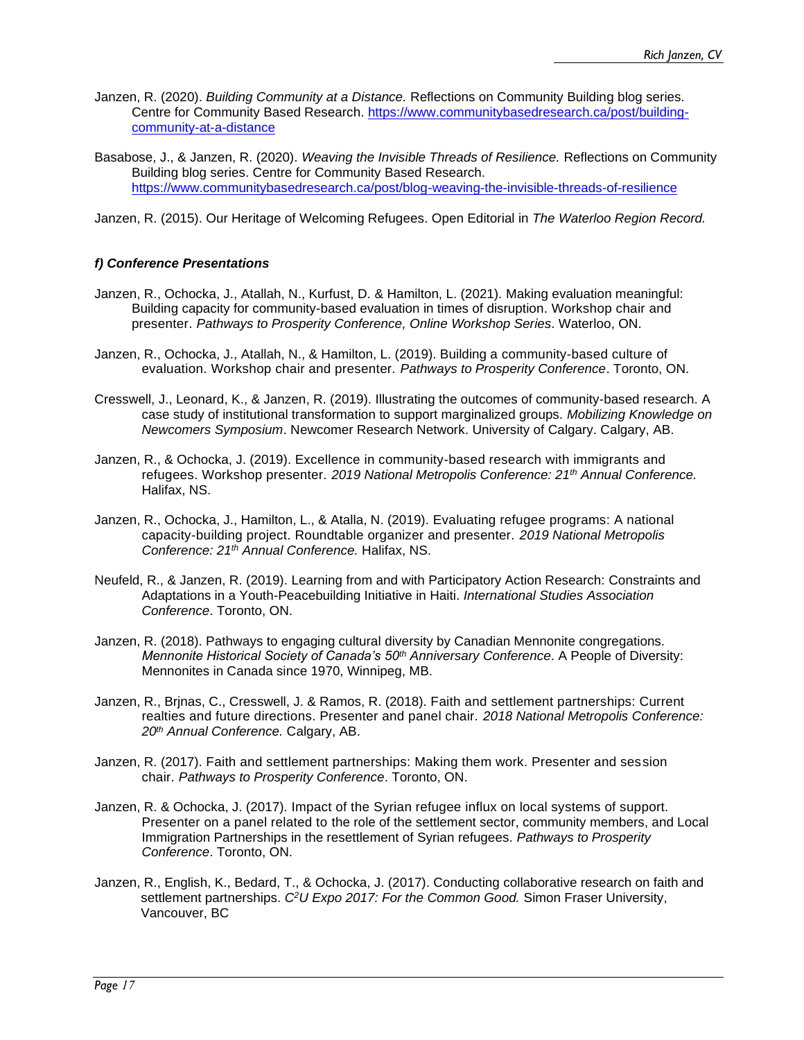- Janzen, R. (2020). *Building Community at a Distance.* Reflections on Community Building blog series. Centre for Community Based Research. [https://www.communitybasedresearch.ca/post/building](https://www.communitybasedresearch.ca/post/building-community-at-a-distance)[community-at-a-distance](https://www.communitybasedresearch.ca/post/building-community-at-a-distance)
- Basabose, J., & Janzen, R. (2020). *Weaving the Invisible Threads of Resilience.* Reflections on Community Building blog series. Centre for Community Based Research. <https://www.communitybasedresearch.ca/post/blog-weaving-the-invisible-threads-of-resilience>

Janzen, R. (2015). Our Heritage of Welcoming Refugees. Open Editorial in *The Waterloo Region Record.*

## *f) Conference Presentations*

- Janzen, R., Ochocka, J., Atallah, N., Kurfust, D. & Hamilton, L. (2021). Making evaluation meaningful: Building capacity for community-based evaluation in times of disruption. Workshop chair and presenter. *Pathways to Prosperity Conference, Online Workshop Series*. Waterloo, ON.
- Janzen, R., Ochocka, J., Atallah, N., & Hamilton, L. (2019). Building a community-based culture of evaluation. Workshop chair and presenter. *Pathways to Prosperity Conference*. Toronto, ON.
- Cresswell, J., Leonard, K., & Janzen, R. (2019). Illustrating the outcomes of community-based research. A case study of institutional transformation to support marginalized groups. *Mobilizing Knowledge on Newcomers Symposium*. Newcomer Research Network. University of Calgary. Calgary, AB.
- Janzen, R., & Ochocka, J. (2019). Excellence in community-based research with immigrants and refugees. Workshop presenter. *2019 National Metropolis Conference: 21th Annual Conference.* Halifax, NS.
- Janzen, R., Ochocka, J., Hamilton, L., & Atalla, N. (2019). Evaluating refugee programs: A national capacity-building project. Roundtable organizer and presenter. *2019 National Metropolis Conference: 21th Annual Conference.* Halifax, NS.
- Neufeld, R., & Janzen, R. (2019). Learning from and with Participatory Action Research: Constraints and Adaptations in a Youth-Peacebuilding Initiative in Haiti. *International Studies Association Conference*. Toronto, ON.
- Janzen, R. (2018). Pathways to engaging cultural diversity by Canadian Mennonite congregations. *Mennonite Historical Society of Canada's 50th Anniversary Conference*. A People of Diversity: Mennonites in Canada since 1970, Winnipeg, MB.
- Janzen, R., Brjnas, C., Cresswell, J. & Ramos, R. (2018). Faith and settlement partnerships: Current realties and future directions. Presenter and panel chair. *2018 National Metropolis Conference: 20th Annual Conference.* Calgary, AB.
- Janzen, R. (2017). Faith and settlement partnerships: Making them work. Presenter and session chair. *Pathways to Prosperity Conference*. Toronto, ON.
- Janzen, R. & Ochocka, J. (2017). Impact of the Syrian refugee influx on local systems of support. Presenter on a panel related to the role of the settlement sector, community members, and Local Immigration Partnerships in the resettlement of Syrian refugees. *Pathways to Prosperity Conference*. Toronto, ON.
- Janzen, R., English, K., Bedard, T., & Ochocka, J. (2017). Conducting collaborative research on faith and settlement partnerships. *C<sup>2</sup>U Expo 2017: For the Common Good.* Simon Fraser University, Vancouver, BC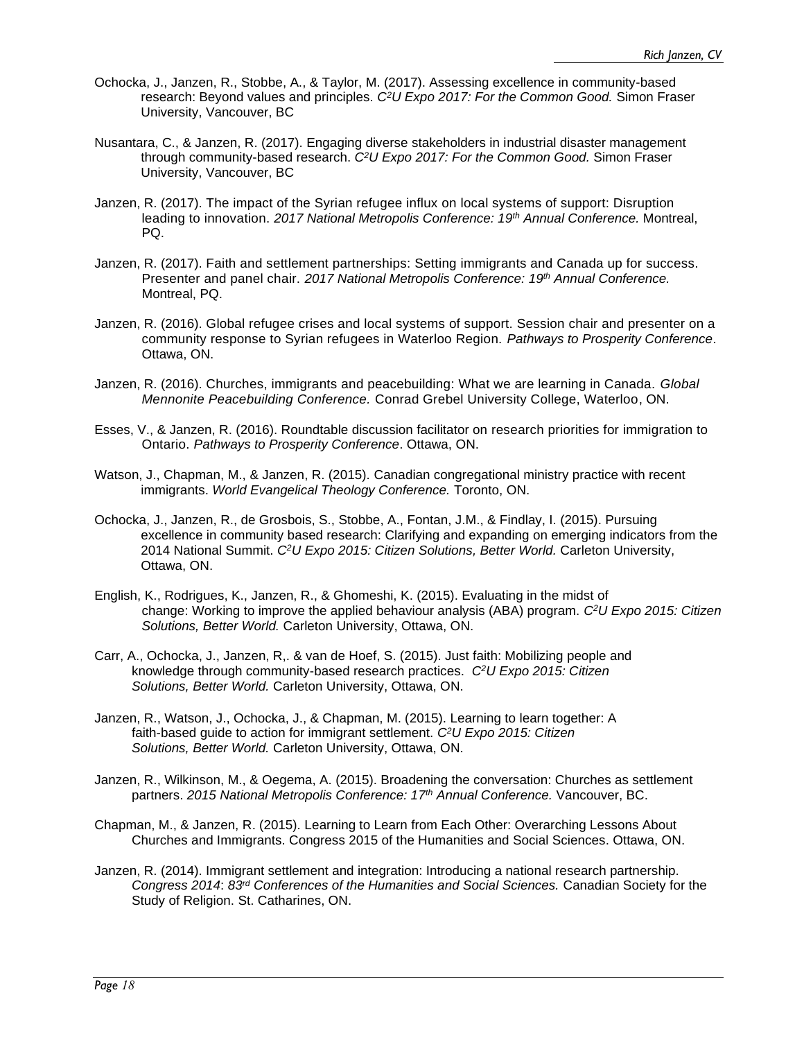- Ochocka, J., Janzen, R., Stobbe, A., & Taylor, M. (2017). Assessing excellence in community-based research: Beyond values and principles. *C<sup>2</sup>U Expo 2017: For the Common Good.* Simon Fraser University, Vancouver, BC
- Nusantara, C., & Janzen, R. (2017). Engaging diverse stakeholders in industrial disaster management through community-based research. *C<sup>2</sup>U Expo 2017: For the Common Good.* Simon Fraser University, Vancouver, BC
- Janzen, R. (2017). The impact of the Syrian refugee influx on local systems of support: Disruption leading to innovation. *2017 National Metropolis Conference: 19th Annual Conference.* Montreal, PQ.
- Janzen, R. (2017). Faith and settlement partnerships: Setting immigrants and Canada up for success. Presenter and panel chair. *2017 National Metropolis Conference: 19th Annual Conference.* Montreal, PQ.
- Janzen, R. (2016). Global refugee crises and local systems of support. Session chair and presenter on a community response to Syrian refugees in Waterloo Region. *Pathways to Prosperity Conference*. Ottawa, ON.
- Janzen, R. (2016). Churches, immigrants and peacebuilding: What we are learning in Canada. *Global Mennonite Peacebuilding Conference.* Conrad Grebel University College, Waterloo, ON.
- Esses, V., & Janzen, R. (2016). Roundtable discussion facilitator on research priorities for immigration to Ontario. *Pathways to Prosperity Conference*. Ottawa, ON.
- Watson, J., Chapman, M., & Janzen, R. (2015). Canadian congregational ministry practice with recent immigrants. *World Evangelical Theology Conference.* Toronto, ON.
- Ochocka, J., Janzen, R., de Grosbois, S., Stobbe, A., Fontan, J.M., & Findlay, I. (2015). Pursuing excellence in community based research: Clarifying and expanding on emerging indicators from the 2014 National Summit. *C<sup>2</sup>U Expo 2015: Citizen Solutions, Better World.* Carleton University, Ottawa, ON.
- English, K., Rodrigues, K., Janzen, R., & Ghomeshi, K. (2015). Evaluating in the midst of change: Working to improve the applied behaviour analysis (ABA) program. *C<sup>2</sup>U Expo 2015: Citizen Solutions, Better World.* Carleton University, Ottawa, ON.
- Carr, A., Ochocka, J., Janzen, R,. & van de Hoef, S. (2015). Just faith: Mobilizing people and knowledge through community-based research practices. *C<sup>2</sup>U Expo 2015: Citizen Solutions, Better World.* Carleton University, Ottawa, ON.
- Janzen, R., Watson, J., Ochocka, J., & Chapman, M. (2015). Learning to learn together: A faith-based guide to action for immigrant settlement. *C<sup>2</sup>U Expo 2015: Citizen Solutions, Better World.* Carleton University, Ottawa, ON.
- Janzen, R., Wilkinson, M., & Oegema, A. (2015). Broadening the conversation: Churches as settlement partners. *2015 National Metropolis Conference: 17th Annual Conference.* Vancouver, BC.
- Chapman, M., & Janzen, R. (2015). Learning to Learn from Each Other: Overarching Lessons About Churches and Immigrants. Congress 2015 of the Humanities and Social Sciences. Ottawa, ON.
- Janzen, R. (2014). Immigrant settlement and integration: Introducing a national research partnership. *Congress 2014*: *83rd Conferences of the Humanities and Social Sciences.* Canadian Society for the Study of Religion. St. Catharines, ON.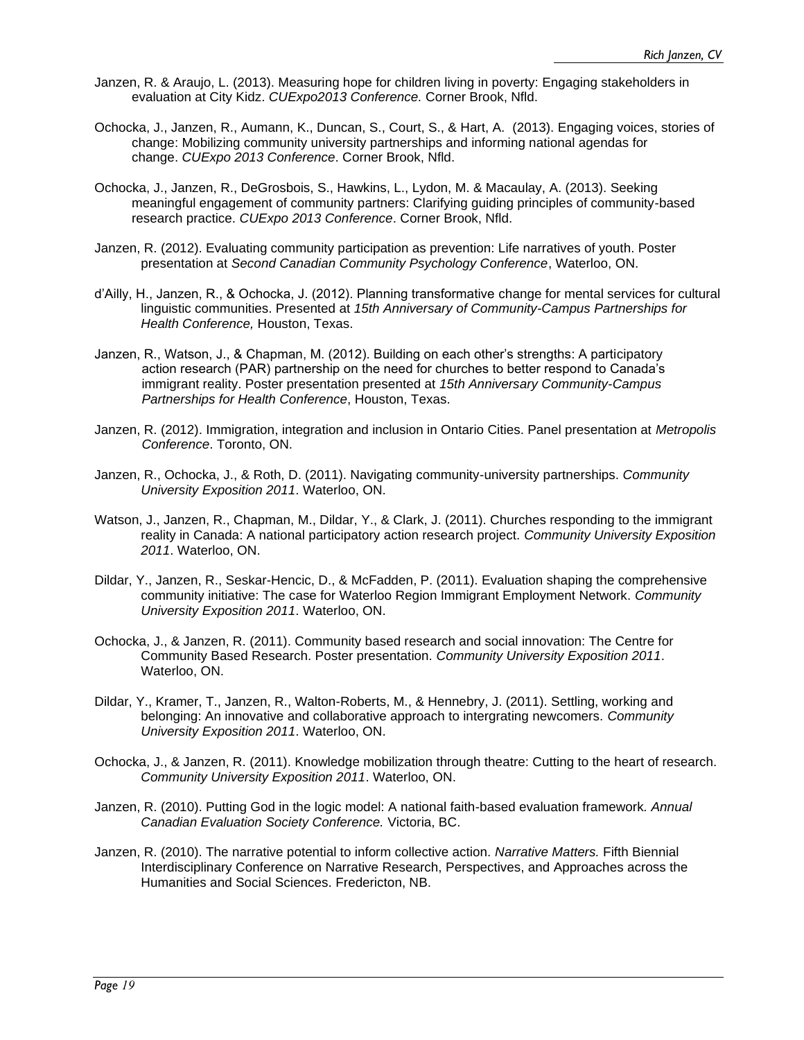- Janzen, R. & Araujo, L. (2013). Measuring hope for children living in poverty: Engaging stakeholders in evaluation at City Kidz. *CUExpo2013 Conference.* Corner Brook, Nfld.
- Ochocka, J., Janzen, R., Aumann, K., Duncan, S., Court, S., & Hart, A. (2013). Engaging voices, stories of change: Mobilizing community university partnerships and informing national agendas for change. *CUExpo 2013 Conference*. Corner Brook, Nfld.
- Ochocka, J., Janzen, R., DeGrosbois, S., Hawkins, L., Lydon, M. & Macaulay, A. (2013). Seeking meaningful engagement of community partners: Clarifying guiding principles of community-based research practice. *CUExpo 2013 Conference*. Corner Brook, Nfld.
- Janzen, R. (2012). Evaluating community participation as prevention: Life narratives of youth. Poster presentation at *Second Canadian Community Psychology Conference*, Waterloo, ON.
- d'Ailly, H., Janzen, R., & Ochocka, J. (2012). Planning transformative change for mental services for cultural linguistic communities. Presented at *15th Anniversary of Community-Campus Partnerships for Health Conference,* Houston, Texas.
- Janzen, R., Watson, J., & Chapman, M. (2012). Building on each other's strengths: A participatory action research (PAR) partnership on the need for churches to better respond to Canada's immigrant reality. Poster presentation presented at *15th Anniversary Community-Campus Partnerships for Health Conference*, Houston, Texas.
- Janzen, R. (2012). Immigration, integration and inclusion in Ontario Cities. Panel presentation at *Metropolis Conference*. Toronto, ON.
- Janzen, R., Ochocka, J., & Roth, D. (2011). Navigating community-university partnerships. *Community University Exposition 2011*. Waterloo, ON.
- Watson, J., Janzen, R., Chapman, M., Dildar, Y., & Clark, J. (2011). Churches responding to the immigrant reality in Canada: A national participatory action research project. *Community University Exposition 2011*. Waterloo, ON.
- Dildar, Y., Janzen, R., Seskar-Hencic, D., & McFadden, P. (2011). Evaluation shaping the comprehensive community initiative: The case for Waterloo Region Immigrant Employment Network. *Community University Exposition 2011*. Waterloo, ON.
- Ochocka, J., & Janzen, R. (2011). Community based research and social innovation: The Centre for Community Based Research. Poster presentation. *Community University Exposition 2011*. Waterloo, ON.
- Dildar, Y., Kramer, T., Janzen, R., Walton-Roberts, M., & Hennebry, J. (2011). Settling, working and belonging: An innovative and collaborative approach to intergrating newcomers. *Community University Exposition 2011*. Waterloo, ON.
- Ochocka, J., & Janzen, R. (2011). Knowledge mobilization through theatre: Cutting to the heart of research. *Community University Exposition 2011*. Waterloo, ON.
- Janzen, R. (2010). Putting God in the logic model: A national faith-based evaluation framework*. Annual Canadian Evaluation Society Conference.* Victoria, BC.
- Janzen, R. (2010). The narrative potential to inform collective action. *Narrative Matters.* Fifth Biennial Interdisciplinary Conference on Narrative Research, Perspectives, and Approaches across the Humanities and Social Sciences. Fredericton, NB.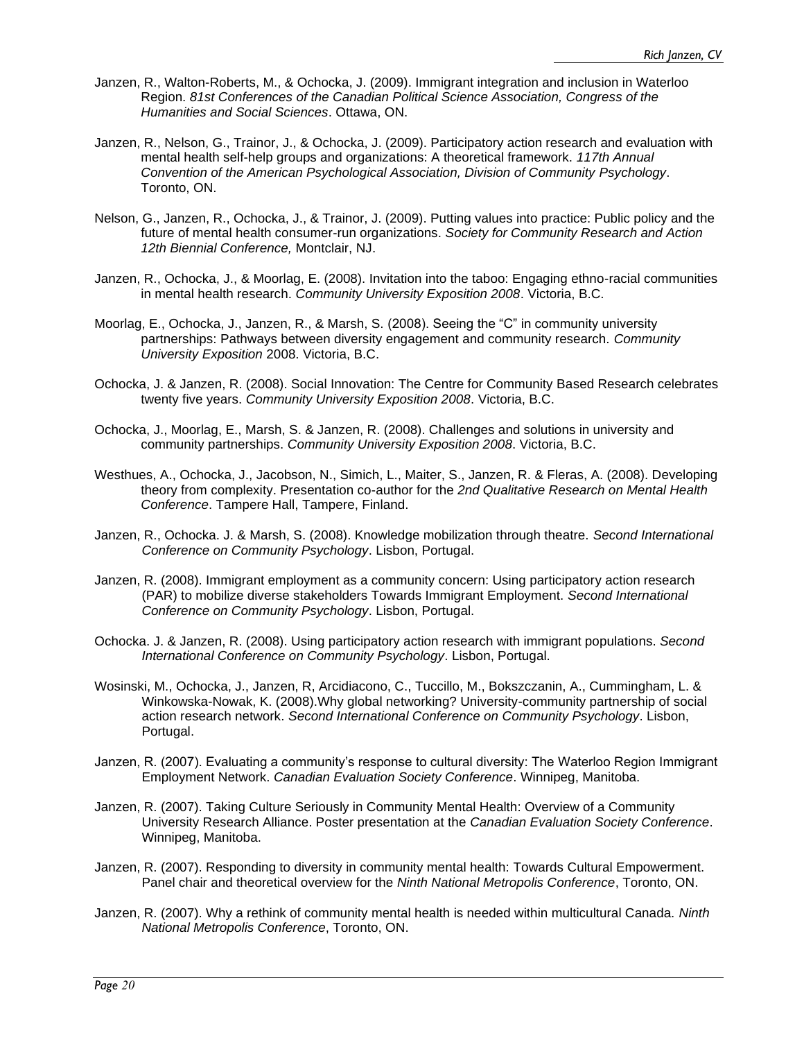- Janzen, R., Walton-Roberts, M., & Ochocka, J. (2009). Immigrant integration and inclusion in Waterloo Region. *81st Conferences of the Canadian Political Science Association, Congress of the Humanities and Social Sciences*. Ottawa, ON.
- Janzen, R., Nelson, G., Trainor, J., & Ochocka, J. (2009). Participatory action research and evaluation with mental health self-help groups and organizations: A theoretical framework. *117th Annual Convention of the American Psychological Association, Division of Community Psychology*. Toronto, ON.
- Nelson, G., Janzen, R., Ochocka, J., & Trainor, J. (2009). Putting values into practice: Public policy and the future of mental health consumer-run organizations. *Society for Community Research and Action 12th Biennial Conference,* Montclair, NJ.
- Janzen, R., Ochocka, J., & Moorlag, E. (2008). Invitation into the taboo: Engaging ethno-racial communities in mental health research. *Community University Exposition 2008*. Victoria, B.C.
- Moorlag, E., Ochocka, J., Janzen, R., & Marsh, S. (2008). Seeing the "C" in community university partnerships: Pathways between diversity engagement and community research. *Community University Exposition* 2008. Victoria, B.C.
- Ochocka, J. & Janzen, R. (2008). Social Innovation: The Centre for Community Based Research celebrates twenty five years. *Community University Exposition 2008*. Victoria, B.C.
- Ochocka, J., Moorlag, E., Marsh, S. & Janzen, R. (2008). Challenges and solutions in university and community partnerships. *Community University Exposition 2008*. Victoria, B.C.
- Westhues, A., Ochocka, J., Jacobson, N., Simich, L., Maiter, S., Janzen, R. & Fleras, A. (2008). Developing theory from complexity. Presentation co-author for the *2nd Qualitative Research on Mental Health Conference*. Tampere Hall, Tampere, Finland.
- Janzen, R., Ochocka. J. & Marsh, S. (2008). Knowledge mobilization through theatre. *Second International Conference on Community Psychology*. Lisbon, Portugal.
- Janzen, R. (2008). Immigrant employment as a community concern: Using participatory action research (PAR) to mobilize diverse stakeholders Towards Immigrant Employment. *Second International Conference on Community Psychology*. Lisbon, Portugal.
- Ochocka. J. & Janzen, R. (2008). Using participatory action research with immigrant populations. *Second International Conference on Community Psychology*. Lisbon, Portugal.
- Wosinski, M., Ochocka, J., Janzen, R, Arcidiacono, C., Tuccillo, M., Bokszczanin, A., Cummingham, L. & Winkowska-Nowak, K. (2008).Why global networking? University-community partnership of social action research network. *Second International Conference on Community Psychology*. Lisbon, Portugal.
- Janzen, R. (2007). Evaluating a community's response to cultural diversity: The Waterloo Region Immigrant Employment Network. *Canadian Evaluation Society Conference*. Winnipeg, Manitoba.
- Janzen, R. (2007). Taking Culture Seriously in Community Mental Health: Overview of a Community University Research Alliance. Poster presentation at the *Canadian Evaluation Society Conference*. Winnipeg, Manitoba.
- Janzen, R. (2007). Responding to diversity in community mental health: Towards Cultural Empowerment. Panel chair and theoretical overview for the *Ninth National Metropolis Conference*, Toronto, ON.
- Janzen, R. (2007). Why a rethink of community mental health is needed within multicultural Canada. *Ninth National Metropolis Conference*, Toronto, ON.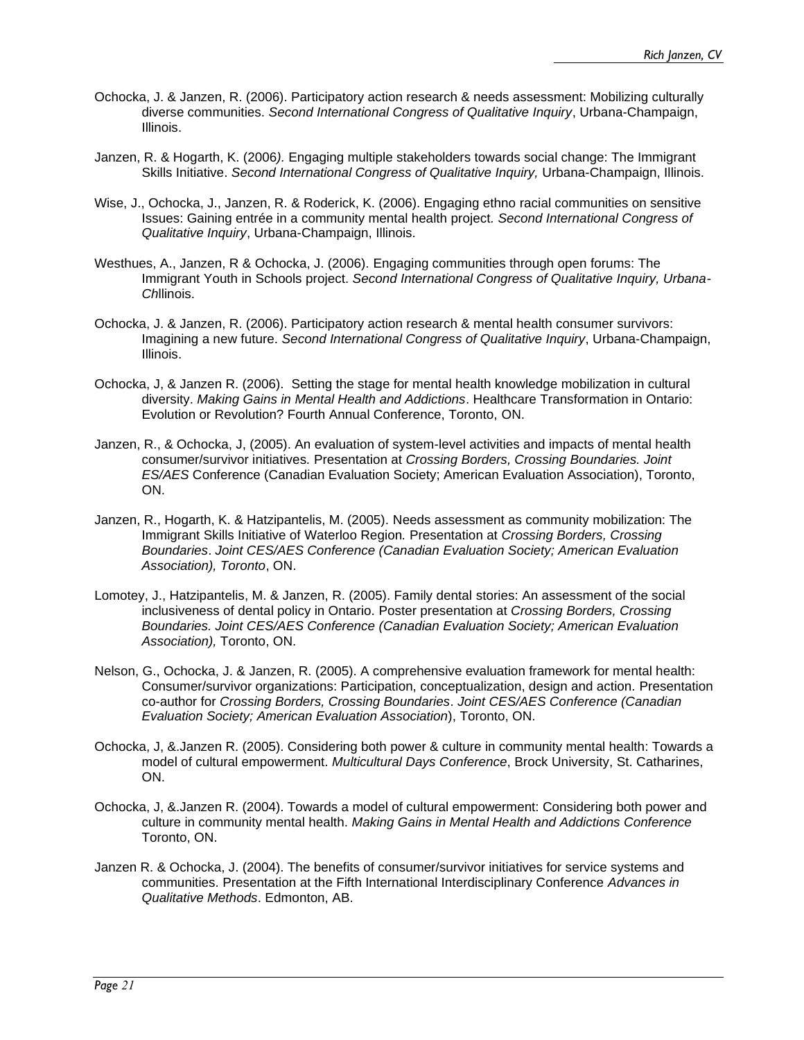- Ochocka, J. & Janzen, R. (2006). Participatory action research & needs assessment: Mobilizing culturally diverse communities. *Second International Congress of Qualitative Inquiry*, Urbana-Champaign, Illinois.
- Janzen, R. & Hogarth, K. (2006*).* Engaging multiple stakeholders towards social change: The Immigrant Skills Initiative. *Second International Congress of Qualitative Inquiry,* Urbana-Champaign, Illinois.
- Wise, J., Ochocka, J., Janzen, R. & Roderick, K. (2006). Engaging ethno racial communities on sensitive Issues: Gaining entrée in a community mental health project*. Second International Congress of Qualitative Inquiry*, Urbana-Champaign, Illinois.
- Westhues, A., Janzen, R & Ochocka, J. (2006). Engaging communities through open forums: The Immigrant Youth in Schools project. *Second International Congress of Qualitative Inquiry, Urbana-Ch*llinois.
- Ochocka, J. & Janzen, R. (2006). Participatory action research & mental health consumer survivors: Imagining a new future. *Second International Congress of Qualitative Inquiry*, Urbana-Champaign, Illinois.
- Ochocka, J, & Janzen R. (2006). Setting the stage for mental health knowledge mobilization in cultural diversity. *Making Gains in Mental Health and Addictions*. Healthcare Transformation in Ontario: Evolution or Revolution? Fourth Annual Conference, Toronto, ON.
- Janzen, R., & Ochocka, J, (2005). An evaluation of system-level activities and impacts of mental health consumer/survivor initiatives*.* Presentation at *Crossing Borders, Crossing Boundaries. Joint ES/AES* Conference (Canadian Evaluation Society; American Evaluation Association), Toronto, ON.
- Janzen, R., Hogarth, K. & Hatzipantelis, M. (2005). Needs assessment as community mobilization: The Immigrant Skills Initiative of Waterloo Region*.* Presentation at *Crossing Borders, Crossing Boundaries*. *Joint CES/AES Conference (Canadian Evaluation Society; American Evaluation Association), Toronto*, ON.
- Lomotey, J., Hatzipantelis, M. & Janzen, R. (2005). Family dental stories: An assessment of the social inclusiveness of dental policy in Ontario. Poster presentation at *Crossing Borders, Crossing Boundaries. Joint CES/AES Conference (Canadian Evaluation Society; American Evaluation Association),* Toronto, ON.
- Nelson, G., Ochocka, J. & Janzen, R. (2005). A comprehensive evaluation framework for mental health: Consumer/survivor organizations: Participation, conceptualization, design and action*.* Presentation co-author for *Crossing Borders, Crossing Boundaries*. *Joint CES/AES Conference (Canadian Evaluation Society; American Evaluation Association*), Toronto, ON.
- Ochocka, J, &.Janzen R. (2005). Considering both power & culture in community mental health: Towards a model of cultural empowerment. *Multicultural Days Conference*, Brock University, St. Catharines, ON.
- Ochocka, J, &.Janzen R. (2004). Towards a model of cultural empowerment: Considering both power and culture in community mental health. *Making Gains in Mental Health and Addictions Conference* Toronto, ON.
- Janzen R. & Ochocka, J. (2004). The benefits of consumer/survivor initiatives for service systems and communities. Presentation at the Fifth International Interdisciplinary Conference *Advances in Qualitative Methods*. Edmonton, AB.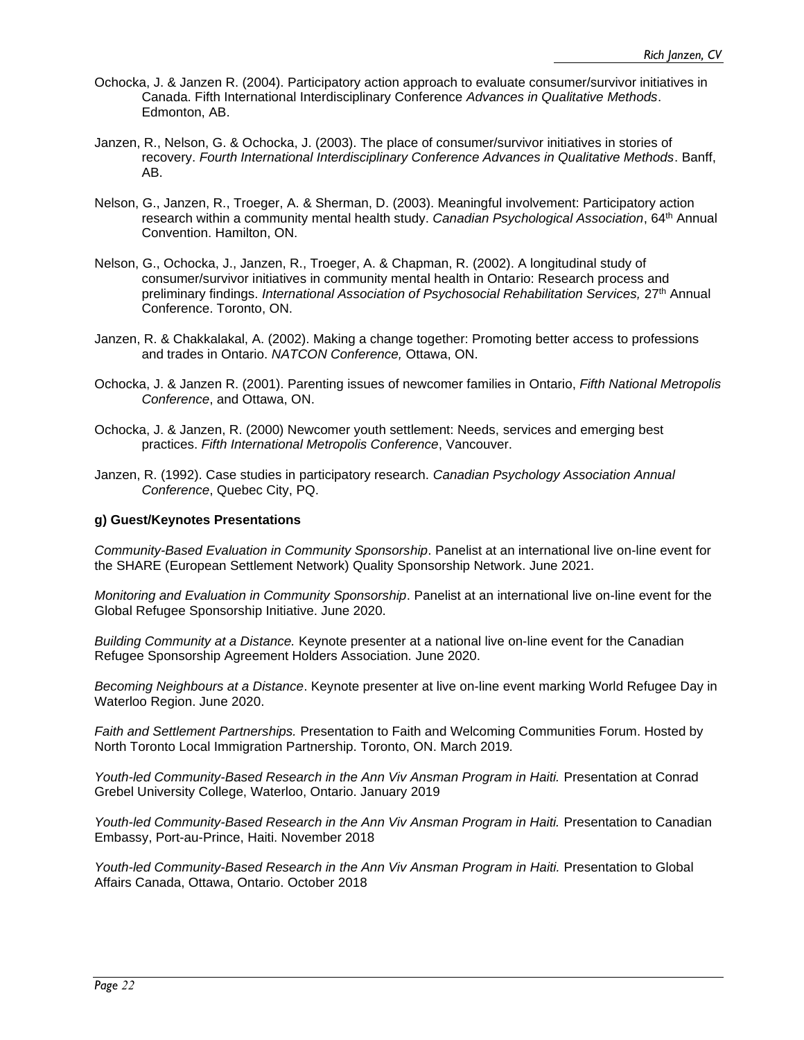- Ochocka, J. & Janzen R. (2004). Participatory action approach to evaluate consumer/survivor initiatives in Canada. Fifth International Interdisciplinary Conference *Advances in Qualitative Methods*. Edmonton, AB.
- Janzen, R., Nelson, G. & Ochocka, J. (2003). The place of consumer/survivor initiatives in stories of recovery. *Fourth International Interdisciplinary Conference Advances in Qualitative Methods*. Banff, AB.
- Nelson, G., Janzen, R., Troeger, A. & Sherman, D. (2003). Meaningful involvement: Participatory action research within a community mental health study. *Canadian Psychological Association*, 64th Annual Convention. Hamilton, ON.
- Nelson, G., Ochocka, J., Janzen, R., Troeger, A. & Chapman, R. (2002). A longitudinal study of consumer/survivor initiatives in community mental health in Ontario: Research process and preliminary findings. *International Association of Psychosocial Rehabilitation Services,* 27th Annual Conference. Toronto, ON.
- Janzen, R. & Chakkalakal, A. (2002). Making a change together: Promoting better access to professions and trades in Ontario. *NATCON Conference,* Ottawa, ON.
- Ochocka, J. & Janzen R. (2001). Parenting issues of newcomer families in Ontario, *Fifth National Metropolis Conference*, and Ottawa, ON.
- Ochocka, J. & Janzen, R. (2000) Newcomer youth settlement: Needs, services and emerging best practices. *Fifth International Metropolis Conference*, Vancouver.
- Janzen, R. (1992). Case studies in participatory research. *Canadian Psychology Association Annual Conference*, Quebec City, PQ.

#### **g) Guest/Keynotes Presentations**

*Community-Based Evaluation in Community Sponsorship*. Panelist at an international live on-line event for the SHARE (European Settlement Network) Quality Sponsorship Network. June 2021.

*Monitoring and Evaluation in Community Sponsorship*. Panelist at an international live on-line event for the Global Refugee Sponsorship Initiative. June 2020.

*Building Community at a Distance.* Keynote presenter at a national live on-line event for the Canadian Refugee Sponsorship Agreement Holders Association. June 2020.

*Becoming Neighbours at a Distance*. Keynote presenter at live on-line event marking World Refugee Day in Waterloo Region. June 2020.

*Faith and Settlement Partnerships.* Presentation to Faith and Welcoming Communities Forum. Hosted by North Toronto Local Immigration Partnership. Toronto, ON. March 2019*.*

*Youth-led Community-Based Research in the Ann Viv Ansman Program in Haiti.* Presentation at Conrad Grebel University College, Waterloo, Ontario. January 2019

*Youth-led Community-Based Research in the Ann Viv Ansman Program in Haiti.* Presentation to Canadian Embassy, Port-au-Prince, Haiti. November 2018

*Youth-led Community-Based Research in the Ann Viv Ansman Program in Haiti.* Presentation to Global Affairs Canada, Ottawa, Ontario. October 2018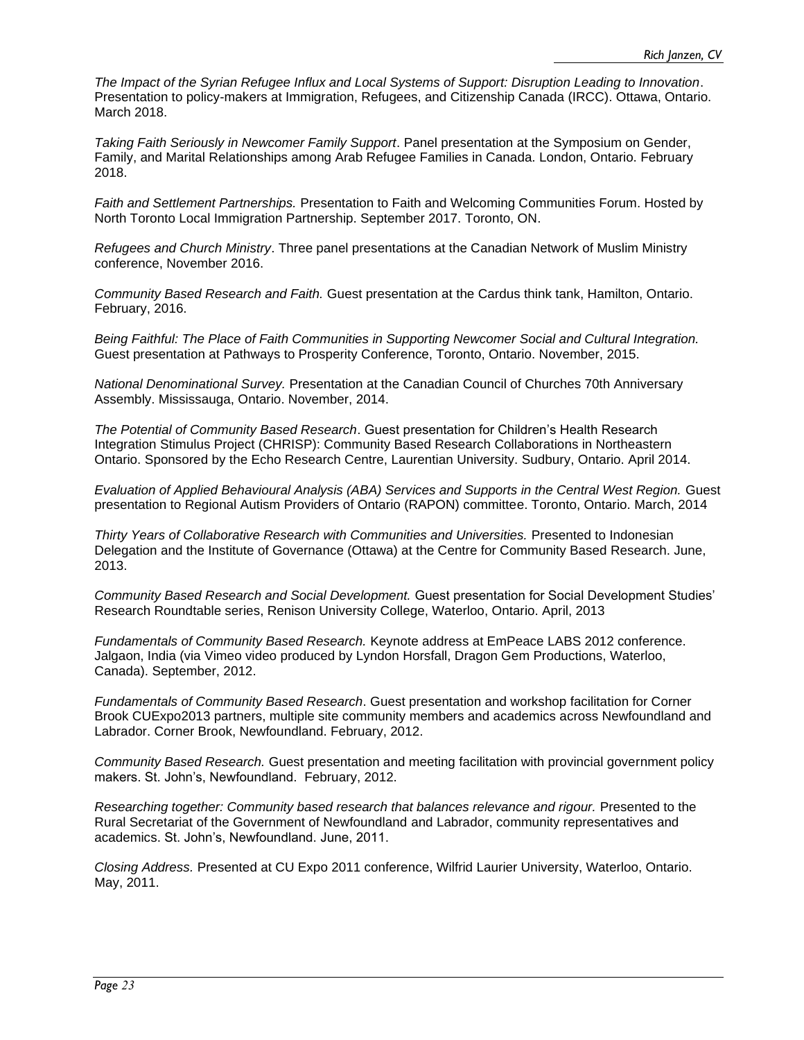*The Impact of the Syrian Refugee Influx and Local Systems of Support: Disruption Leading to Innovation*. Presentation to policy-makers at Immigration, Refugees, and Citizenship Canada (IRCC). Ottawa, Ontario. March 2018.

*Taking Faith Seriously in Newcomer Family Support*. Panel presentation at the Symposium on Gender, Family, and Marital Relationships among Arab Refugee Families in Canada. London, Ontario. February 2018.

*Faith and Settlement Partnerships.* Presentation to Faith and Welcoming Communities Forum. Hosted by North Toronto Local Immigration Partnership. September 2017. Toronto, ON.

*Refugees and Church Ministry*. Three panel presentations at the Canadian Network of Muslim Ministry conference, November 2016.

*Community Based Research and Faith.* Guest presentation at the Cardus think tank, Hamilton, Ontario. February, 2016.

*Being Faithful: The Place of Faith Communities in Supporting Newcomer Social and Cultural Integration.*  Guest presentation at Pathways to Prosperity Conference, Toronto, Ontario. November, 2015.

*National Denominational Survey.* Presentation at the Canadian Council of Churches 70th Anniversary Assembly. Mississauga, Ontario. November, 2014.

*The Potential of Community Based Research*. Guest presentation for Children's Health Research Integration Stimulus Project (CHRISP): Community Based Research Collaborations in Northeastern Ontario. Sponsored by the Echo Research Centre, Laurentian University. Sudbury, Ontario. April 2014.

*Evaluation of Applied Behavioural Analysis (ABA) Services and Supports in the Central West Region.* Guest presentation to Regional Autism Providers of Ontario (RAPON) committee. Toronto, Ontario. March, 2014

*Thirty Years of Collaborative Research with Communities and Universities.* Presented to Indonesian Delegation and the Institute of Governance (Ottawa) at the Centre for Community Based Research. June, 2013.

*Community Based Research and Social Development.* Guest presentation for Social Development Studies' Research Roundtable series, Renison University College, Waterloo, Ontario. April, 2013

*Fundamentals of Community Based Research.* Keynote address at EmPeace LABS 2012 conference. Jalgaon, India (via Vimeo video produced by Lyndon Horsfall, Dragon Gem Productions, Waterloo, Canada). September, 2012.

*Fundamentals of Community Based Research*. Guest presentation and workshop facilitation for Corner Brook CUExpo2013 partners, multiple site community members and academics across Newfoundland and Labrador. Corner Brook, Newfoundland. February, 2012.

*Community Based Research.* Guest presentation and meeting facilitation with provincial government policy makers. St. John's, Newfoundland. February, 2012.

*Researching together: Community based research that balances relevance and rigour.* Presented to the Rural Secretariat of the Government of Newfoundland and Labrador, community representatives and academics. St. John's, Newfoundland. June, 2011.

*Closing Address.* Presented at CU Expo 2011 conference, Wilfrid Laurier University, Waterloo, Ontario. May, 2011.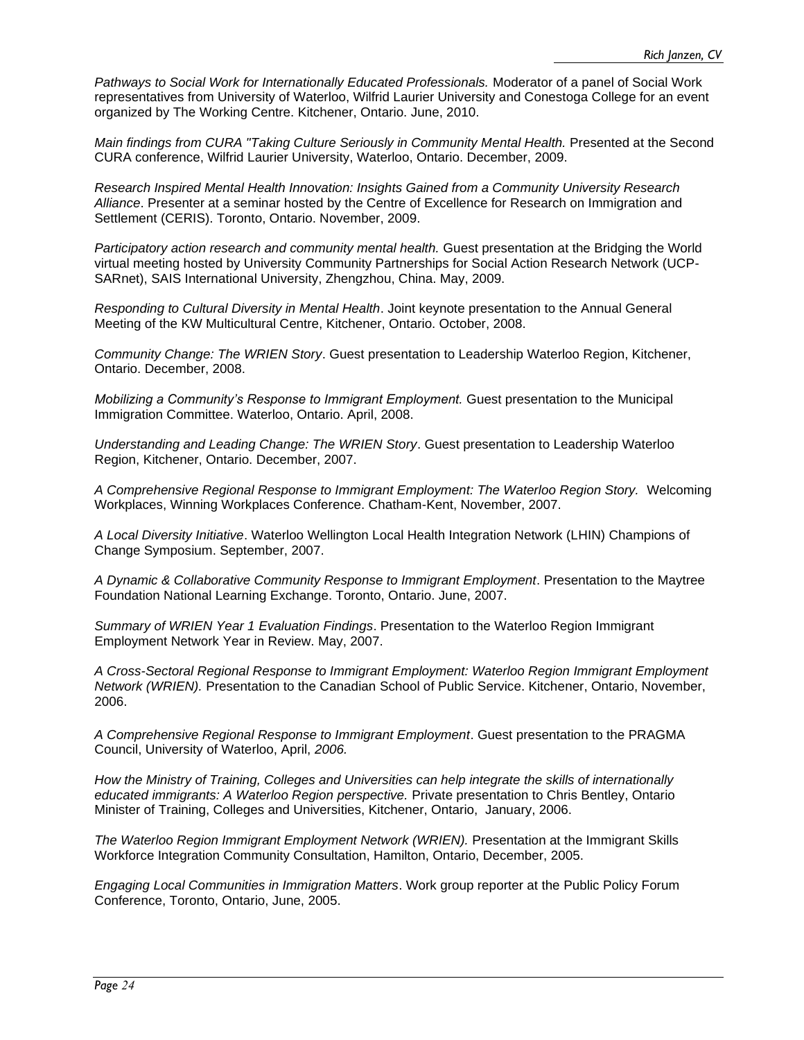*Pathways to Social Work for Internationally Educated Professionals.* Moderator of a panel of Social Work representatives from University of Waterloo, Wilfrid Laurier University and Conestoga College for an event organized by The Working Centre. Kitchener, Ontario. June, 2010.

*Main findings from CURA "Taking Culture Seriously in Community Mental Health.* Presented at the Second CURA conference, Wilfrid Laurier University, Waterloo, Ontario. December, 2009.

*Research Inspired Mental Health Innovation: Insights Gained from a Community University Research Alliance*. Presenter at a seminar hosted by the Centre of Excellence for Research on Immigration and Settlement (CERIS). Toronto, Ontario. November, 2009.

*Participatory action research and community mental health.* Guest presentation at the Bridging the World virtual meeting hosted by University Community Partnerships for Social Action Research Network (UCP-SARnet), SAIS International University, Zhengzhou, China. May, 2009.

*Responding to Cultural Diversity in Mental Health*. Joint keynote presentation to the Annual General Meeting of the KW Multicultural Centre, Kitchener, Ontario. October, 2008.

*Community Change: The WRIEN Story*. Guest presentation to Leadership Waterloo Region, Kitchener, Ontario. December, 2008.

*Mobilizing a Community's Response to Immigrant Employment.* Guest presentation to the Municipal Immigration Committee. Waterloo, Ontario. April, 2008.

*Understanding and Leading Change: The WRIEN Story*. Guest presentation to Leadership Waterloo Region, Kitchener, Ontario. December, 2007.

*A Comprehensive Regional Response to Immigrant Employment: The Waterloo Region Story.* Welcoming Workplaces, Winning Workplaces Conference. Chatham-Kent, November, 2007.

*A Local Diversity Initiative*. Waterloo Wellington Local Health Integration Network (LHIN) Champions of Change Symposium. September, 2007.

*A Dynamic & Collaborative Community Response to Immigrant Employment*. Presentation to the Maytree Foundation National Learning Exchange. Toronto, Ontario. June, 2007.

*Summary of WRIEN Year 1 Evaluation Findings*. Presentation to the Waterloo Region Immigrant Employment Network Year in Review. May, 2007.

*A Cross-Sectoral Regional Response to Immigrant Employment: Waterloo Region Immigrant Employment Network (WRIEN).* Presentation to the Canadian School of Public Service. Kitchener, Ontario, November, 2006.

*A Comprehensive Regional Response to Immigrant Employment*. Guest presentation to the PRAGMA Council, University of Waterloo, April, *2006.*

*How the Ministry of Training, Colleges and Universities can help integrate the skills of internationally educated immigrants: A Waterloo Region perspective.* Private presentation to Chris Bentley, Ontario Minister of Training, Colleges and Universities, Kitchener, Ontario, January, 2006.

*The Waterloo Region Immigrant Employment Network (WRIEN).* Presentation at the Immigrant Skills Workforce Integration Community Consultation, Hamilton, Ontario, December, 2005.

*Engaging Local Communities in Immigration Matters*. Work group reporter at the Public Policy Forum Conference, Toronto, Ontario, June, 2005.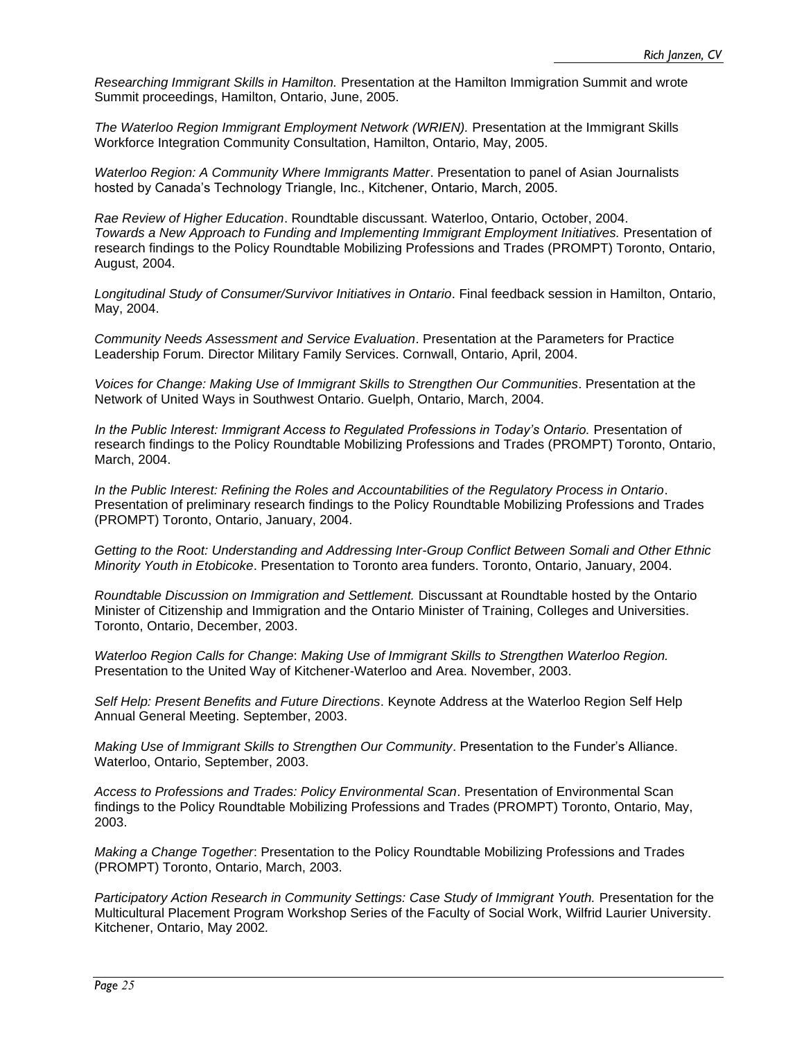*Researching Immigrant Skills in Hamilton.* Presentation at the Hamilton Immigration Summit and wrote Summit proceedings, Hamilton, Ontario, June, 2005.

*The Waterloo Region Immigrant Employment Network (WRIEN).* Presentation at the Immigrant Skills Workforce Integration Community Consultation, Hamilton, Ontario, May, 2005.

*Waterloo Region: A Community Where Immigrants Matter*. Presentation to panel of Asian Journalists hosted by Canada's Technology Triangle, Inc., Kitchener, Ontario, March, 2005*.*

*Rae Review of Higher Education*. Roundtable discussant. Waterloo, Ontario, October, 2004. *Towards a New Approach to Funding and Implementing Immigrant Employment Initiatives.* Presentation of research findings to the Policy Roundtable Mobilizing Professions and Trades (PROMPT) Toronto, Ontario, August, 2004.

*Longitudinal Study of Consumer/Survivor Initiatives in Ontario*. Final feedback session in Hamilton, Ontario, May, 2004.

*Community Needs Assessment and Service Evaluation*. Presentation at the Parameters for Practice Leadership Forum. Director Military Family Services. Cornwall, Ontario, April, 2004.

*Voices for Change: Making Use of Immigrant Skills to Strengthen Our Communities*. Presentation at the Network of United Ways in Southwest Ontario. Guelph, Ontario, March, 2004.

*In the Public Interest: Immigrant Access to Regulated Professions in Today's Ontario.* Presentation of research findings to the Policy Roundtable Mobilizing Professions and Trades (PROMPT) Toronto, Ontario, March, 2004.

*In the Public Interest: Refining the Roles and Accountabilities of the Regulatory Process in Ontario*. Presentation of preliminary research findings to the Policy Roundtable Mobilizing Professions and Trades (PROMPT) Toronto, Ontario, January, 2004.

*Getting to the Root: Understanding and Addressing Inter-Group Conflict Between Somali and Other Ethnic Minority Youth in Etobicoke*. Presentation to Toronto area funders. Toronto, Ontario, January, 2004.

*Roundtable Discussion on Immigration and Settlement.* Discussant at Roundtable hosted by the Ontario Minister of Citizenship and Immigration and the Ontario Minister of Training, Colleges and Universities. Toronto, Ontario, December, 2003.

*Waterloo Region Calls for Change*: *Making Use of Immigrant Skills to Strengthen Waterloo Region.* Presentation to the United Way of Kitchener-Waterloo and Area. November, 2003.

*Self Help: Present Benefits and Future Directions*. Keynote Address at the Waterloo Region Self Help Annual General Meeting. September, 2003.

*Making Use of Immigrant Skills to Strengthen Our Community*. Presentation to the Funder's Alliance. Waterloo, Ontario, September, 2003.

*Access to Professions and Trades: Policy Environmental Scan*. Presentation of Environmental Scan findings to the Policy Roundtable Mobilizing Professions and Trades (PROMPT) Toronto, Ontario, May, 2003.

*Making a Change Together*: Presentation to the Policy Roundtable Mobilizing Professions and Trades (PROMPT) Toronto, Ontario, March, 2003.

*Participatory Action Research in Community Settings: Case Study of Immigrant Youth.* Presentation for the Multicultural Placement Program Workshop Series of the Faculty of Social Work, Wilfrid Laurier University. Kitchener, Ontario, May 2002*.*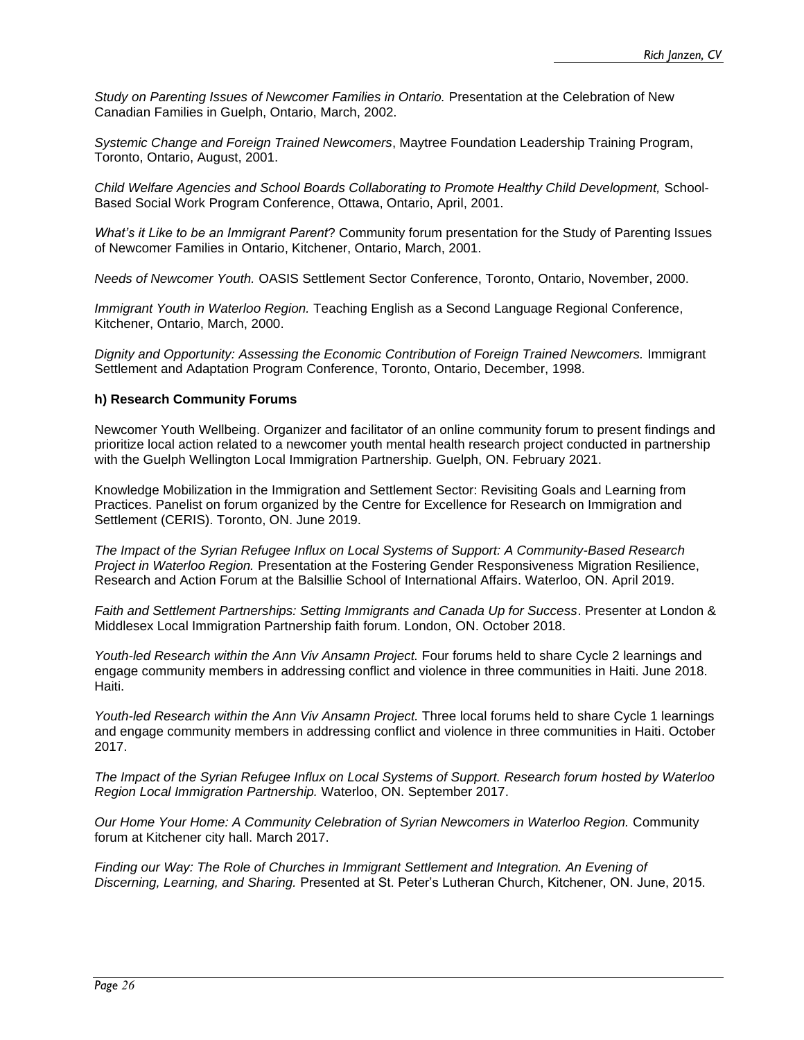*Study on Parenting Issues of Newcomer Families in Ontario.* Presentation at the Celebration of New Canadian Families in Guelph, Ontario, March, 2002.

*Systemic Change and Foreign Trained Newcomers*, Maytree Foundation Leadership Training Program, Toronto, Ontario, August, 2001.

*Child Welfare Agencies and School Boards Collaborating to Promote Healthy Child Development,* School-Based Social Work Program Conference, Ottawa, Ontario, April, 2001.

*What's it Like to be an Immigrant Parent*? Community forum presentation for the Study of Parenting Issues of Newcomer Families in Ontario, Kitchener, Ontario, March, 2001.

*Needs of Newcomer Youth.* OASIS Settlement Sector Conference, Toronto, Ontario, November, 2000.

*Immigrant Youth in Waterloo Region.* Teaching English as a Second Language Regional Conference, Kitchener, Ontario, March, 2000.

*Dignity and Opportunity: Assessing the Economic Contribution of Foreign Trained Newcomers.* Immigrant Settlement and Adaptation Program Conference, Toronto, Ontario, December, 1998.

#### **h) Research Community Forums**

Newcomer Youth Wellbeing. Organizer and facilitator of an online community forum to present findings and prioritize local action related to a newcomer youth mental health research project conducted in partnership with the Guelph Wellington Local Immigration Partnership. Guelph, ON. February 2021.

Knowledge Mobilization in the Immigration and Settlement Sector: Revisiting Goals and Learning from Practices. Panelist on forum organized by the Centre for Excellence for Research on Immigration and Settlement (CERIS). Toronto, ON. June 2019.

*The Impact of the Syrian Refugee Influx on Local Systems of Support: A Community-Based Research Project in Waterloo Region.* Presentation at the Fostering Gender Responsiveness Migration Resilience, Research and Action Forum at the Balsillie School of International Affairs. Waterloo, ON. April 2019.

*Faith and Settlement Partnerships: Setting Immigrants and Canada Up for Success*. Presenter at London & Middlesex Local Immigration Partnership faith forum. London, ON. October 2018.

Youth-led Research within the Ann Viv Ansamn Project. Four forums held to share Cycle 2 learnings and engage community members in addressing conflict and violence in three communities in Haiti. June 2018. Haiti.

Youth-led Research within the Ann Viv Ansamn Project. Three local forums held to share Cycle 1 learnings and engage community members in addressing conflict and violence in three communities in Haiti. October 2017.

*The Impact of the Syrian Refugee Influx on Local Systems of Support. Research forum hosted by Waterloo Region Local Immigration Partnership.* Waterloo, ON. September 2017.

*Our Home Your Home: A Community Celebration of Syrian Newcomers in Waterloo Region.* Community forum at Kitchener city hall. March 2017.

Finding our Way: The Role of Churches in Immigrant Settlement and Integration. An Evening of *Discerning, Learning, and Sharing.* Presented at St. Peter's Lutheran Church, Kitchener, ON. June, 2015.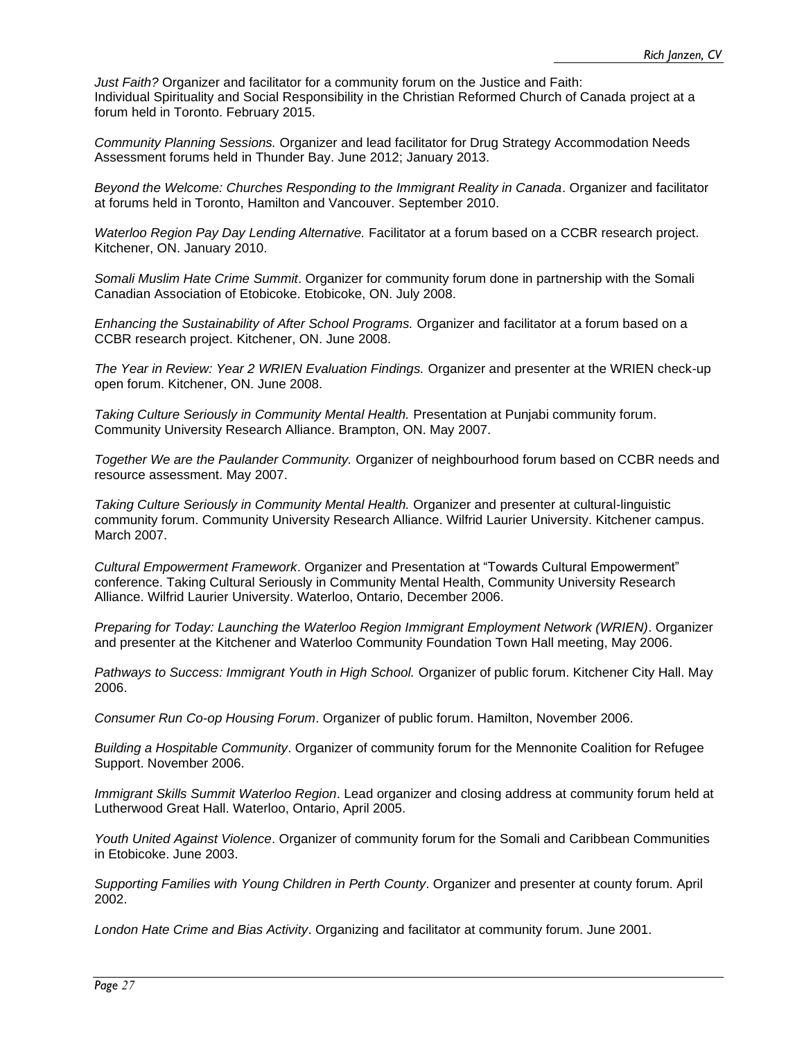*Just Faith?* Organizer and facilitator for a community forum on the Justice and Faith: Individual Spirituality and Social Responsibility in the Christian Reformed Church of Canada project at a forum held in Toronto. February 2015.

*Community Planning Sessions.* Organizer and lead facilitator for Drug Strategy Accommodation Needs Assessment forums held in Thunder Bay. June 2012; January 2013.

*Beyond the Welcome: Churches Responding to the Immigrant Reality in Canada*. Organizer and facilitator at forums held in Toronto, Hamilton and Vancouver. September 2010.

*Waterloo Region Pay Day Lending Alternative.* Facilitator at a forum based on a CCBR research project. Kitchener, ON. January 2010.

*Somali Muslim Hate Crime Summit*. Organizer for community forum done in partnership with the Somali Canadian Association of Etobicoke. Etobicoke, ON. July 2008.

*Enhancing the Sustainability of After School Programs.* Organizer and facilitator at a forum based on a CCBR research project. Kitchener, ON. June 2008.

*The Year in Review: Year 2 WRIEN Evaluation Findings.* Organizer and presenter at the WRIEN check-up open forum. Kitchener, ON. June 2008.

*Taking Culture Seriously in Community Mental Health.* Presentation at Punjabi community forum. Community University Research Alliance. Brampton, ON. May 2007.

*Together We are the Paulander Community.* Organizer of neighbourhood forum based on CCBR needs and resource assessment. May 2007.

*Taking Culture Seriously in Community Mental Health.* Organizer and presenter at cultural-linguistic community forum. Community University Research Alliance. Wilfrid Laurier University. Kitchener campus. March 2007.

*Cultural Empowerment Framework*. Organizer and Presentation at "Towards Cultural Empowerment" conference. Taking Cultural Seriously in Community Mental Health, Community University Research Alliance. Wilfrid Laurier University. Waterloo, Ontario, December 2006.

*Preparing for Today: Launching the Waterloo Region Immigrant Employment Network (WRIEN)*. Organizer and presenter at the Kitchener and Waterloo Community Foundation Town Hall meeting, May 2006.

*Pathways to Success: Immigrant Youth in High School.* Organizer of public forum. Kitchener City Hall. May 2006.

*Consumer Run Co-op Housing Forum*. Organizer of public forum. Hamilton, November 2006.

*Building a Hospitable Community*. Organizer of community forum for the Mennonite Coalition for Refugee Support. November 2006.

*Immigrant Skills Summit Waterloo Region*. Lead organizer and closing address at community forum held at Lutherwood Great Hall. Waterloo, Ontario, April 2005.

*Youth United Against Violence*. Organizer of community forum for the Somali and Caribbean Communities in Etobicoke. June 2003.

*Supporting Families with Young Children in Perth County*. Organizer and presenter at county forum. April 2002.

*London Hate Crime and Bias Activity*. Organizing and facilitator at community forum. June 2001.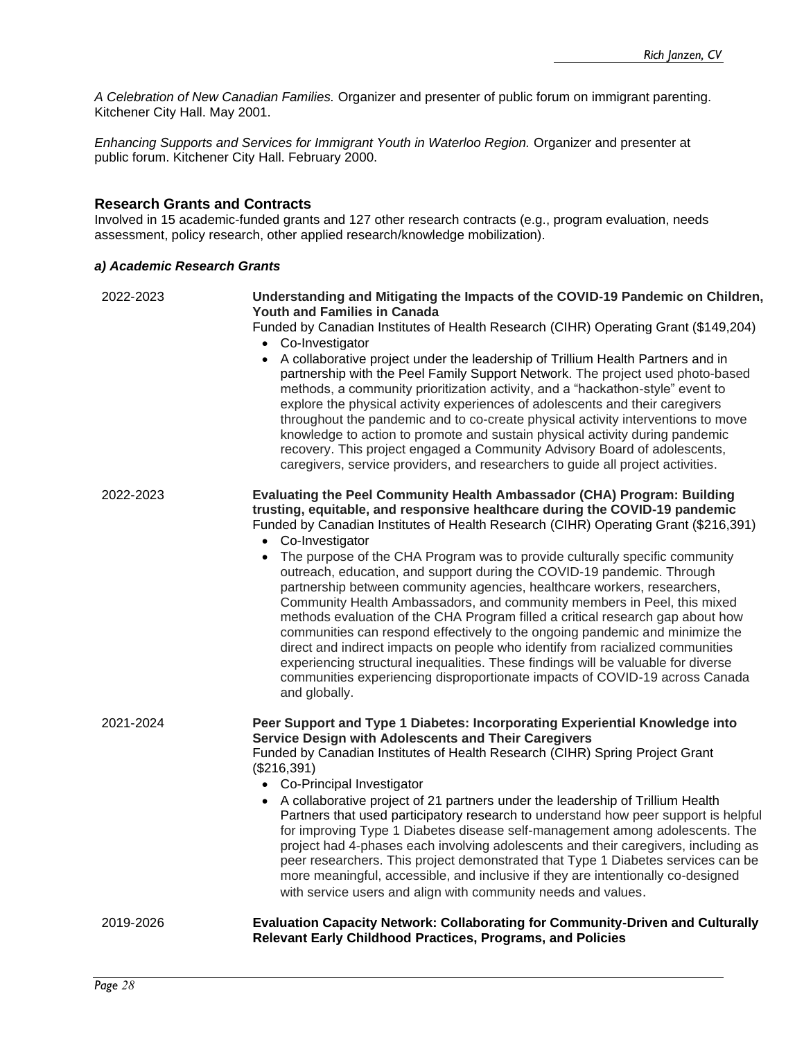*A Celebration of New Canadian Families.* Organizer and presenter of public forum on immigrant parenting. Kitchener City Hall. May 2001.

*Enhancing Supports and Services for Immigrant Youth in Waterloo Region.* Organizer and presenter at public forum. Kitchener City Hall. February 2000.

## **Research Grants and Contracts**

Involved in 15 academic-funded grants and 127 other research contracts (e.g., program evaluation, needs assessment, policy research, other applied research/knowledge mobilization).

#### *a) Academic Research Grants*

| 2022-2023 | Understanding and Mitigating the Impacts of the COVID-19 Pandemic on Children,<br><b>Youth and Families in Canada</b><br>Funded by Canadian Institutes of Health Research (CIHR) Operating Grant (\$149,204)<br>• Co-Investigator<br>A collaborative project under the leadership of Trillium Health Partners and in<br>$\bullet$<br>partnership with the Peel Family Support Network. The project used photo-based<br>methods, a community prioritization activity, and a "hackathon-style" event to<br>explore the physical activity experiences of adolescents and their caregivers<br>throughout the pandemic and to co-create physical activity interventions to move<br>knowledge to action to promote and sustain physical activity during pandemic<br>recovery. This project engaged a Community Advisory Board of adolescents,<br>caregivers, service providers, and researchers to guide all project activities.                                                                                                             |
|-----------|----------------------------------------------------------------------------------------------------------------------------------------------------------------------------------------------------------------------------------------------------------------------------------------------------------------------------------------------------------------------------------------------------------------------------------------------------------------------------------------------------------------------------------------------------------------------------------------------------------------------------------------------------------------------------------------------------------------------------------------------------------------------------------------------------------------------------------------------------------------------------------------------------------------------------------------------------------------------------------------------------------------------------------------|
| 2022-2023 | Evaluating the Peel Community Health Ambassador (CHA) Program: Building<br>trusting, equitable, and responsive healthcare during the COVID-19 pandemic<br>Funded by Canadian Institutes of Health Research (CIHR) Operating Grant (\$216,391)<br>Co-Investigator<br>$\bullet$<br>The purpose of the CHA Program was to provide culturally specific community<br>outreach, education, and support during the COVID-19 pandemic. Through<br>partnership between community agencies, healthcare workers, researchers,<br>Community Health Ambassadors, and community members in Peel, this mixed<br>methods evaluation of the CHA Program filled a critical research gap about how<br>communities can respond effectively to the ongoing pandemic and minimize the<br>direct and indirect impacts on people who identify from racialized communities<br>experiencing structural inequalities. These findings will be valuable for diverse<br>communities experiencing disproportionate impacts of COVID-19 across Canada<br>and globally. |
| 2021-2024 | Peer Support and Type 1 Diabetes: Incorporating Experiential Knowledge into<br>Service Design with Adolescents and Their Caregivers<br>Funded by Canadian Institutes of Health Research (CIHR) Spring Project Grant<br>(\$216,391)<br>• Co-Principal Investigator<br>A collaborative project of 21 partners under the leadership of Trillium Health<br>Partners that used participatory research to understand how peer support is helpful<br>for improving Type 1 Diabetes disease self-management among adolescents. The<br>project had 4-phases each involving adolescents and their caregivers, including as<br>peer researchers. This project demonstrated that Type 1 Diabetes services can be<br>more meaningful, accessible, and inclusive if they are intentionally co-designed<br>with service users and align with community needs and values.                                                                                                                                                                              |
| 2019-2026 | Evaluation Capacity Network: Collaborating for Community-Driven and Culturally<br>Relevant Early Childhood Practices, Programs, and Policies                                                                                                                                                                                                                                                                                                                                                                                                                                                                                                                                                                                                                                                                                                                                                                                                                                                                                           |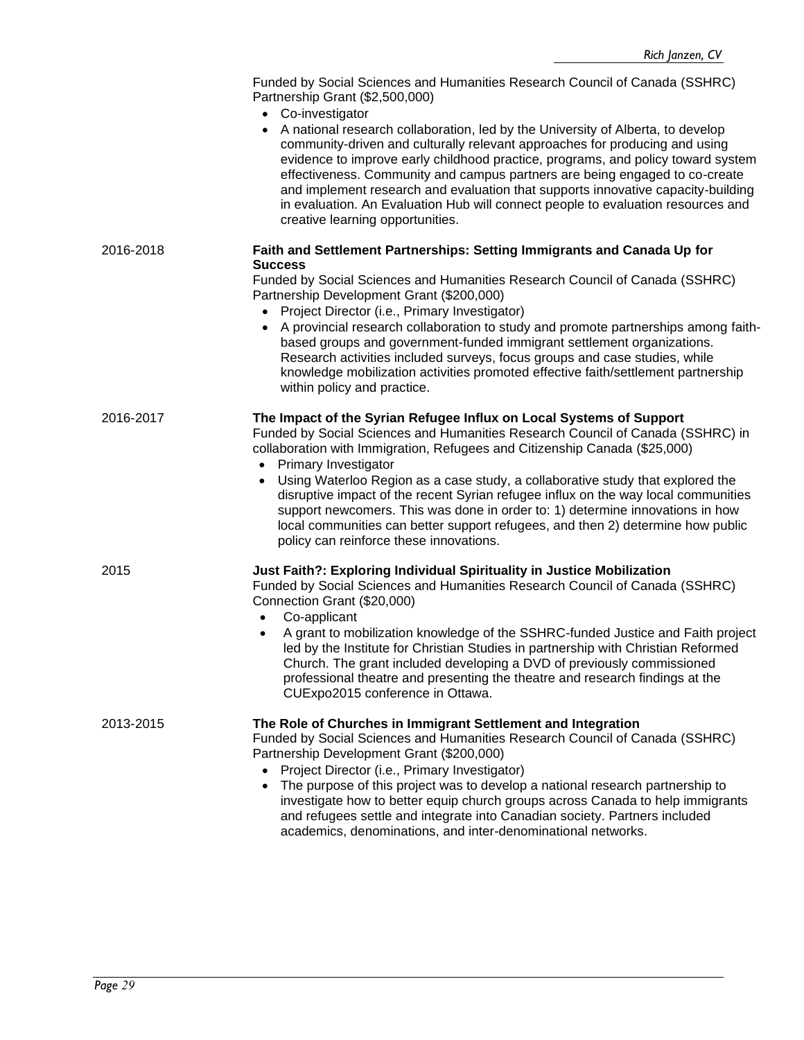|           | Funded by Social Sciences and Humanities Research Council of Canada (SSHRC)<br>Partnership Grant (\$2,500,000)<br>• Co-investigator                                                                                                                                                                                                                                                                                                                                                                                                           |
|-----------|-----------------------------------------------------------------------------------------------------------------------------------------------------------------------------------------------------------------------------------------------------------------------------------------------------------------------------------------------------------------------------------------------------------------------------------------------------------------------------------------------------------------------------------------------|
|           | A national research collaboration, led by the University of Alberta, to develop<br>community-driven and culturally relevant approaches for producing and using<br>evidence to improve early childhood practice, programs, and policy toward system<br>effectiveness. Community and campus partners are being engaged to co-create<br>and implement research and evaluation that supports innovative capacity-building<br>in evaluation. An Evaluation Hub will connect people to evaluation resources and<br>creative learning opportunities. |
| 2016-2018 | Faith and Settlement Partnerships: Setting Immigrants and Canada Up for<br><b>Success</b>                                                                                                                                                                                                                                                                                                                                                                                                                                                     |
|           | Funded by Social Sciences and Humanities Research Council of Canada (SSHRC)<br>Partnership Development Grant (\$200,000)                                                                                                                                                                                                                                                                                                                                                                                                                      |
|           | Project Director (i.e., Primary Investigator)<br>A provincial research collaboration to study and promote partnerships among faith-<br>$\bullet$<br>based groups and government-funded immigrant settlement organizations.<br>Research activities included surveys, focus groups and case studies, while<br>knowledge mobilization activities promoted effective faith/settlement partnership<br>within policy and practice.                                                                                                                  |
| 2016-2017 | The Impact of the Syrian Refugee Influx on Local Systems of Support<br>Funded by Social Sciences and Humanities Research Council of Canada (SSHRC) in<br>collaboration with Immigration, Refugees and Citizenship Canada (\$25,000)<br>• Primary Investigator<br>Using Waterloo Region as a case study, a collaborative study that explored the<br>$\bullet$                                                                                                                                                                                  |
|           | disruptive impact of the recent Syrian refugee influx on the way local communities<br>support newcomers. This was done in order to: 1) determine innovations in how<br>local communities can better support refugees, and then 2) determine how public<br>policy can reinforce these innovations.                                                                                                                                                                                                                                             |
| 2015      | Just Faith?: Exploring Individual Spirituality in Justice Mobilization<br>Funded by Social Sciences and Humanities Research Council of Canada (SSHRC)<br>Connection Grant (\$20,000)<br>Co-applicant                                                                                                                                                                                                                                                                                                                                          |
|           | A grant to mobilization knowledge of the SSHRC-funded Justice and Faith project<br>led by the Institute for Christian Studies in partnership with Christian Reformed<br>Church. The grant included developing a DVD of previously commissioned<br>professional theatre and presenting the theatre and research findings at the<br>CUExpo2015 conference in Ottawa.                                                                                                                                                                            |
| 2013-2015 | The Role of Churches in Immigrant Settlement and Integration<br>Funded by Social Sciences and Humanities Research Council of Canada (SSHRC)<br>Partnership Development Grant (\$200,000)<br>Project Director (i.e., Primary Investigator)<br>The purpose of this project was to develop a national research partnership to<br>$\bullet$                                                                                                                                                                                                       |
|           | investigate how to better equip church groups across Canada to help immigrants<br>and refugees settle and integrate into Canadian society. Partners included<br>academics, denominations, and inter-denominational networks.                                                                                                                                                                                                                                                                                                                  |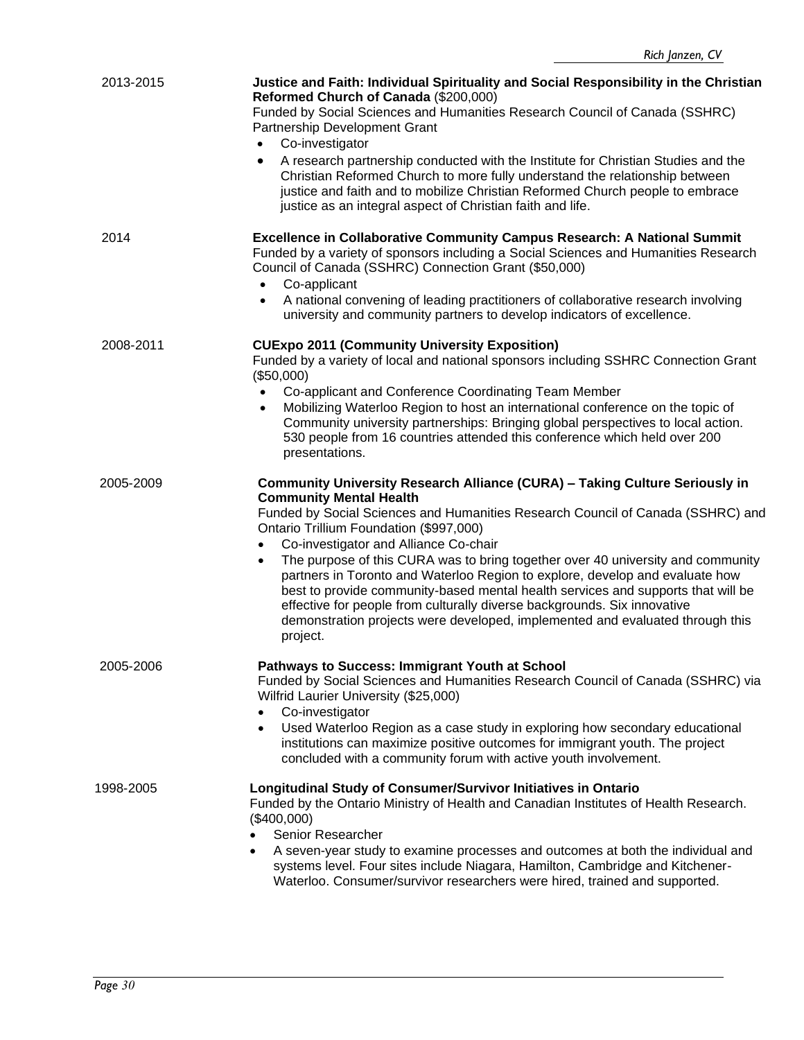| 2013-2015 | Justice and Faith: Individual Spirituality and Social Responsibility in the Christian<br>Reformed Church of Canada (\$200,000)<br>Funded by Social Sciences and Humanities Research Council of Canada (SSHRC)<br>Partnership Development Grant<br>Co-investigator<br>A research partnership conducted with the Institute for Christian Studies and the<br>٠<br>Christian Reformed Church to more fully understand the relationship between<br>justice and faith and to mobilize Christian Reformed Church people to embrace<br>justice as an integral aspect of Christian faith and life.                                                                                                                                                             |
|-----------|-------------------------------------------------------------------------------------------------------------------------------------------------------------------------------------------------------------------------------------------------------------------------------------------------------------------------------------------------------------------------------------------------------------------------------------------------------------------------------------------------------------------------------------------------------------------------------------------------------------------------------------------------------------------------------------------------------------------------------------------------------|
| 2014      | <b>Excellence in Collaborative Community Campus Research: A National Summit</b><br>Funded by a variety of sponsors including a Social Sciences and Humanities Research<br>Council of Canada (SSHRC) Connection Grant (\$50,000)<br>Co-applicant<br>A national convening of leading practitioners of collaborative research involving<br>university and community partners to develop indicators of excellence.                                                                                                                                                                                                                                                                                                                                        |
| 2008-2011 | <b>CUExpo 2011 (Community University Exposition)</b><br>Funded by a variety of local and national sponsors including SSHRC Connection Grant<br>(\$50,000)<br>Co-applicant and Conference Coordinating Team Member<br>Mobilizing Waterloo Region to host an international conference on the topic of<br>$\bullet$<br>Community university partnerships: Bringing global perspectives to local action.<br>530 people from 16 countries attended this conference which held over 200<br>presentations.                                                                                                                                                                                                                                                   |
| 2005-2009 | <b>Community University Research Alliance (CURA) - Taking Culture Seriously in</b><br><b>Community Mental Health</b><br>Funded by Social Sciences and Humanities Research Council of Canada (SSHRC) and<br>Ontario Trillium Foundation (\$997,000)<br>Co-investigator and Alliance Co-chair<br>$\bullet$<br>The purpose of this CURA was to bring together over 40 university and community<br>$\bullet$<br>partners in Toronto and Waterloo Region to explore, develop and evaluate how<br>best to provide community-based mental health services and supports that will be<br>effective for people from culturally diverse backgrounds. Six innovative<br>demonstration projects were developed, implemented and evaluated through this<br>project. |
| 2005-2006 | Pathways to Success: Immigrant Youth at School<br>Funded by Social Sciences and Humanities Research Council of Canada (SSHRC) via<br>Wilfrid Laurier University (\$25,000)<br>Co-investigator<br>$\bullet$<br>Used Waterloo Region as a case study in exploring how secondary educational<br>$\bullet$<br>institutions can maximize positive outcomes for immigrant youth. The project<br>concluded with a community forum with active youth involvement.                                                                                                                                                                                                                                                                                             |
| 1998-2005 | Longitudinal Study of Consumer/Survivor Initiatives in Ontario<br>Funded by the Ontario Ministry of Health and Canadian Institutes of Health Research.<br>(\$400,000)<br>Senior Researcher<br>A seven-year study to examine processes and outcomes at both the individual and<br>$\bullet$<br>systems level. Four sites include Niagara, Hamilton, Cambridge and Kitchener-<br>Waterloo. Consumer/survivor researchers were hired, trained and supported.                                                                                                                                                                                                                                                                                             |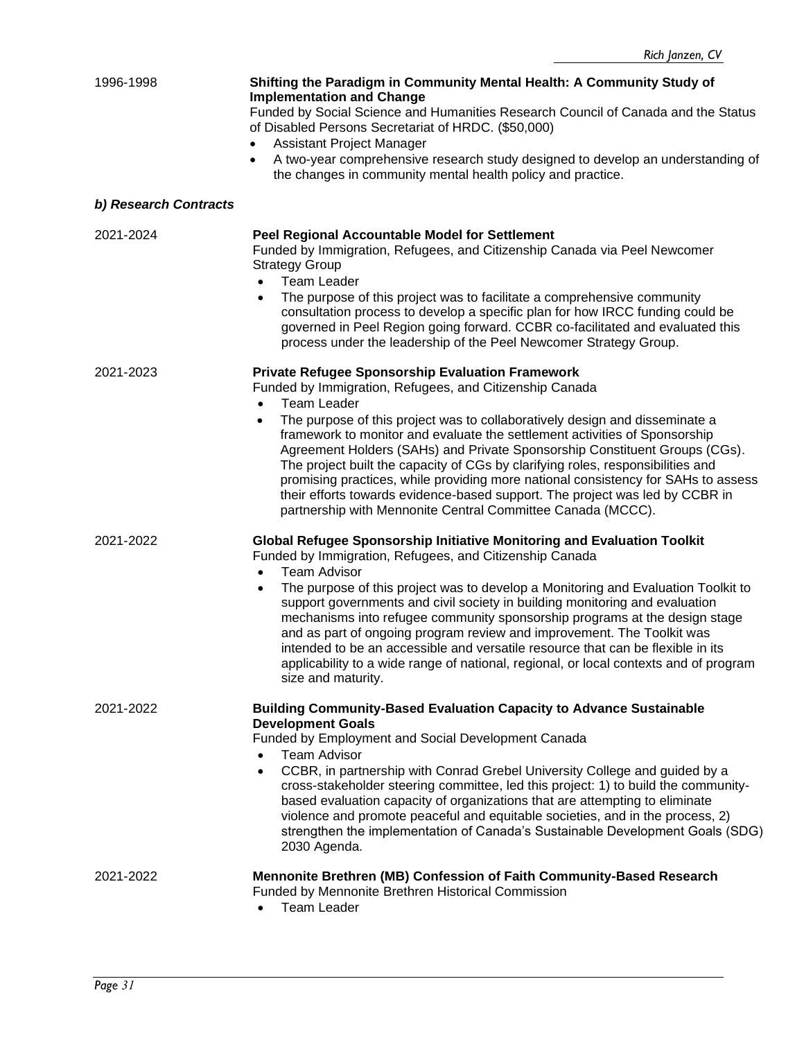| 1996-1998             | Shifting the Paradigm in Community Mental Health: A Community Study of<br><b>Implementation and Change</b><br>Funded by Social Science and Humanities Research Council of Canada and the Status<br>of Disabled Persons Secretariat of HRDC. (\$50,000)<br>Assistant Project Manager<br>A two-year comprehensive research study designed to develop an understanding of<br>the changes in community mental health policy and practice.                                                                                                                                                                                                                                                                       |
|-----------------------|-------------------------------------------------------------------------------------------------------------------------------------------------------------------------------------------------------------------------------------------------------------------------------------------------------------------------------------------------------------------------------------------------------------------------------------------------------------------------------------------------------------------------------------------------------------------------------------------------------------------------------------------------------------------------------------------------------------|
| b) Research Contracts |                                                                                                                                                                                                                                                                                                                                                                                                                                                                                                                                                                                                                                                                                                             |
| 2021-2024             | <b>Peel Regional Accountable Model for Settlement</b><br>Funded by Immigration, Refugees, and Citizenship Canada via Peel Newcomer<br><b>Strategy Group</b><br><b>Team Leader</b><br>$\bullet$<br>The purpose of this project was to facilitate a comprehensive community<br>consultation process to develop a specific plan for how IRCC funding could be<br>governed in Peel Region going forward. CCBR co-facilitated and evaluated this<br>process under the leadership of the Peel Newcomer Strategy Group.                                                                                                                                                                                            |
| 2021-2023             | <b>Private Refugee Sponsorship Evaluation Framework</b><br>Funded by Immigration, Refugees, and Citizenship Canada<br><b>Team Leader</b><br>The purpose of this project was to collaboratively design and disseminate a<br>framework to monitor and evaluate the settlement activities of Sponsorship<br>Agreement Holders (SAHs) and Private Sponsorship Constituent Groups (CGs).<br>The project built the capacity of CGs by clarifying roles, responsibilities and<br>promising practices, while providing more national consistency for SAHs to assess<br>their efforts towards evidence-based support. The project was led by CCBR in<br>partnership with Mennonite Central Committee Canada (MCCC).  |
| 2021-2022             | <b>Global Refugee Sponsorship Initiative Monitoring and Evaluation Toolkit</b><br>Funded by Immigration, Refugees, and Citizenship Canada<br><b>Team Advisor</b><br>The purpose of this project was to develop a Monitoring and Evaluation Toolkit to<br>$\bullet$<br>support governments and civil society in building monitoring and evaluation<br>mechanisms into refugee community sponsorship programs at the design stage<br>and as part of ongoing program review and improvement. The Toolkit was<br>intended to be an accessible and versatile resource that can be flexible in its<br>applicability to a wide range of national, regional, or local contexts and of program<br>size and maturity. |
| 2021-2022             | <b>Building Community-Based Evaluation Capacity to Advance Sustainable</b><br><b>Development Goals</b><br>Funded by Employment and Social Development Canada<br><b>Team Advisor</b><br>CCBR, in partnership with Conrad Grebel University College and guided by a<br>$\bullet$<br>cross-stakeholder steering committee, led this project: 1) to build the community-<br>based evaluation capacity of organizations that are attempting to eliminate<br>violence and promote peaceful and equitable societies, and in the process, 2)<br>strengthen the implementation of Canada's Sustainable Development Goals (SDG)<br>2030 Agenda.                                                                       |
| 2021-2022             | Mennonite Brethren (MB) Confession of Faith Community-Based Research<br>Funded by Mennonite Brethren Historical Commission<br><b>Team Leader</b>                                                                                                                                                                                                                                                                                                                                                                                                                                                                                                                                                            |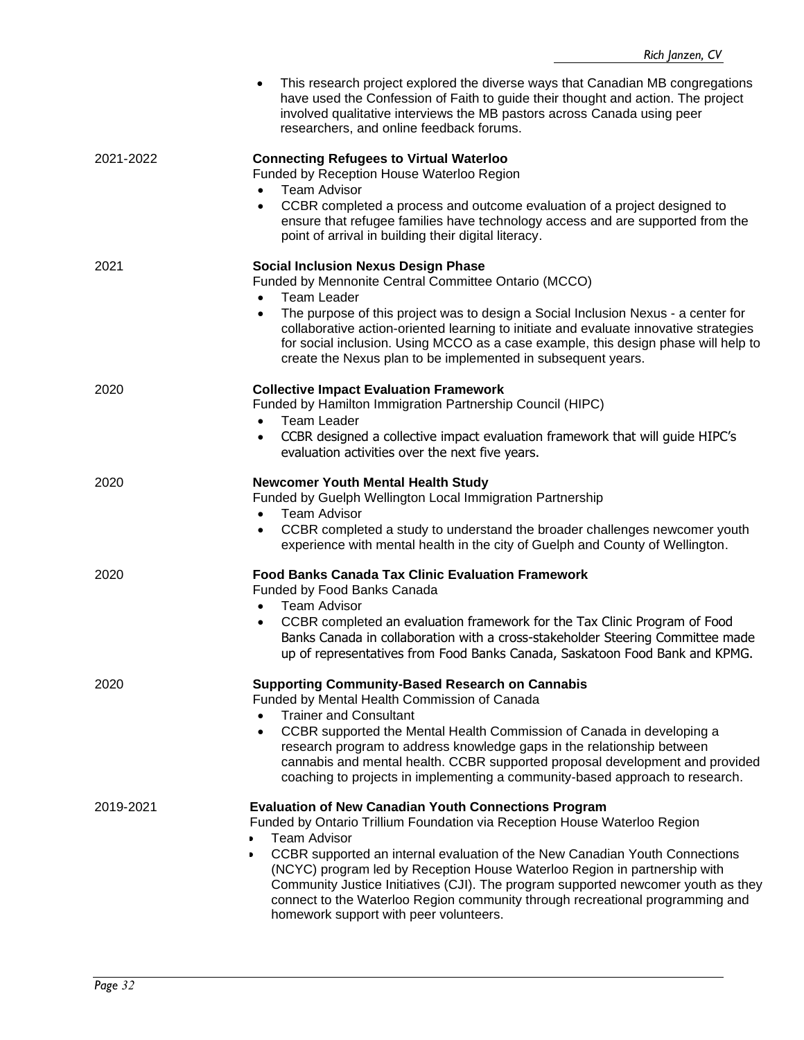|           | This research project explored the diverse ways that Canadian MB congregations<br>have used the Confession of Faith to guide their thought and action. The project<br>involved qualitative interviews the MB pastors across Canada using peer<br>researchers, and online feedback forums.                                                                                                                                                                                                                                                   |
|-----------|---------------------------------------------------------------------------------------------------------------------------------------------------------------------------------------------------------------------------------------------------------------------------------------------------------------------------------------------------------------------------------------------------------------------------------------------------------------------------------------------------------------------------------------------|
| 2021-2022 | <b>Connecting Refugees to Virtual Waterloo</b><br>Funded by Reception House Waterloo Region<br><b>Team Advisor</b><br>$\bullet$<br>CCBR completed a process and outcome evaluation of a project designed to<br>ensure that refugee families have technology access and are supported from the<br>point of arrival in building their digital literacy.                                                                                                                                                                                       |
| 2021      | <b>Social Inclusion Nexus Design Phase</b><br>Funded by Mennonite Central Committee Ontario (MCCO)<br><b>Team Leader</b><br>$\bullet$<br>The purpose of this project was to design a Social Inclusion Nexus - a center for<br>collaborative action-oriented learning to initiate and evaluate innovative strategies<br>for social inclusion. Using MCCO as a case example, this design phase will help to<br>create the Nexus plan to be implemented in subsequent years.                                                                   |
| 2020      | <b>Collective Impact Evaluation Framework</b><br>Funded by Hamilton Immigration Partnership Council (HIPC)<br><b>Team Leader</b><br>$\bullet$<br>CCBR designed a collective impact evaluation framework that will guide HIPC's<br>$\bullet$<br>evaluation activities over the next five years.                                                                                                                                                                                                                                              |
| 2020      | <b>Newcomer Youth Mental Health Study</b><br>Funded by Guelph Wellington Local Immigration Partnership<br><b>Team Advisor</b><br>$\bullet$<br>CCBR completed a study to understand the broader challenges newcomer youth<br>$\bullet$<br>experience with mental health in the city of Guelph and County of Wellington.                                                                                                                                                                                                                      |
| 2020      | <b>Food Banks Canada Tax Clinic Evaluation Framework</b><br>Funded by Food Banks Canada<br>Team Advisor<br>CCBR completed an evaluation framework for the Tax Clinic Program of Food<br>Banks Canada in collaboration with a cross-stakeholder Steering Committee made<br>up of representatives from Food Banks Canada, Saskatoon Food Bank and KPMG.                                                                                                                                                                                       |
| 2020      | <b>Supporting Community-Based Research on Cannabis</b><br>Funded by Mental Health Commission of Canada<br><b>Trainer and Consultant</b><br>CCBR supported the Mental Health Commission of Canada in developing a<br>$\bullet$<br>research program to address knowledge gaps in the relationship between<br>cannabis and mental health. CCBR supported proposal development and provided<br>coaching to projects in implementing a community-based approach to research.                                                                     |
| 2019-2021 | <b>Evaluation of New Canadian Youth Connections Program</b><br>Funded by Ontario Trillium Foundation via Reception House Waterloo Region<br><b>Team Advisor</b><br>CCBR supported an internal evaluation of the New Canadian Youth Connections<br>(NCYC) program led by Reception House Waterloo Region in partnership with<br>Community Justice Initiatives (CJI). The program supported newcomer youth as they<br>connect to the Waterloo Region community through recreational programming and<br>homework support with peer volunteers. |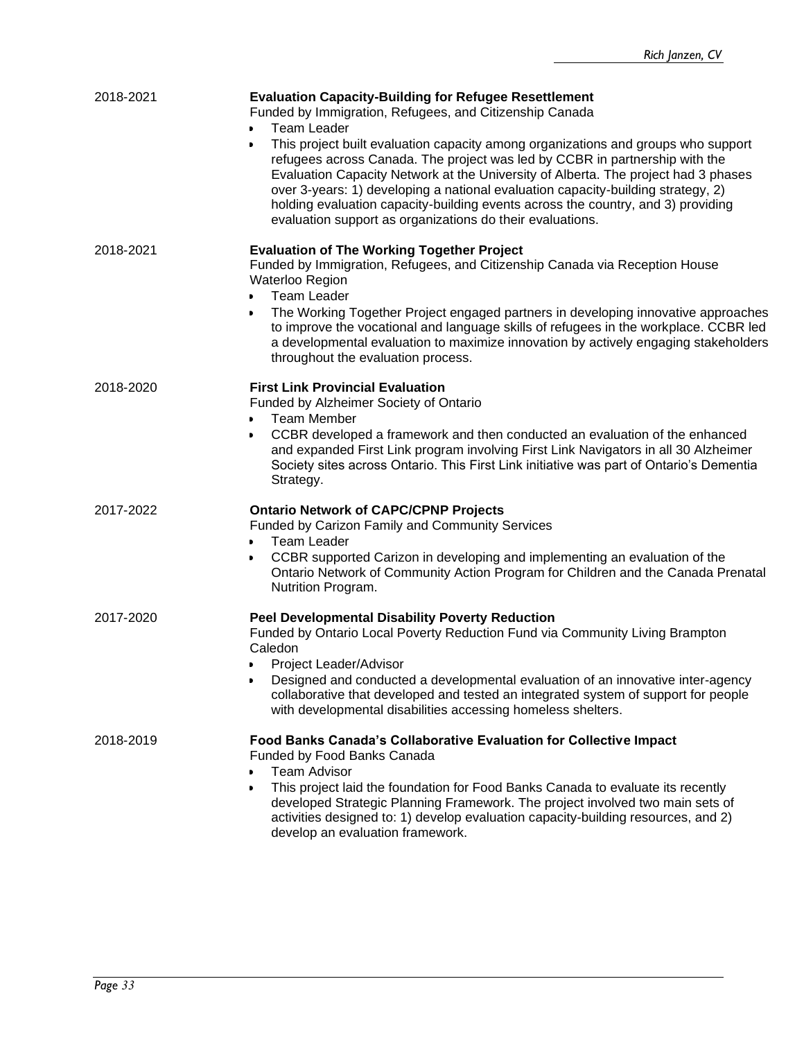| 2018-2021 | <b>Evaluation Capacity-Building for Refugee Resettlement</b><br>Funded by Immigration, Refugees, and Citizenship Canada<br><b>Team Leader</b><br>$\bullet$<br>This project built evaluation capacity among organizations and groups who support<br>$\bullet$<br>refugees across Canada. The project was led by CCBR in partnership with the<br>Evaluation Capacity Network at the University of Alberta. The project had 3 phases<br>over 3-years: 1) developing a national evaluation capacity-building strategy, 2)<br>holding evaluation capacity-building events across the country, and 3) providing<br>evaluation support as organizations do their evaluations. |
|-----------|------------------------------------------------------------------------------------------------------------------------------------------------------------------------------------------------------------------------------------------------------------------------------------------------------------------------------------------------------------------------------------------------------------------------------------------------------------------------------------------------------------------------------------------------------------------------------------------------------------------------------------------------------------------------|
| 2018-2021 | <b>Evaluation of The Working Together Project</b><br>Funded by Immigration, Refugees, and Citizenship Canada via Reception House<br>Waterloo Region<br><b>Team Leader</b><br>$\bullet$<br>The Working Together Project engaged partners in developing innovative approaches<br>to improve the vocational and language skills of refugees in the workplace. CCBR led<br>a developmental evaluation to maximize innovation by actively engaging stakeholders<br>throughout the evaluation process.                                                                                                                                                                       |
| 2018-2020 | <b>First Link Provincial Evaluation</b><br>Funded by Alzheimer Society of Ontario<br><b>Team Member</b><br>$\bullet$<br>CCBR developed a framework and then conducted an evaluation of the enhanced<br>and expanded First Link program involving First Link Navigators in all 30 Alzheimer<br>Society sites across Ontario. This First Link initiative was part of Ontario's Dementia<br>Strategy.                                                                                                                                                                                                                                                                     |
| 2017-2022 | <b>Ontario Network of CAPC/CPNP Projects</b><br>Funded by Carizon Family and Community Services<br><b>Team Leader</b><br>CCBR supported Carizon in developing and implementing an evaluation of the<br>Ontario Network of Community Action Program for Children and the Canada Prenatal<br>Nutrition Program.                                                                                                                                                                                                                                                                                                                                                          |
| 2017-2020 | <b>Peel Developmental Disability Poverty Reduction</b><br>Funded by Ontario Local Poverty Reduction Fund via Community Living Brampton<br>Caledon<br>Project Leader/Advisor<br>Designed and conducted a developmental evaluation of an innovative inter-agency<br>collaborative that developed and tested an integrated system of support for people<br>with developmental disabilities accessing homeless shelters.                                                                                                                                                                                                                                                   |
| 2018-2019 | Food Banks Canada's Collaborative Evaluation for Collective Impact<br>Funded by Food Banks Canada<br><b>Team Advisor</b><br>This project laid the foundation for Food Banks Canada to evaluate its recently<br>developed Strategic Planning Framework. The project involved two main sets of<br>activities designed to: 1) develop evaluation capacity-building resources, and 2)<br>develop an evaluation framework.                                                                                                                                                                                                                                                  |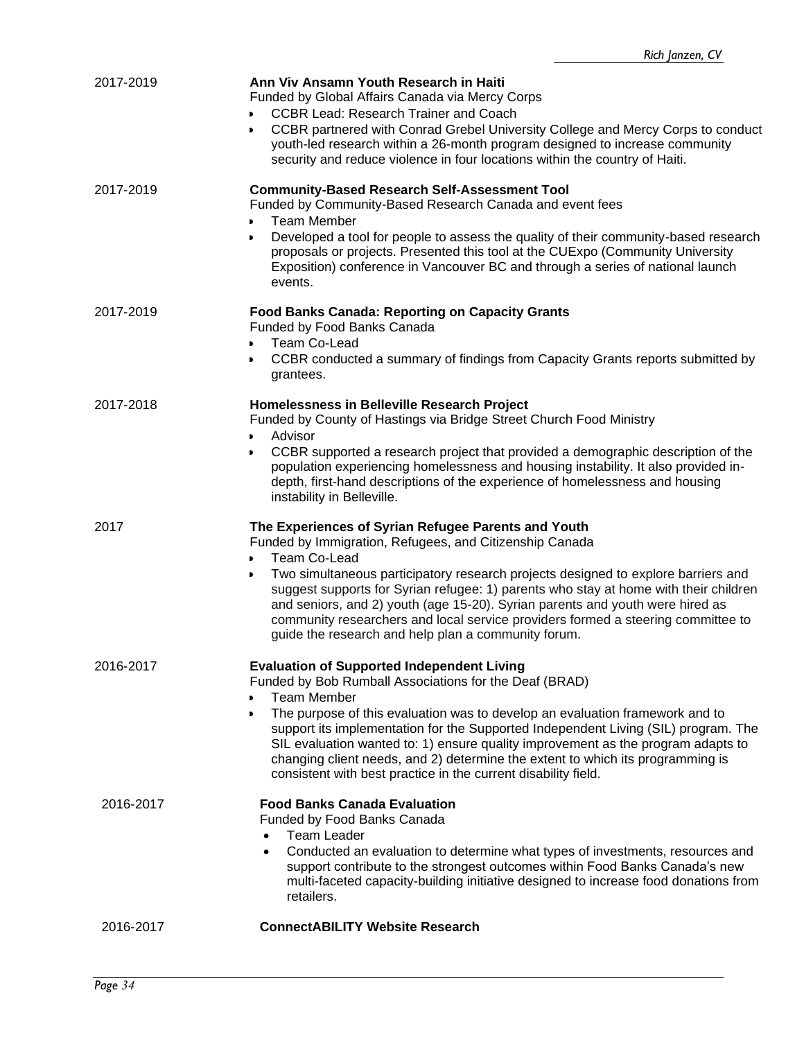| 2017-2019 | Ann Viv Ansamn Youth Research in Haiti<br>Funded by Global Affairs Canada via Mercy Corps<br><b>CCBR Lead: Research Trainer and Coach</b><br>CCBR partnered with Conrad Grebel University College and Mercy Corps to conduct<br>youth-led research within a 26-month program designed to increase community<br>security and reduce violence in four locations within the country of Haiti.                                                                                                                                                                  |
|-----------|-------------------------------------------------------------------------------------------------------------------------------------------------------------------------------------------------------------------------------------------------------------------------------------------------------------------------------------------------------------------------------------------------------------------------------------------------------------------------------------------------------------------------------------------------------------|
| 2017-2019 | <b>Community-Based Research Self-Assessment Tool</b><br>Funded by Community-Based Research Canada and event fees<br><b>Team Member</b><br>$\bullet$<br>Developed a tool for people to assess the quality of their community-based research<br>$\bullet$<br>proposals or projects. Presented this tool at the CUExpo (Community University<br>Exposition) conference in Vancouver BC and through a series of national launch<br>events.                                                                                                                      |
| 2017-2019 | <b>Food Banks Canada: Reporting on Capacity Grants</b><br>Funded by Food Banks Canada<br>Team Co-Lead<br>$\bullet$<br>CCBR conducted a summary of findings from Capacity Grants reports submitted by<br>grantees.                                                                                                                                                                                                                                                                                                                                           |
| 2017-2018 | Homelessness in Belleville Research Project<br>Funded by County of Hastings via Bridge Street Church Food Ministry<br>Advisor<br>CCBR supported a research project that provided a demographic description of the<br>population experiencing homelessness and housing instability. It also provided in-<br>depth, first-hand descriptions of the experience of homelessness and housing<br>instability in Belleville.                                                                                                                                       |
| 2017      | The Experiences of Syrian Refugee Parents and Youth<br>Funded by Immigration, Refugees, and Citizenship Canada<br><b>Team Co-Lead</b><br>$\bullet$<br>Two simultaneous participatory research projects designed to explore barriers and<br>suggest supports for Syrian refugee: 1) parents who stay at home with their children<br>and seniors, and 2) youth (age 15-20). Syrian parents and youth were hired as<br>community researchers and local service providers formed a steering committee to<br>guide the research and help plan a community forum. |
| 2016-2017 | <b>Evaluation of Supported Independent Living</b><br>Funded by Bob Rumball Associations for the Deaf (BRAD)<br><b>Team Member</b><br>The purpose of this evaluation was to develop an evaluation framework and to<br>support its implementation for the Supported Independent Living (SIL) program. The<br>SIL evaluation wanted to: 1) ensure quality improvement as the program adapts to<br>changing client needs, and 2) determine the extent to which its programming is<br>consistent with best practice in the current disability field.             |
| 2016-2017 | <b>Food Banks Canada Evaluation</b><br>Funded by Food Banks Canada<br><b>Team Leader</b><br>$\bullet$<br>Conducted an evaluation to determine what types of investments, resources and<br>$\bullet$<br>support contribute to the strongest outcomes within Food Banks Canada's new<br>multi-faceted capacity-building initiative designed to increase food donations from<br>retailers.                                                                                                                                                                     |
| 2016-2017 | <b>ConnectABILITY Website Research</b>                                                                                                                                                                                                                                                                                                                                                                                                                                                                                                                      |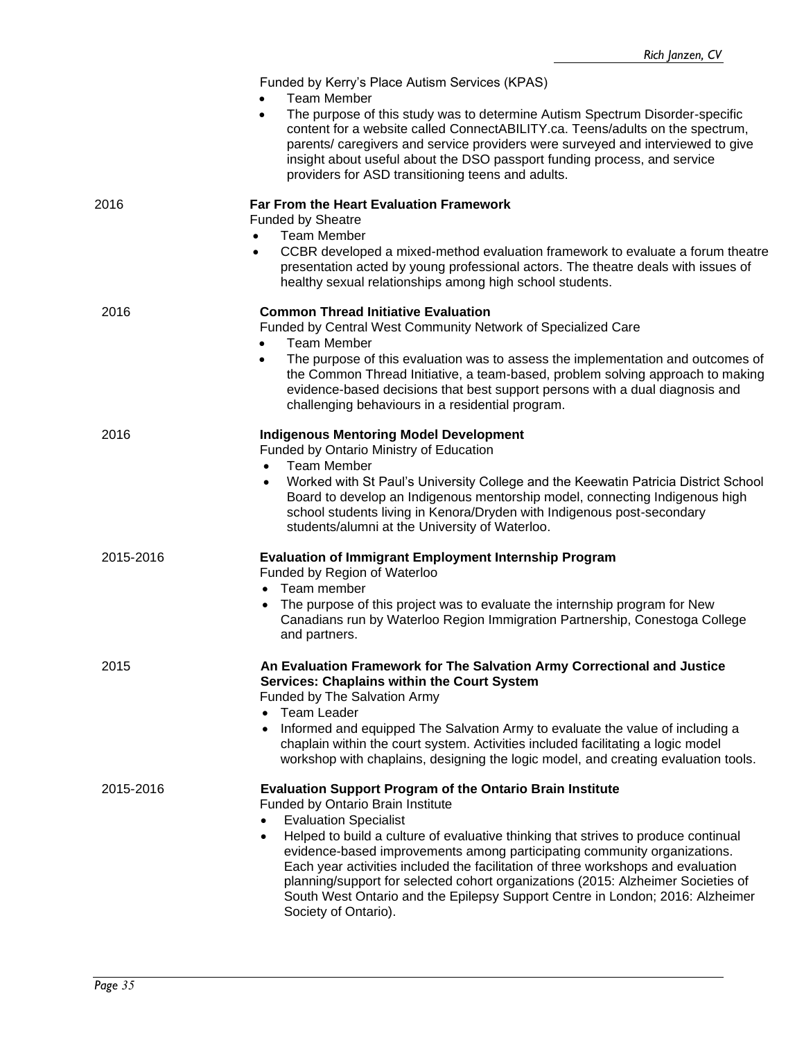|           | Funded by Kerry's Place Autism Services (KPAS)<br><b>Team Member</b><br>The purpose of this study was to determine Autism Spectrum Disorder-specific<br>$\bullet$<br>content for a website called ConnectABILITY.ca. Teens/adults on the spectrum,<br>parents/ caregivers and service providers were surveyed and interviewed to give<br>insight about useful about the DSO passport funding process, and service<br>providers for ASD transitioning teens and adults.                                                                                                                                             |
|-----------|--------------------------------------------------------------------------------------------------------------------------------------------------------------------------------------------------------------------------------------------------------------------------------------------------------------------------------------------------------------------------------------------------------------------------------------------------------------------------------------------------------------------------------------------------------------------------------------------------------------------|
| 2016      | Far From the Heart Evaluation Framework<br><b>Funded by Sheatre</b><br><b>Team Member</b><br>CCBR developed a mixed-method evaluation framework to evaluate a forum theatre<br>$\bullet$<br>presentation acted by young professional actors. The theatre deals with issues of<br>healthy sexual relationships among high school students.                                                                                                                                                                                                                                                                          |
| 2016      | <b>Common Thread Initiative Evaluation</b><br>Funded by Central West Community Network of Specialized Care<br><b>Team Member</b><br>The purpose of this evaluation was to assess the implementation and outcomes of<br>$\bullet$<br>the Common Thread Initiative, a team-based, problem solving approach to making<br>evidence-based decisions that best support persons with a dual diagnosis and<br>challenging behaviours in a residential program.                                                                                                                                                             |
| 2016      | <b>Indigenous Mentoring Model Development</b><br>Funded by Ontario Ministry of Education<br><b>Team Member</b><br>Worked with St Paul's University College and the Keewatin Patricia District School<br>Board to develop an Indigenous mentorship model, connecting Indigenous high<br>school students living in Kenora/Dryden with Indigenous post-secondary<br>students/alumni at the University of Waterloo.                                                                                                                                                                                                    |
| 2015-2016 | <b>Evaluation of Immigrant Employment Internship Program</b><br>Funded by Region of Waterloo<br>Team member<br>The purpose of this project was to evaluate the internship program for New<br>Canadians run by Waterloo Region Immigration Partnership, Conestoga College<br>and partners.                                                                                                                                                                                                                                                                                                                          |
| 2015      | An Evaluation Framework for The Salvation Army Correctional and Justice<br><b>Services: Chaplains within the Court System</b><br>Funded by The Salvation Army<br>Team Leader<br>$\bullet$<br>Informed and equipped The Salvation Army to evaluate the value of including a<br>$\bullet$<br>chaplain within the court system. Activities included facilitating a logic model<br>workshop with chaplains, designing the logic model, and creating evaluation tools.                                                                                                                                                  |
| 2015-2016 | <b>Evaluation Support Program of the Ontario Brain Institute</b><br>Funded by Ontario Brain Institute<br><b>Evaluation Specialist</b><br>$\bullet$<br>Helped to build a culture of evaluative thinking that strives to produce continual<br>$\bullet$<br>evidence-based improvements among participating community organizations.<br>Each year activities included the facilitation of three workshops and evaluation<br>planning/support for selected cohort organizations (2015: Alzheimer Societies of<br>South West Ontario and the Epilepsy Support Centre in London; 2016: Alzheimer<br>Society of Ontario). |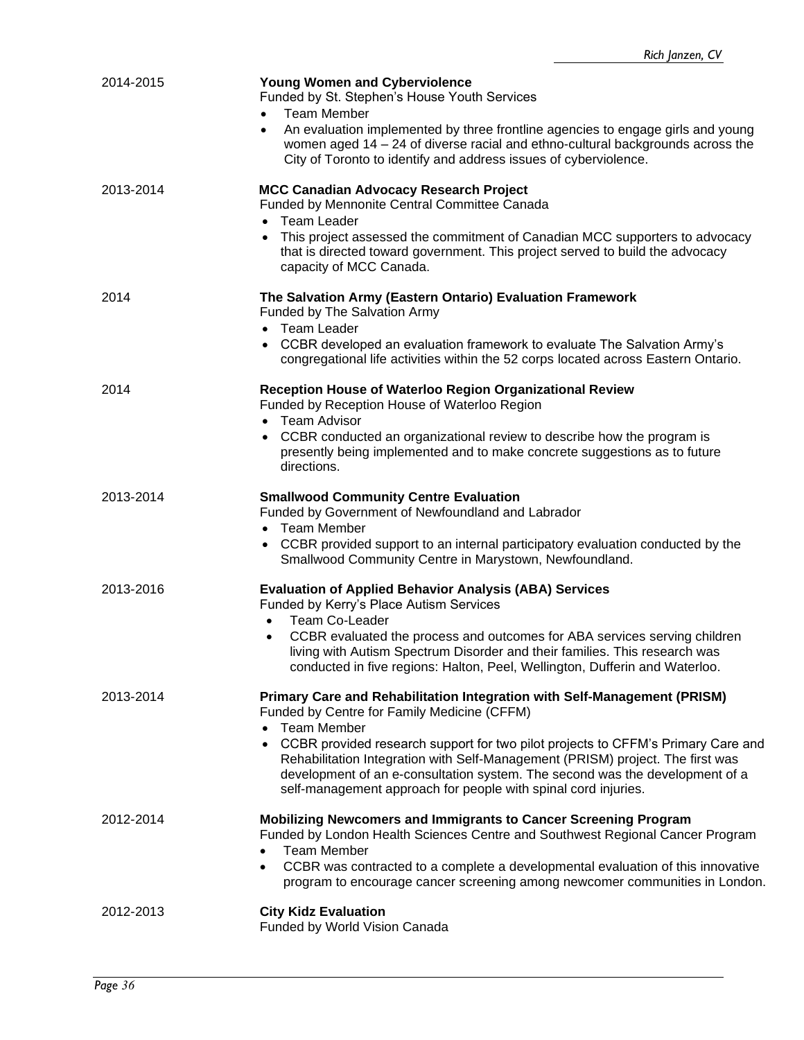| 2014-2015 | <b>Young Women and Cyberviolence</b><br>Funded by St. Stephen's House Youth Services<br><b>Team Member</b><br>$\bullet$<br>An evaluation implemented by three frontline agencies to engage girls and young<br>$\bullet$<br>women aged $14 - 24$ of diverse racial and ethno-cultural backgrounds across the<br>City of Toronto to identify and address issues of cyberviolence.                                                                                                          |
|-----------|------------------------------------------------------------------------------------------------------------------------------------------------------------------------------------------------------------------------------------------------------------------------------------------------------------------------------------------------------------------------------------------------------------------------------------------------------------------------------------------|
| 2013-2014 | <b>MCC Canadian Advocacy Research Project</b><br>Funded by Mennonite Central Committee Canada<br>Team Leader<br>$\bullet$<br>This project assessed the commitment of Canadian MCC supporters to advocacy<br>that is directed toward government. This project served to build the advocacy<br>capacity of MCC Canada.                                                                                                                                                                     |
| 2014      | The Salvation Army (Eastern Ontario) Evaluation Framework<br>Funded by The Salvation Army<br>Team Leader<br>$\bullet$<br>CCBR developed an evaluation framework to evaluate The Salvation Army's<br>congregational life activities within the 52 corps located across Eastern Ontario.                                                                                                                                                                                                   |
| 2014      | Reception House of Waterloo Region Organizational Review<br>Funded by Reception House of Waterloo Region<br>• Team Advisor<br>CCBR conducted an organizational review to describe how the program is<br>$\bullet$<br>presently being implemented and to make concrete suggestions as to future<br>directions.                                                                                                                                                                            |
| 2013-2014 | <b>Smallwood Community Centre Evaluation</b><br>Funded by Government of Newfoundland and Labrador<br>Team Member<br>$\bullet$<br>CCBR provided support to an internal participatory evaluation conducted by the<br>٠<br>Smallwood Community Centre in Marystown, Newfoundland.                                                                                                                                                                                                           |
| 2013-2016 | <b>Evaluation of Applied Behavior Analysis (ABA) Services</b><br>Funded by Kerry's Place Autism Services<br>Team Co-Leader<br>CCBR evaluated the process and outcomes for ABA services serving children<br>living with Autism Spectrum Disorder and their families. This research was<br>conducted in five regions: Halton, Peel, Wellington, Dufferin and Waterloo.                                                                                                                     |
| 2013-2014 | Primary Care and Rehabilitation Integration with Self-Management (PRISM)<br>Funded by Centre for Family Medicine (CFFM)<br>Team Member<br>$\bullet$<br>CCBR provided research support for two pilot projects to CFFM's Primary Care and<br>$\bullet$<br>Rehabilitation Integration with Self-Management (PRISM) project. The first was<br>development of an e-consultation system. The second was the development of a<br>self-management approach for people with spinal cord injuries. |
| 2012-2014 | Mobilizing Newcomers and Immigrants to Cancer Screening Program<br>Funded by London Health Sciences Centre and Southwest Regional Cancer Program<br><b>Team Member</b><br>CCBR was contracted to a complete a developmental evaluation of this innovative<br>٠<br>program to encourage cancer screening among newcomer communities in London.                                                                                                                                            |
| 2012-2013 | <b>City Kidz Evaluation</b><br>Funded by World Vision Canada                                                                                                                                                                                                                                                                                                                                                                                                                             |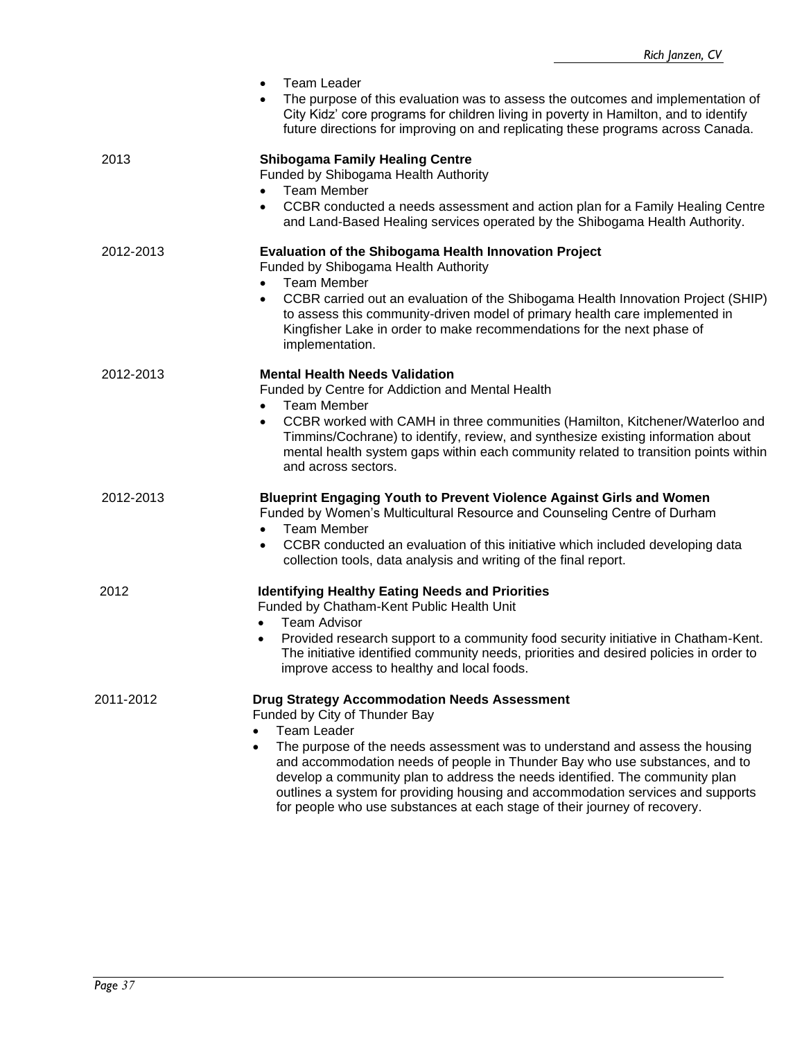|           | <b>Team Leader</b><br>$\bullet$                                                                                                                                                                                                                                                                                                                                                                                                                                                                                                        |
|-----------|----------------------------------------------------------------------------------------------------------------------------------------------------------------------------------------------------------------------------------------------------------------------------------------------------------------------------------------------------------------------------------------------------------------------------------------------------------------------------------------------------------------------------------------|
|           | The purpose of this evaluation was to assess the outcomes and implementation of<br>City Kidz' core programs for children living in poverty in Hamilton, and to identify<br>future directions for improving on and replicating these programs across Canada.                                                                                                                                                                                                                                                                            |
| 2013      | <b>Shibogama Family Healing Centre</b><br>Funded by Shibogama Health Authority<br><b>Team Member</b><br>$\bullet$<br>CCBR conducted a needs assessment and action plan for a Family Healing Centre<br>$\bullet$                                                                                                                                                                                                                                                                                                                        |
|           | and Land-Based Healing services operated by the Shibogama Health Authority.                                                                                                                                                                                                                                                                                                                                                                                                                                                            |
| 2012-2013 | <b>Evaluation of the Shibogama Health Innovation Project</b><br>Funded by Shibogama Health Authority<br><b>Team Member</b><br>$\bullet$<br>CCBR carried out an evaluation of the Shibogama Health Innovation Project (SHIP)<br>$\bullet$<br>to assess this community-driven model of primary health care implemented in<br>Kingfisher Lake in order to make recommendations for the next phase of<br>implementation.                                                                                                                   |
| 2012-2013 | <b>Mental Health Needs Validation</b><br>Funded by Centre for Addiction and Mental Health<br><b>Team Member</b><br>$\bullet$<br>CCBR worked with CAMH in three communities (Hamilton, Kitchener/Waterloo and<br>$\bullet$<br>Timmins/Cochrane) to identify, review, and synthesize existing information about<br>mental health system gaps within each community related to transition points within<br>and across sectors.                                                                                                            |
| 2012-2013 | Blueprint Engaging Youth to Prevent Violence Against Girls and Women<br>Funded by Women's Multicultural Resource and Counseling Centre of Durham<br><b>Team Member</b><br>$\bullet$<br>CCBR conducted an evaluation of this initiative which included developing data<br>$\bullet$<br>collection tools, data analysis and writing of the final report.                                                                                                                                                                                 |
| 2012      | <b>Identifying Healthy Eating Needs and Priorities</b><br>Funded by Chatham-Kent Public Health Unit<br><b>Team Advisor</b><br>$\bullet$<br>Provided research support to a community food security initiative in Chatham-Kent.<br>$\bullet$<br>The initiative identified community needs, priorities and desired policies in order to<br>improve access to healthy and local foods.                                                                                                                                                     |
| 2011-2012 | <b>Drug Strategy Accommodation Needs Assessment</b><br>Funded by City of Thunder Bay<br><b>Team Leader</b><br>The purpose of the needs assessment was to understand and assess the housing<br>$\bullet$<br>and accommodation needs of people in Thunder Bay who use substances, and to<br>develop a community plan to address the needs identified. The community plan<br>outlines a system for providing housing and accommodation services and supports<br>for people who use substances at each stage of their journey of recovery. |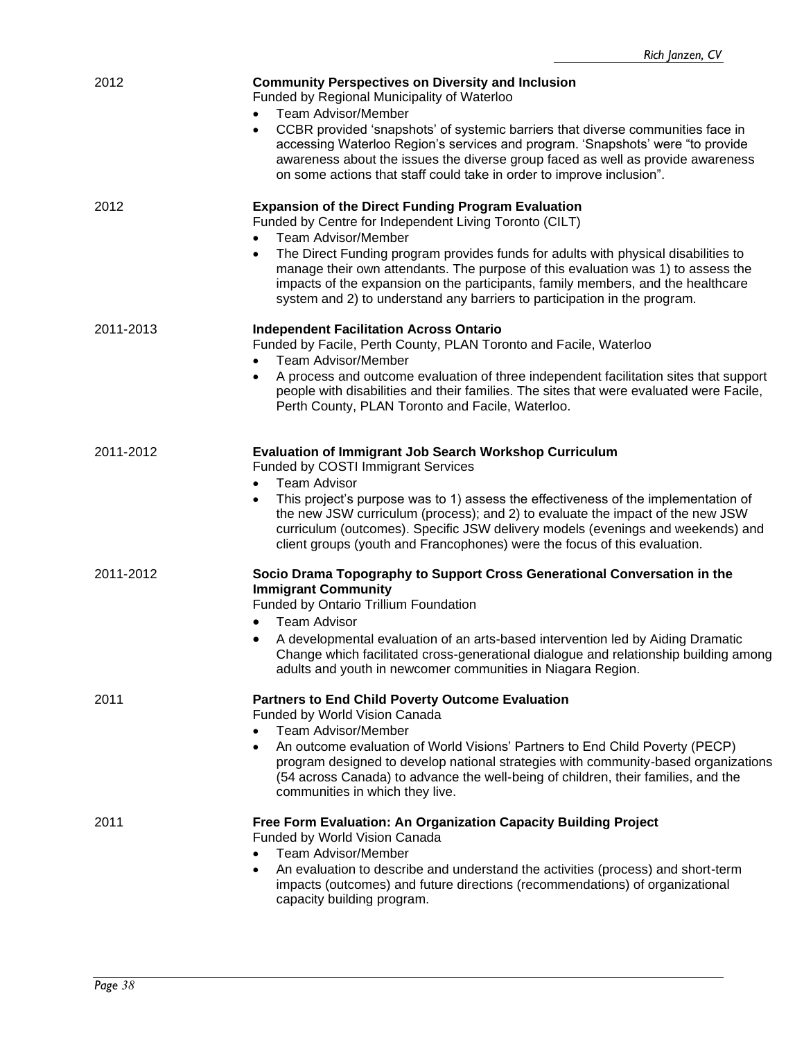| 2012      | <b>Community Perspectives on Diversity and Inclusion</b><br>Funded by Regional Municipality of Waterloo<br><b>Team Advisor/Member</b><br>CCBR provided 'snapshots' of systemic barriers that diverse communities face in<br>$\bullet$                                                                                                                                                                                                                                                                                  |
|-----------|------------------------------------------------------------------------------------------------------------------------------------------------------------------------------------------------------------------------------------------------------------------------------------------------------------------------------------------------------------------------------------------------------------------------------------------------------------------------------------------------------------------------|
|           | accessing Waterloo Region's services and program. 'Snapshots' were "to provide<br>awareness about the issues the diverse group faced as well as provide awareness<br>on some actions that staff could take in order to improve inclusion".                                                                                                                                                                                                                                                                             |
| 2012      | <b>Expansion of the Direct Funding Program Evaluation</b><br>Funded by Centre for Independent Living Toronto (CILT)<br><b>Team Advisor/Member</b><br>$\bullet$<br>The Direct Funding program provides funds for adults with physical disabilities to<br>$\bullet$<br>manage their own attendants. The purpose of this evaluation was 1) to assess the<br>impacts of the expansion on the participants, family members, and the healthcare<br>system and 2) to understand any barriers to participation in the program. |
| 2011-2013 | <b>Independent Facilitation Across Ontario</b><br>Funded by Facile, Perth County, PLAN Toronto and Facile, Waterloo<br><b>Team Advisor/Member</b><br>$\bullet$<br>A process and outcome evaluation of three independent facilitation sites that support<br>٠<br>people with disabilities and their families. The sites that were evaluated were Facile,                                                                                                                                                                |
|           | Perth County, PLAN Toronto and Facile, Waterloo.                                                                                                                                                                                                                                                                                                                                                                                                                                                                       |
| 2011-2012 | <b>Evaluation of Immigrant Job Search Workshop Curriculum</b><br>Funded by COSTI Immigrant Services<br><b>Team Advisor</b><br>$\bullet$<br>This project's purpose was to 1) assess the effectiveness of the implementation of<br>the new JSW curriculum (process); and 2) to evaluate the impact of the new JSW<br>curriculum (outcomes). Specific JSW delivery models (evenings and weekends) and<br>client groups (youth and Francophones) were the focus of this evaluation.                                        |
| 2011-2012 | Socio Drama Topography to Support Cross Generational Conversation in the<br><b>Immigrant Community</b><br>Funded by Ontario Trillium Foundation<br><b>Team Advisor</b><br>$\bullet$                                                                                                                                                                                                                                                                                                                                    |
|           | A developmental evaluation of an arts-based intervention led by Aiding Dramatic<br>$\bullet$<br>Change which facilitated cross-generational dialogue and relationship building among<br>adults and youth in newcomer communities in Niagara Region.                                                                                                                                                                                                                                                                    |
| 2011      | <b>Partners to End Child Poverty Outcome Evaluation</b><br>Funded by World Vision Canada<br><b>Team Advisor/Member</b><br>$\bullet$                                                                                                                                                                                                                                                                                                                                                                                    |
|           | An outcome evaluation of World Visions' Partners to End Child Poverty (PECP)<br>$\bullet$<br>program designed to develop national strategies with community-based organizations<br>(54 across Canada) to advance the well-being of children, their families, and the<br>communities in which they live.                                                                                                                                                                                                                |
| 2011      | Free Form Evaluation: An Organization Capacity Building Project<br>Funded by World Vision Canada<br><b>Team Advisor/Member</b>                                                                                                                                                                                                                                                                                                                                                                                         |
|           | An evaluation to describe and understand the activities (process) and short-term<br>$\bullet$<br>impacts (outcomes) and future directions (recommendations) of organizational<br>capacity building program.                                                                                                                                                                                                                                                                                                            |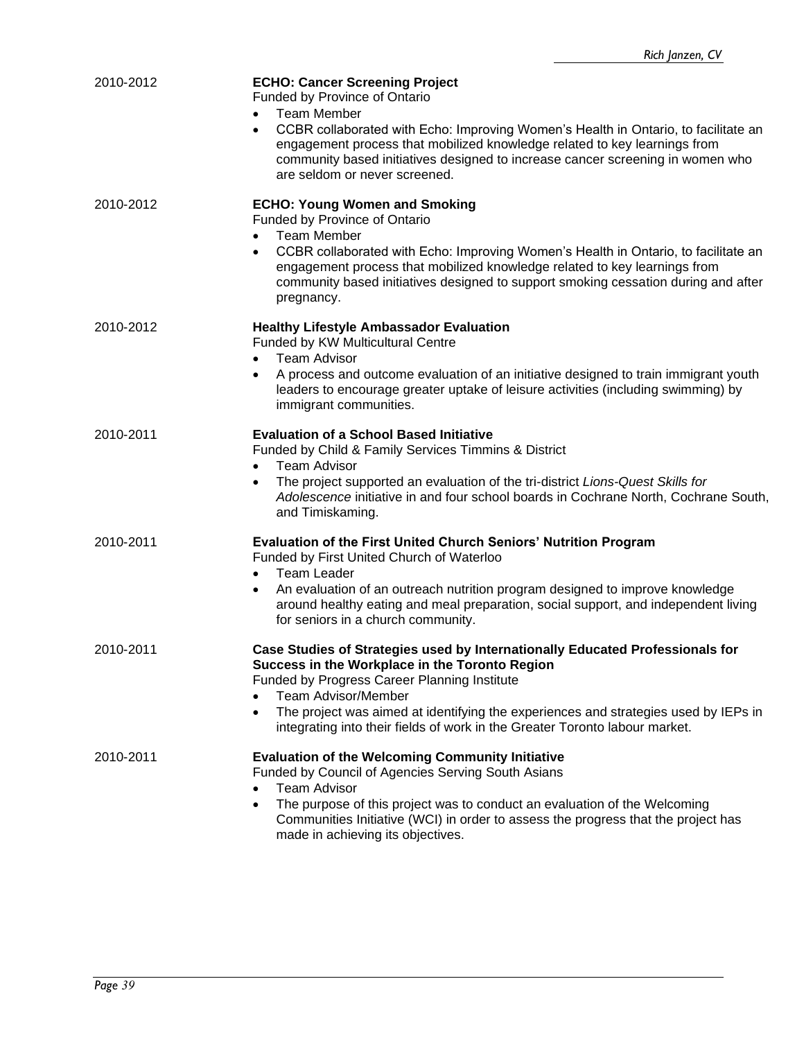| 2010-2012 | <b>ECHO: Cancer Screening Project</b><br>Funded by Province of Ontario<br>Team Member<br>$\bullet$<br>CCBR collaborated with Echo: Improving Women's Health in Ontario, to facilitate an<br>$\bullet$<br>engagement process that mobilized knowledge related to key learnings from<br>community based initiatives designed to increase cancer screening in women who<br>are seldom or never screened. |
|-----------|-------------------------------------------------------------------------------------------------------------------------------------------------------------------------------------------------------------------------------------------------------------------------------------------------------------------------------------------------------------------------------------------------------|
| 2010-2012 | <b>ECHO: Young Women and Smoking</b><br>Funded by Province of Ontario<br><b>Team Member</b><br>$\bullet$<br>CCBR collaborated with Echo: Improving Women's Health in Ontario, to facilitate an<br>٠<br>engagement process that mobilized knowledge related to key learnings from<br>community based initiatives designed to support smoking cessation during and after<br>pregnancy.                  |
| 2010-2012 | <b>Healthy Lifestyle Ambassador Evaluation</b><br>Funded by KW Multicultural Centre<br><b>Team Advisor</b><br>$\bullet$<br>A process and outcome evaluation of an initiative designed to train immigrant youth<br>leaders to encourage greater uptake of leisure activities (including swimming) by<br>immigrant communities.                                                                         |
| 2010-2011 | <b>Evaluation of a School Based Initiative</b><br>Funded by Child & Family Services Timmins & District<br><b>Team Advisor</b><br>$\bullet$<br>The project supported an evaluation of the tri-district Lions-Quest Skills for<br>$\bullet$<br>Adolescence initiative in and four school boards in Cochrane North, Cochrane South,<br>and Timiskaming.                                                  |
| 2010-2011 | Evaluation of the First United Church Seniors' Nutrition Program<br>Funded by First United Church of Waterloo<br><b>Team Leader</b><br>An evaluation of an outreach nutrition program designed to improve knowledge<br>$\bullet$<br>around healthy eating and meal preparation, social support, and independent living<br>for seniors in a church community.                                          |
| 2010-2011 | Case Studies of Strategies used by Internationally Educated Professionals for<br>Success in the Workplace in the Toronto Region<br>Funded by Progress Career Planning Institute<br><b>Team Advisor/Member</b><br>The project was aimed at identifying the experiences and strategies used by IEPs in<br>$\bullet$<br>integrating into their fields of work in the Greater Toronto labour market.      |
| 2010-2011 | <b>Evaluation of the Welcoming Community Initiative</b><br>Funded by Council of Agencies Serving South Asians<br><b>Team Advisor</b><br>$\bullet$<br>The purpose of this project was to conduct an evaluation of the Welcoming<br>$\bullet$<br>Communities Initiative (WCI) in order to assess the progress that the project has<br>made in achieving its objectives.                                 |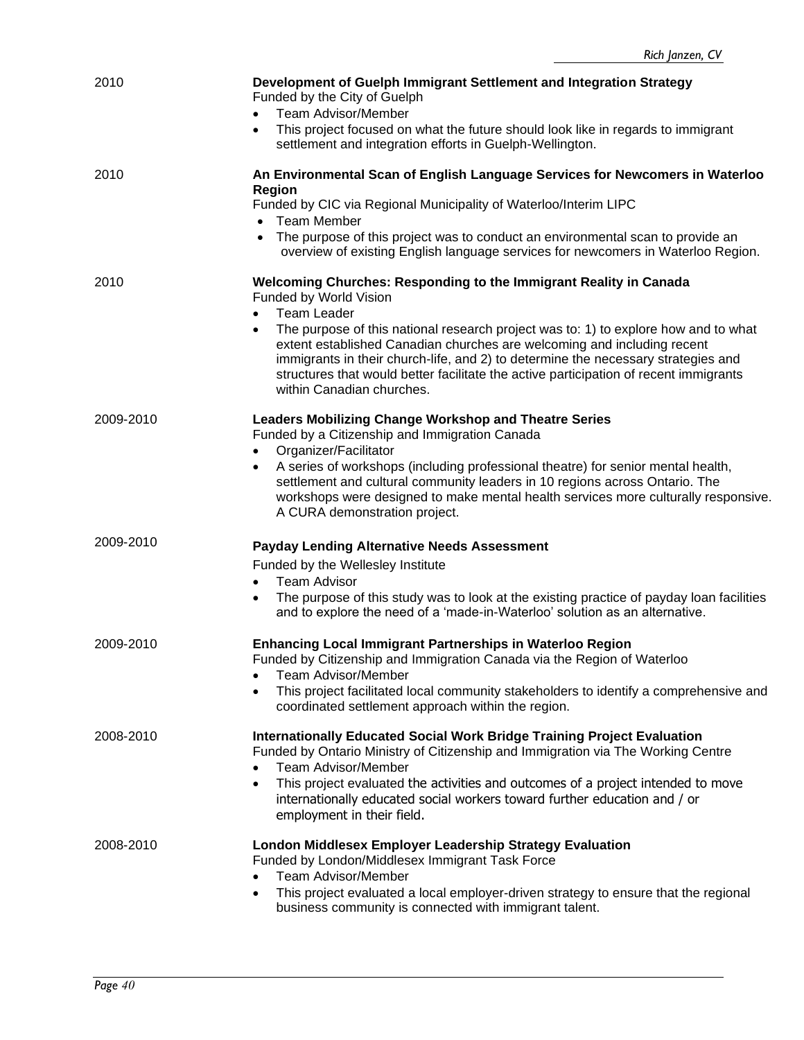| 2010      | Development of Guelph Immigrant Settlement and Integration Strategy<br>Funded by the City of Guelph<br><b>Team Advisor/Member</b><br>$\bullet$<br>This project focused on what the future should look like in regards to immigrant<br>$\bullet$<br>settlement and integration efforts in Guelph-Wellington.                                                               |
|-----------|---------------------------------------------------------------------------------------------------------------------------------------------------------------------------------------------------------------------------------------------------------------------------------------------------------------------------------------------------------------------------|
| 2010      | An Environmental Scan of English Language Services for Newcomers in Waterloo<br><b>Region</b>                                                                                                                                                                                                                                                                             |
|           | Funded by CIC via Regional Municipality of Waterloo/Interim LIPC<br><b>Team Member</b>                                                                                                                                                                                                                                                                                    |
|           | The purpose of this project was to conduct an environmental scan to provide an<br>$\bullet$<br>overview of existing English language services for newcomers in Waterloo Region.                                                                                                                                                                                           |
| 2010      | Welcoming Churches: Responding to the Immigrant Reality in Canada<br>Funded by World Vision<br><b>Team Leader</b>                                                                                                                                                                                                                                                         |
|           | The purpose of this national research project was to: 1) to explore how and to what<br>extent established Canadian churches are welcoming and including recent<br>immigrants in their church-life, and 2) to determine the necessary strategies and<br>structures that would better facilitate the active participation of recent immigrants<br>within Canadian churches. |
| 2009-2010 | <b>Leaders Mobilizing Change Workshop and Theatre Series</b><br>Funded by a Citizenship and Immigration Canada<br>Organizer/Facilitator                                                                                                                                                                                                                                   |
|           | $\bullet$<br>A series of workshops (including professional theatre) for senior mental health,<br>$\bullet$<br>settlement and cultural community leaders in 10 regions across Ontario. The<br>workshops were designed to make mental health services more culturally responsive.<br>A CURA demonstration project.                                                          |
| 2009-2010 | <b>Payday Lending Alternative Needs Assessment</b>                                                                                                                                                                                                                                                                                                                        |
|           | Funded by the Wellesley Institute<br><b>Team Advisor</b>                                                                                                                                                                                                                                                                                                                  |
|           | The purpose of this study was to look at the existing practice of payday loan facilities<br>and to explore the need of a 'made-in-Waterloo' solution as an alternative.                                                                                                                                                                                                   |
| 2009-2010 | <b>Enhancing Local Immigrant Partnerships in Waterloo Region</b><br>Funded by Citizenship and Immigration Canada via the Region of Waterloo<br><b>Team Advisor/Member</b>                                                                                                                                                                                                 |
|           | This project facilitated local community stakeholders to identify a comprehensive and<br>$\bullet$<br>coordinated settlement approach within the region.                                                                                                                                                                                                                  |
| 2008-2010 | <b>Internationally Educated Social Work Bridge Training Project Evaluation</b><br>Funded by Ontario Ministry of Citizenship and Immigration via The Working Centre<br><b>Team Advisor/Member</b><br>$\bullet$                                                                                                                                                             |
|           | This project evaluated the activities and outcomes of a project intended to move<br>$\bullet$<br>internationally educated social workers toward further education and / or<br>employment in their field.                                                                                                                                                                  |
| 2008-2010 | <b>London Middlesex Employer Leadership Strategy Evaluation</b><br>Funded by London/Middlesex Immigrant Task Force<br><b>Team Advisor/Member</b><br>$\bullet$                                                                                                                                                                                                             |
|           | This project evaluated a local employer-driven strategy to ensure that the regional<br>$\bullet$<br>business community is connected with immigrant talent.                                                                                                                                                                                                                |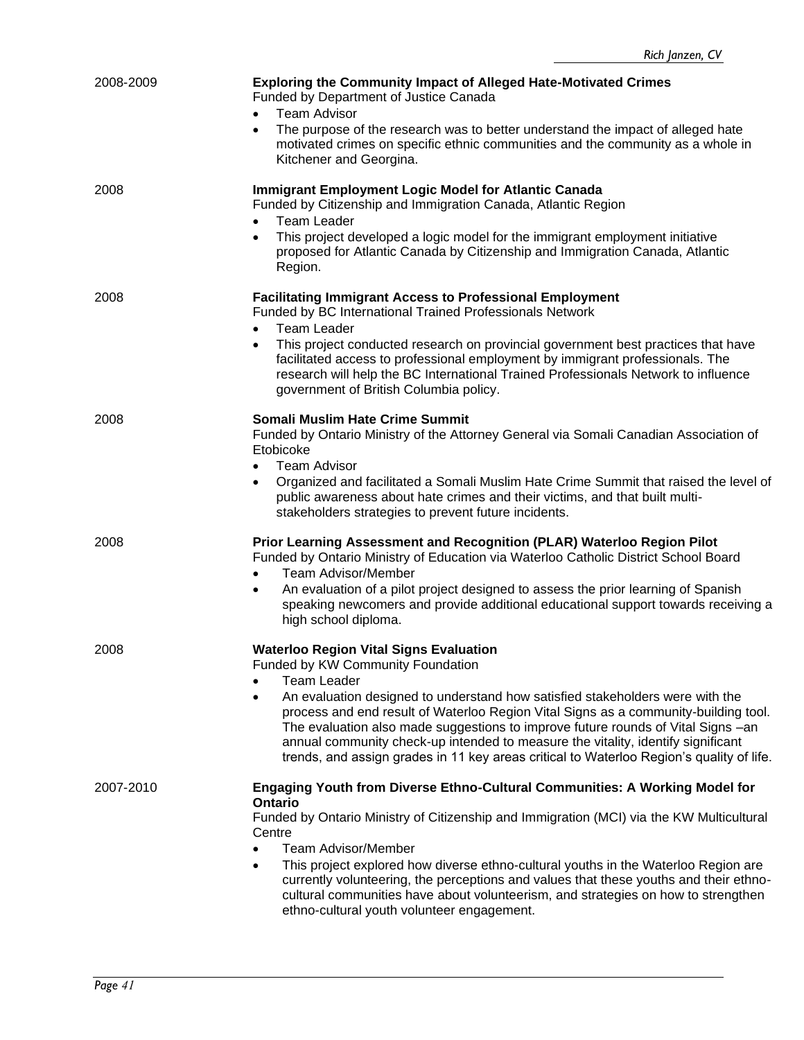| 2008-2009 | <b>Exploring the Community Impact of Alleged Hate-Motivated Crimes</b><br>Funded by Department of Justice Canada<br><b>Team Advisor</b><br>$\bullet$<br>The purpose of the research was to better understand the impact of alleged hate<br>$\bullet$<br>motivated crimes on specific ethnic communities and the community as a whole in<br>Kitchener and Georgina.                                                                                                                                                                                                     |
|-----------|------------------------------------------------------------------------------------------------------------------------------------------------------------------------------------------------------------------------------------------------------------------------------------------------------------------------------------------------------------------------------------------------------------------------------------------------------------------------------------------------------------------------------------------------------------------------|
| 2008      | <b>Immigrant Employment Logic Model for Atlantic Canada</b><br>Funded by Citizenship and Immigration Canada, Atlantic Region<br><b>Team Leader</b><br>This project developed a logic model for the immigrant employment initiative<br>$\bullet$<br>proposed for Atlantic Canada by Citizenship and Immigration Canada, Atlantic<br>Region.                                                                                                                                                                                                                             |
| 2008      | <b>Facilitating Immigrant Access to Professional Employment</b><br>Funded by BC International Trained Professionals Network<br><b>Team Leader</b><br>$\bullet$<br>This project conducted research on provincial government best practices that have<br>facilitated access to professional employment by immigrant professionals. The<br>research will help the BC International Trained Professionals Network to influence<br>government of British Columbia policy.                                                                                                   |
| 2008      | Somali Muslim Hate Crime Summit<br>Funded by Ontario Ministry of the Attorney General via Somali Canadian Association of<br>Etobicoke<br><b>Team Advisor</b><br>$\bullet$<br>Organized and facilitated a Somali Muslim Hate Crime Summit that raised the level of<br>$\bullet$<br>public awareness about hate crimes and their victims, and that built multi-<br>stakeholders strategies to prevent future incidents.                                                                                                                                                  |
| 2008      | Prior Learning Assessment and Recognition (PLAR) Waterloo Region Pilot<br>Funded by Ontario Ministry of Education via Waterloo Catholic District School Board<br>Team Advisor/Member<br>$\bullet$<br>An evaluation of a pilot project designed to assess the prior learning of Spanish<br>$\bullet$<br>speaking newcomers and provide additional educational support towards receiving a<br>high school diploma.                                                                                                                                                       |
| 2008      | <b>Waterloo Region Vital Signs Evaluation</b><br>Funded by KW Community Foundation<br><b>Team Leader</b><br>An evaluation designed to understand how satisfied stakeholders were with the<br>$\bullet$<br>process and end result of Waterloo Region Vital Signs as a community-building tool.<br>The evaluation also made suggestions to improve future rounds of Vital Signs -an<br>annual community check-up intended to measure the vitality, identify significant<br>trends, and assign grades in 11 key areas critical to Waterloo Region's quality of life.      |
| 2007-2010 | Engaging Youth from Diverse Ethno-Cultural Communities: A Working Model for<br>Ontario<br>Funded by Ontario Ministry of Citizenship and Immigration (MCI) via the KW Multicultural<br>Centre<br><b>Team Advisor/Member</b><br>$\bullet$<br>This project explored how diverse ethno-cultural youths in the Waterloo Region are<br>$\bullet$<br>currently volunteering, the perceptions and values that these youths and their ethno-<br>cultural communities have about volunteerism, and strategies on how to strengthen<br>ethno-cultural youth volunteer engagement. |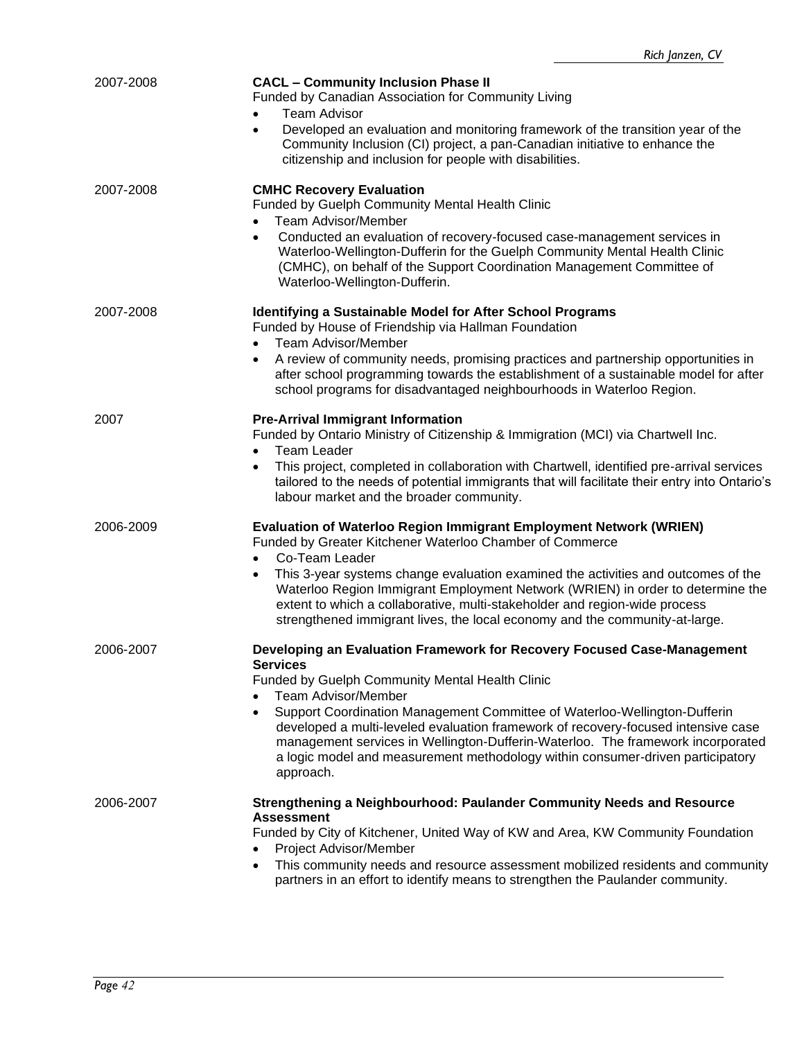| 2007-2008 | <b>CACL - Community Inclusion Phase II</b><br>Funded by Canadian Association for Community Living<br><b>Team Advisor</b><br>Developed an evaluation and monitoring framework of the transition year of the<br>$\bullet$<br>Community Inclusion (CI) project, a pan-Canadian initiative to enhance the<br>citizenship and inclusion for people with disabilities.                                                                                                                                                                             |
|-----------|----------------------------------------------------------------------------------------------------------------------------------------------------------------------------------------------------------------------------------------------------------------------------------------------------------------------------------------------------------------------------------------------------------------------------------------------------------------------------------------------------------------------------------------------|
| 2007-2008 | <b>CMHC Recovery Evaluation</b><br>Funded by Guelph Community Mental Health Clinic<br><b>Team Advisor/Member</b><br>Conducted an evaluation of recovery-focused case-management services in<br>Waterloo-Wellington-Dufferin for the Guelph Community Mental Health Clinic<br>(CMHC), on behalf of the Support Coordination Management Committee of<br>Waterloo-Wellington-Dufferin.                                                                                                                                                          |
| 2007-2008 | <b>Identifying a Sustainable Model for After School Programs</b><br>Funded by House of Friendship via Hallman Foundation<br><b>Team Advisor/Member</b><br>$\bullet$<br>A review of community needs, promising practices and partnership opportunities in<br>$\bullet$<br>after school programming towards the establishment of a sustainable model for after<br>school programs for disadvantaged neighbourhoods in Waterloo Region.                                                                                                         |
| 2007      | <b>Pre-Arrival Immigrant Information</b><br>Funded by Ontario Ministry of Citizenship & Immigration (MCI) via Chartwell Inc.<br><b>Team Leader</b><br>This project, completed in collaboration with Chartwell, identified pre-arrival services<br>tailored to the needs of potential immigrants that will facilitate their entry into Ontario's<br>labour market and the broader community.                                                                                                                                                  |
| 2006-2009 | Evaluation of Waterloo Region Immigrant Employment Network (WRIEN)<br>Funded by Greater Kitchener Waterloo Chamber of Commerce<br>Co-Team Leader<br>$\bullet$<br>This 3-year systems change evaluation examined the activities and outcomes of the<br>$\bullet$<br>Waterloo Region Immigrant Employment Network (WRIEN) in order to determine the<br>extent to which a collaborative, multi-stakeholder and region-wide process<br>strengthened immigrant lives, the local economy and the community-at-large.                               |
| 2006-2007 | Developing an Evaluation Framework for Recovery Focused Case-Management<br><b>Services</b><br>Funded by Guelph Community Mental Health Clinic<br><b>Team Advisor/Member</b><br>Support Coordination Management Committee of Waterloo-Wellington-Dufferin<br>$\bullet$<br>developed a multi-leveled evaluation framework of recovery-focused intensive case<br>management services in Wellington-Dufferin-Waterloo. The framework incorporated<br>a logic model and measurement methodology within consumer-driven participatory<br>approach. |
| 2006-2007 | Strengthening a Neighbourhood: Paulander Community Needs and Resource<br><b>Assessment</b><br>Funded by City of Kitchener, United Way of KW and Area, KW Community Foundation<br>Project Advisor/Member<br>This community needs and resource assessment mobilized residents and community<br>$\bullet$<br>partners in an effort to identify means to strengthen the Paulander community.                                                                                                                                                     |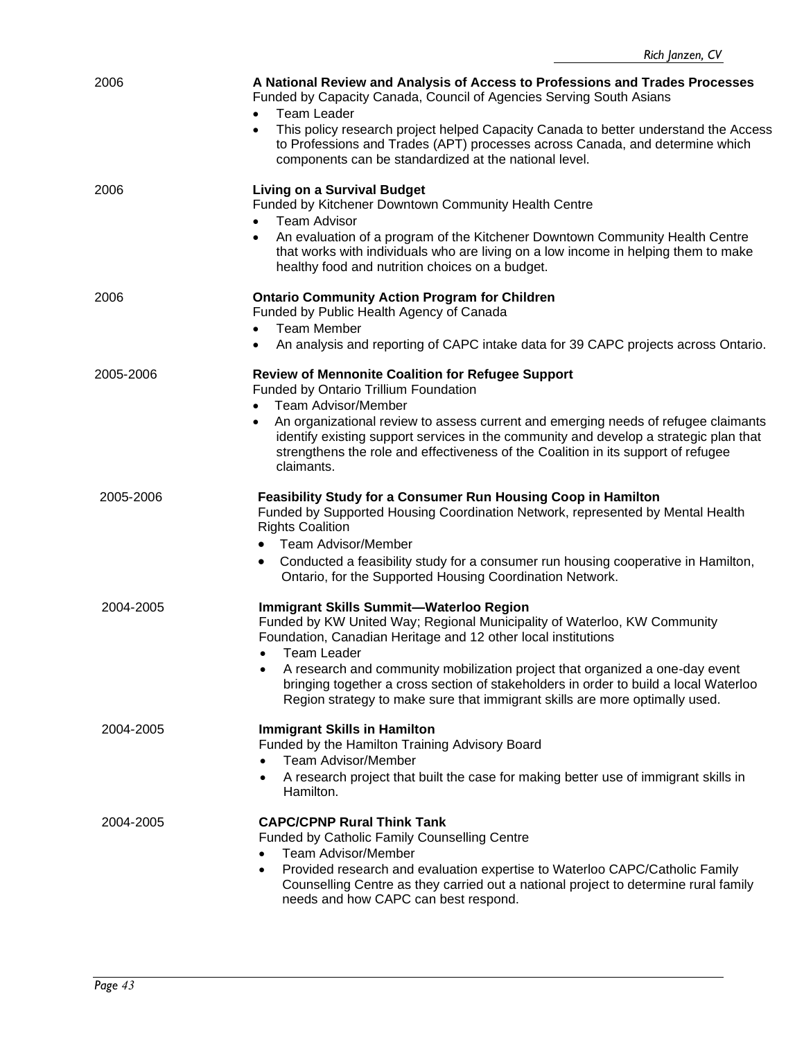| 2006      | A National Review and Analysis of Access to Professions and Trades Processes<br>Funded by Capacity Canada, Council of Agencies Serving South Asians<br><b>Team Leader</b><br>This policy research project helped Capacity Canada to better understand the Access<br>$\bullet$                                |
|-----------|--------------------------------------------------------------------------------------------------------------------------------------------------------------------------------------------------------------------------------------------------------------------------------------------------------------|
|           | to Professions and Trades (APT) processes across Canada, and determine which<br>components can be standardized at the national level.                                                                                                                                                                        |
| 2006      | <b>Living on a Survival Budget</b><br>Funded by Kitchener Downtown Community Health Centre<br><b>Team Advisor</b><br>$\bullet$                                                                                                                                                                               |
|           | An evaluation of a program of the Kitchener Downtown Community Health Centre<br>$\bullet$<br>that works with individuals who are living on a low income in helping them to make<br>healthy food and nutrition choices on a budget.                                                                           |
| 2006      | <b>Ontario Community Action Program for Children</b><br>Funded by Public Health Agency of Canada                                                                                                                                                                                                             |
|           | <b>Team Member</b><br>An analysis and reporting of CAPC intake data for 39 CAPC projects across Ontario.                                                                                                                                                                                                     |
| 2005-2006 | <b>Review of Mennonite Coalition for Refugee Support</b><br>Funded by Ontario Trillium Foundation                                                                                                                                                                                                            |
|           | <b>Team Advisor/Member</b><br>An organizational review to assess current and emerging needs of refugee claimants<br>identify existing support services in the community and develop a strategic plan that<br>strengthens the role and effectiveness of the Coalition in its support of refugee<br>claimants. |
| 2005-2006 | <b>Feasibility Study for a Consumer Run Housing Coop in Hamilton</b><br>Funded by Supported Housing Coordination Network, represented by Mental Health<br><b>Rights Coalition</b>                                                                                                                            |
|           | <b>Team Advisor/Member</b><br>$\bullet$<br>Conducted a feasibility study for a consumer run housing cooperative in Hamilton,<br>$\bullet$<br>Ontario, for the Supported Housing Coordination Network.                                                                                                        |
| 2004-2005 | Immigrant Skills Summit-Waterloo Region<br>Funded by KW United Way; Regional Municipality of Waterloo, KW Community<br>Foundation, Canadian Heritage and 12 other local institutions<br>Team Leader<br>A research and community mobilization project that organized a one-day event<br>$\bullet$             |
|           | bringing together a cross section of stakeholders in order to build a local Waterloo<br>Region strategy to make sure that immigrant skills are more optimally used.                                                                                                                                          |
| 2004-2005 | <b>Immigrant Skills in Hamilton</b><br>Funded by the Hamilton Training Advisory Board<br><b>Team Advisor/Member</b>                                                                                                                                                                                          |
|           | A research project that built the case for making better use of immigrant skills in<br>Hamilton.                                                                                                                                                                                                             |
| 2004-2005 | <b>CAPC/CPNP Rural Think Tank</b><br><b>Funded by Catholic Family Counselling Centre</b><br><b>Team Advisor/Member</b>                                                                                                                                                                                       |
|           | Provided research and evaluation expertise to Waterloo CAPC/Catholic Family<br>٠<br>Counselling Centre as they carried out a national project to determine rural family<br>needs and how CAPC can best respond.                                                                                              |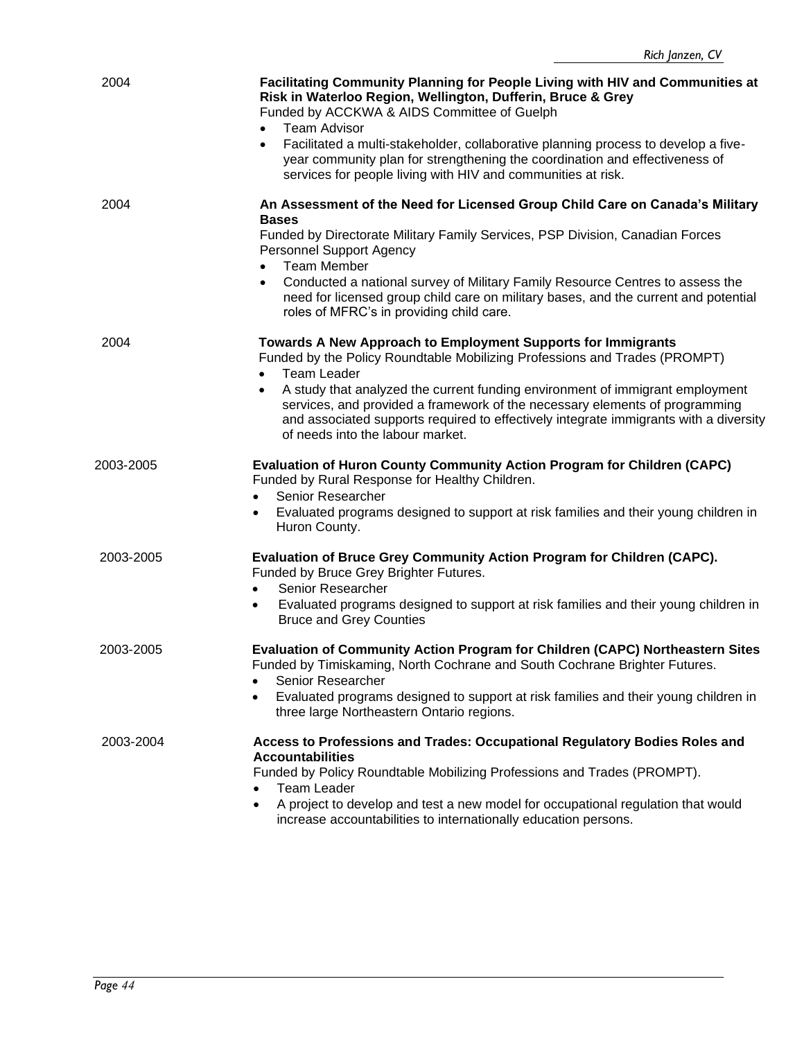| 2004      | Facilitating Community Planning for People Living with HIV and Communities at<br>Risk in Waterloo Region, Wellington, Dufferin, Bruce & Grey<br>Funded by ACCKWA & AIDS Committee of Guelph<br><b>Team Advisor</b><br>Facilitated a multi-stakeholder, collaborative planning process to develop a five-<br>year community plan for strengthening the coordination and effectiveness of<br>services for people living with HIV and communities at risk. |
|-----------|---------------------------------------------------------------------------------------------------------------------------------------------------------------------------------------------------------------------------------------------------------------------------------------------------------------------------------------------------------------------------------------------------------------------------------------------------------|
| 2004      | An Assessment of the Need for Licensed Group Child Care on Canada's Military<br><b>Bases</b><br>Funded by Directorate Military Family Services, PSP Division, Canadian Forces                                                                                                                                                                                                                                                                           |
|           | <b>Personnel Support Agency</b>                                                                                                                                                                                                                                                                                                                                                                                                                         |
|           | <b>Team Member</b><br>$\bullet$<br>Conducted a national survey of Military Family Resource Centres to assess the<br>need for licensed group child care on military bases, and the current and potential<br>roles of MFRC's in providing child care.                                                                                                                                                                                                     |
| 2004      | Towards A New Approach to Employment Supports for Immigrants<br>Funded by the Policy Roundtable Mobilizing Professions and Trades (PROMPT)<br><b>Team Leader</b>                                                                                                                                                                                                                                                                                        |
|           | A study that analyzed the current funding environment of immigrant employment<br>services, and provided a framework of the necessary elements of programming<br>and associated supports required to effectively integrate immigrants with a diversity<br>of needs into the labour market.                                                                                                                                                               |
| 2003-2005 | <b>Evaluation of Huron County Community Action Program for Children (CAPC)</b><br>Funded by Rural Response for Healthy Children.<br>Senior Researcher<br>$\bullet$                                                                                                                                                                                                                                                                                      |
|           | Evaluated programs designed to support at risk families and their young children in<br>$\bullet$<br>Huron County.                                                                                                                                                                                                                                                                                                                                       |
| 2003-2005 | Evaluation of Bruce Grey Community Action Program for Children (CAPC).<br>Funded by Bruce Grey Brighter Futures.<br>Senior Researcher<br>$\bullet$                                                                                                                                                                                                                                                                                                      |
|           | Evaluated programs designed to support at risk families and their young children in<br>$\bullet$<br><b>Bruce and Grey Counties</b>                                                                                                                                                                                                                                                                                                                      |
| 2003-2005 | Evaluation of Community Action Program for Children (CAPC) Northeastern Sites<br>Funded by Timiskaming, North Cochrane and South Cochrane Brighter Futures.<br>Senior Researcher                                                                                                                                                                                                                                                                        |
|           | Evaluated programs designed to support at risk families and their young children in<br>$\bullet$<br>three large Northeastern Ontario regions.                                                                                                                                                                                                                                                                                                           |
| 2003-2004 | Access to Professions and Trades: Occupational Regulatory Bodies Roles and<br><b>Accountabilities</b><br>Funded by Policy Roundtable Mobilizing Professions and Trades (PROMPT).                                                                                                                                                                                                                                                                        |
|           | <b>Team Leader</b><br>$\bullet$                                                                                                                                                                                                                                                                                                                                                                                                                         |
|           | A project to develop and test a new model for occupational regulation that would<br>$\bullet$<br>increase accountabilities to internationally education persons.                                                                                                                                                                                                                                                                                        |
|           |                                                                                                                                                                                                                                                                                                                                                                                                                                                         |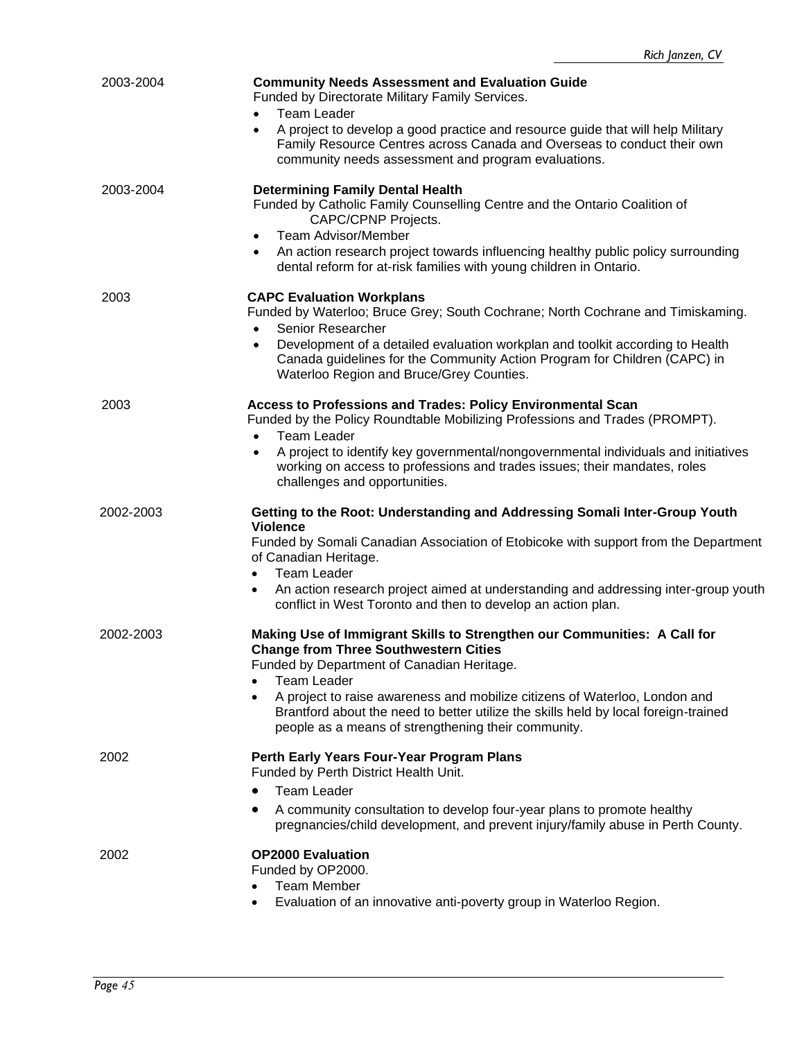| 2003-2004 | <b>Community Needs Assessment and Evaluation Guide</b><br>Funded by Directorate Military Family Services.<br><b>Team Leader</b><br>A project to develop a good practice and resource guide that will help Military<br>$\bullet$<br>Family Resource Centres across Canada and Overseas to conduct their own<br>community needs assessment and program evaluations.                                                                     |
|-----------|---------------------------------------------------------------------------------------------------------------------------------------------------------------------------------------------------------------------------------------------------------------------------------------------------------------------------------------------------------------------------------------------------------------------------------------|
| 2003-2004 | <b>Determining Family Dental Health</b><br>Funded by Catholic Family Counselling Centre and the Ontario Coalition of<br><b>CAPC/CPNP Projects.</b><br><b>Team Advisor/Member</b><br>$\bullet$<br>An action research project towards influencing healthy public policy surrounding<br>dental reform for at-risk families with young children in Ontario.                                                                               |
| 2003      | <b>CAPC Evaluation Workplans</b><br>Funded by Waterloo; Bruce Grey; South Cochrane; North Cochrane and Timiskaming.<br>Senior Researcher<br>$\bullet$<br>Development of a detailed evaluation workplan and toolkit according to Health<br>$\bullet$<br>Canada guidelines for the Community Action Program for Children (CAPC) in<br>Waterloo Region and Bruce/Grey Counties.                                                          |
| 2003      | Access to Professions and Trades: Policy Environmental Scan<br>Funded by the Policy Roundtable Mobilizing Professions and Trades (PROMPT).<br><b>Team Leader</b><br>A project to identify key governmental/nongovernmental individuals and initiatives<br>$\bullet$<br>working on access to professions and trades issues; their mandates, roles<br>challenges and opportunities.                                                     |
| 2002-2003 | Getting to the Root: Understanding and Addressing Somali Inter-Group Youth<br><b>Violence</b><br>Funded by Somali Canadian Association of Etobicoke with support from the Department<br>of Canadian Heritage.<br><b>Team Leader</b><br>$\bullet$<br>An action research project aimed at understanding and addressing inter-group youth<br>$\bullet$<br>conflict in West Toronto and then to develop an action plan.                   |
| 2002-2003 | Making Use of Immigrant Skills to Strengthen our Communities: A Call for<br><b>Change from Three Southwestern Cities</b><br>Funded by Department of Canadian Heritage.<br><b>Team Leader</b><br>A project to raise awareness and mobilize citizens of Waterloo, London and<br>$\bullet$<br>Brantford about the need to better utilize the skills held by local foreign-trained<br>people as a means of strengthening their community. |
| 2002      | Perth Early Years Four-Year Program Plans<br>Funded by Perth District Health Unit.<br><b>Team Leader</b><br>A community consultation to develop four-year plans to promote healthy<br>$\bullet$<br>pregnancies/child development, and prevent injury/family abuse in Perth County.                                                                                                                                                    |
| 2002      | <b>OP2000 Evaluation</b><br>Funded by OP2000.<br><b>Team Member</b><br>Evaluation of an innovative anti-poverty group in Waterloo Region.                                                                                                                                                                                                                                                                                             |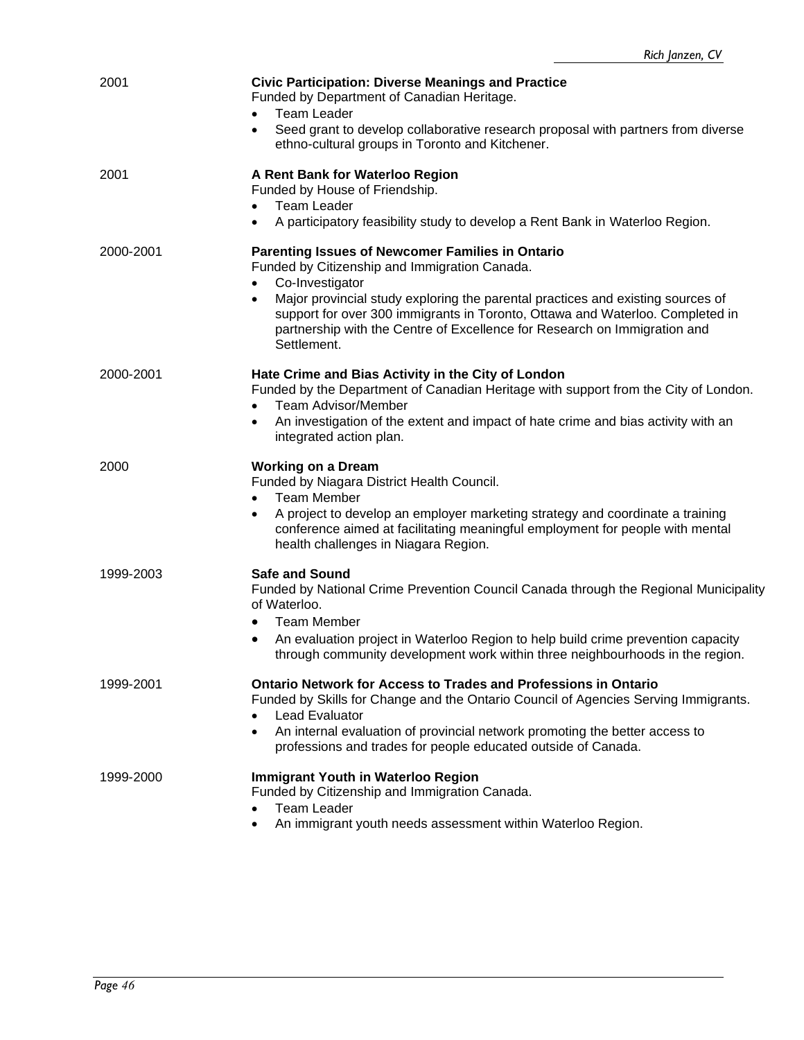| 2001      | <b>Civic Participation: Diverse Meanings and Practice</b><br>Funded by Department of Canadian Heritage.<br><b>Team Leader</b><br>Seed grant to develop collaborative research proposal with partners from diverse<br>$\bullet$<br>ethno-cultural groups in Toronto and Kitchener.                                                                                                                 |
|-----------|---------------------------------------------------------------------------------------------------------------------------------------------------------------------------------------------------------------------------------------------------------------------------------------------------------------------------------------------------------------------------------------------------|
| 2001      | A Rent Bank for Waterloo Region<br>Funded by House of Friendship.<br><b>Team Leader</b><br>A participatory feasibility study to develop a Rent Bank in Waterloo Region.                                                                                                                                                                                                                           |
| 2000-2001 | Parenting Issues of Newcomer Families in Ontario<br>Funded by Citizenship and Immigration Canada.<br>Co-Investigator<br>Major provincial study exploring the parental practices and existing sources of<br>$\bullet$<br>support for over 300 immigrants in Toronto, Ottawa and Waterloo. Completed in<br>partnership with the Centre of Excellence for Research on Immigration and<br>Settlement. |
| 2000-2001 | Hate Crime and Bias Activity in the City of London<br>Funded by the Department of Canadian Heritage with support from the City of London.<br><b>Team Advisor/Member</b><br>$\bullet$<br>An investigation of the extent and impact of hate crime and bias activity with an<br>$\bullet$<br>integrated action plan.                                                                                 |
| 2000      | <b>Working on a Dream</b><br>Funded by Niagara District Health Council.<br><b>Team Member</b><br>$\bullet$<br>A project to develop an employer marketing strategy and coordinate a training<br>$\bullet$<br>conference aimed at facilitating meaningful employment for people with mental<br>health challenges in Niagara Region.                                                                 |
| 1999-2003 | <b>Safe and Sound</b><br>Funded by National Crime Prevention Council Canada through the Regional Municipality<br>of Waterloo.<br><b>Team Member</b><br>$\bullet$<br>An evaluation project in Waterloo Region to help build crime prevention capacity<br>through community development work within three neighbourhoods in the region.                                                             |
| 1999-2001 | <b>Ontario Network for Access to Trades and Professions in Ontario</b><br>Funded by Skills for Change and the Ontario Council of Agencies Serving Immigrants.<br><b>Lead Evaluator</b><br>An internal evaluation of provincial network promoting the better access to<br>professions and trades for people educated outside of Canada.                                                            |
| 1999-2000 | <b>Immigrant Youth in Waterloo Region</b><br>Funded by Citizenship and Immigration Canada.<br><b>Team Leader</b><br>An immigrant youth needs assessment within Waterloo Region.                                                                                                                                                                                                                   |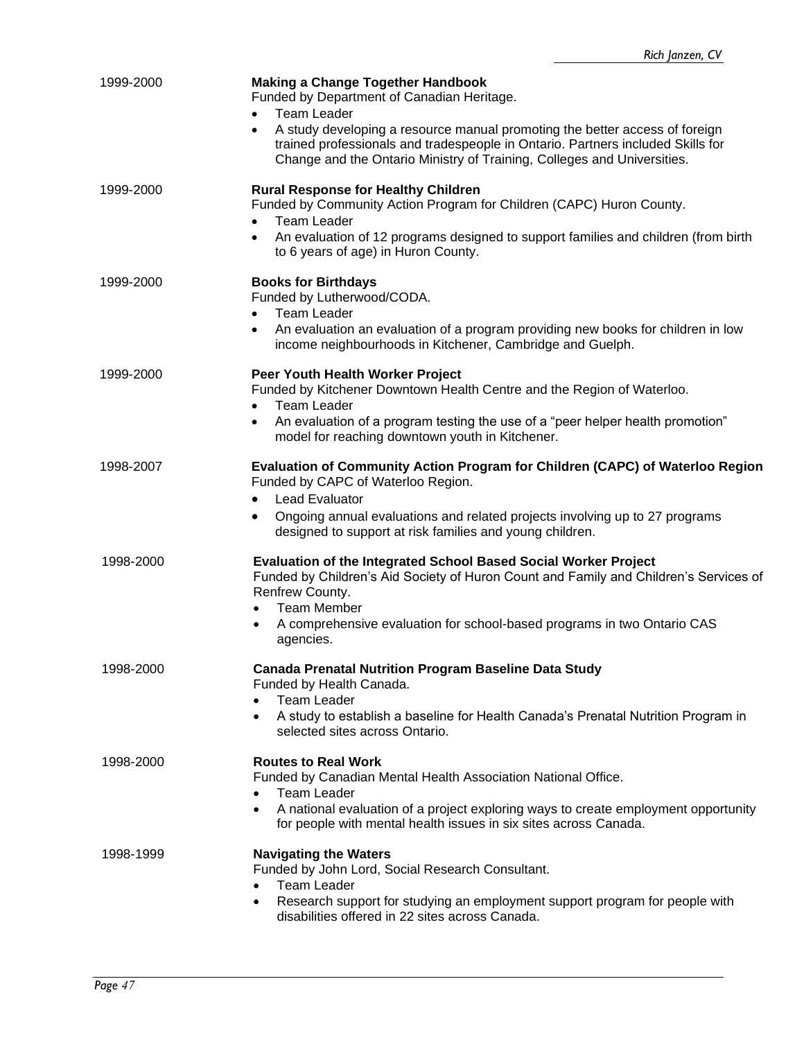| 1999-2000 | <b>Making a Change Together Handbook</b><br>Funded by Department of Canadian Heritage.<br><b>Team Leader</b>                                                                                                                                           |
|-----------|--------------------------------------------------------------------------------------------------------------------------------------------------------------------------------------------------------------------------------------------------------|
|           | A study developing a resource manual promoting the better access of foreign<br>$\bullet$<br>trained professionals and tradespeople in Ontario. Partners included Skills for<br>Change and the Ontario Ministry of Training, Colleges and Universities. |
| 1999-2000 | <b>Rural Response for Healthy Children</b><br>Funded by Community Action Program for Children (CAPC) Huron County.<br><b>Team Leader</b><br>$\bullet$                                                                                                  |
|           | An evaluation of 12 programs designed to support families and children (from birth<br>$\bullet$<br>to 6 years of age) in Huron County.                                                                                                                 |
| 1999-2000 | <b>Books for Birthdays</b><br>Funded by Lutherwood/CODA.<br><b>Team Leader</b><br>$\bullet$                                                                                                                                                            |
|           | An evaluation an evaluation of a program providing new books for children in low<br>$\bullet$<br>income neighbourhoods in Kitchener, Cambridge and Guelph.                                                                                             |
| 1999-2000 | Peer Youth Health Worker Project<br>Funded by Kitchener Downtown Health Centre and the Region of Waterloo.<br><b>Team Leader</b><br>$\bullet$                                                                                                          |
|           | An evaluation of a program testing the use of a "peer helper health promotion"<br>$\bullet$<br>model for reaching downtown youth in Kitchener.                                                                                                         |
| 1998-2007 | Evaluation of Community Action Program for Children (CAPC) of Waterloo Region<br>Funded by CAPC of Waterloo Region.                                                                                                                                    |
|           | <b>Lead Evaluator</b><br>$\bullet$<br>Ongoing annual evaluations and related projects involving up to 27 programs<br>٠<br>designed to support at risk families and young children.                                                                     |
| 1998-2000 | <b>Evaluation of the Integrated School Based Social Worker Project</b><br>Funded by Children's Aid Society of Huron Count and Family and Children's Services of<br>Renfrew County.<br><b>Team Member</b>                                               |
|           | A comprehensive evaluation for school-based programs in two Ontario CAS<br>agencies.                                                                                                                                                                   |
| 1998-2000 | <b>Canada Prenatal Nutrition Program Baseline Data Study</b><br>Funded by Health Canada.                                                                                                                                                               |
|           | <b>Team Leader</b><br>A study to establish a baseline for Health Canada's Prenatal Nutrition Program in<br>$\bullet$<br>selected sites across Ontario.                                                                                                 |
| 1998-2000 | <b>Routes to Real Work</b><br>Funded by Canadian Mental Health Association National Office.                                                                                                                                                            |
|           | <b>Team Leader</b><br>$\bullet$<br>A national evaluation of a project exploring ways to create employment opportunity<br>$\bullet$<br>for people with mental health issues in six sites across Canada.                                                 |
| 1998-1999 | <b>Navigating the Waters</b><br>Funded by John Lord, Social Research Consultant.                                                                                                                                                                       |
|           | <b>Team Leader</b><br>Research support for studying an employment support program for people with<br>$\bullet$<br>disabilities offered in 22 sites across Canada.                                                                                      |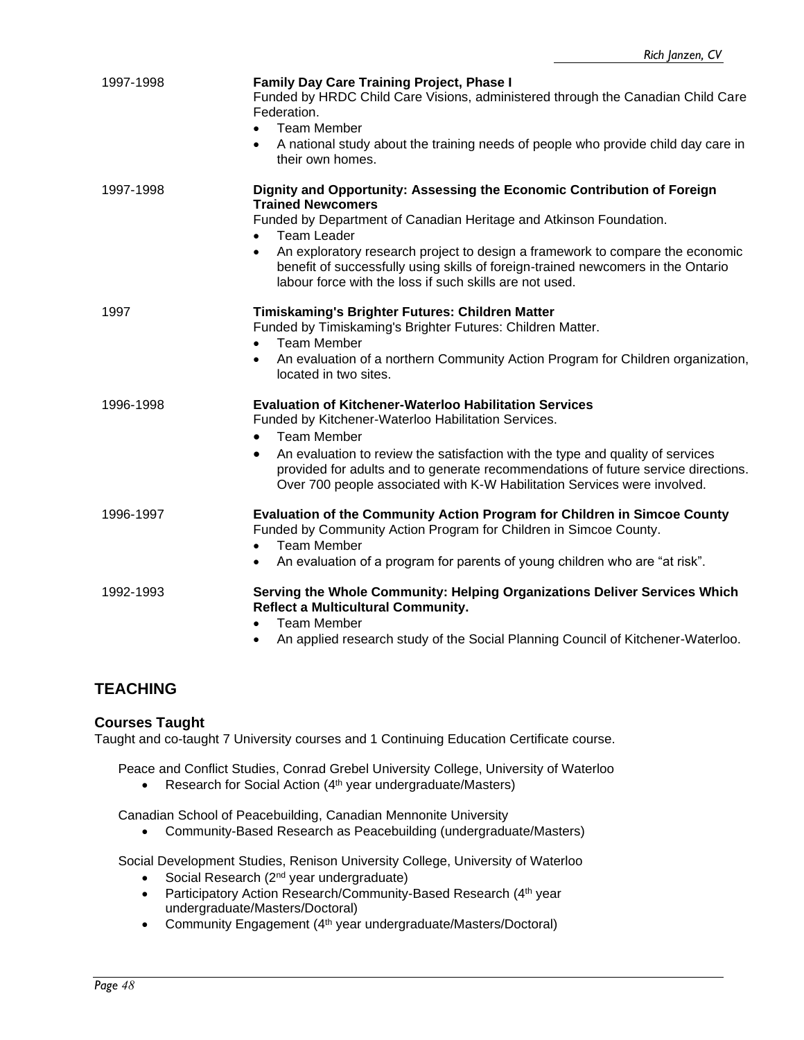| 1997-1998 | <b>Family Day Care Training Project, Phase I</b><br>Funded by HRDC Child Care Visions, administered through the Canadian Child Care<br>Federation.<br><b>Team Member</b><br>A national study about the training needs of people who provide child day care in                                                                                            |
|-----------|----------------------------------------------------------------------------------------------------------------------------------------------------------------------------------------------------------------------------------------------------------------------------------------------------------------------------------------------------------|
|           | their own homes.                                                                                                                                                                                                                                                                                                                                         |
| 1997-1998 | Dignity and Opportunity: Assessing the Economic Contribution of Foreign<br><b>Trained Newcomers</b><br>Funded by Department of Canadian Heritage and Atkinson Foundation.<br><b>Team Leader</b>                                                                                                                                                          |
|           | An exploratory research project to design a framework to compare the economic<br>$\bullet$<br>benefit of successfully using skills of foreign-trained newcomers in the Ontario<br>labour force with the loss if such skills are not used.                                                                                                                |
| 1997      | Timiskaming's Brighter Futures: Children Matter<br>Funded by Timiskaming's Brighter Futures: Children Matter.<br><b>Team Member</b><br>An evaluation of a northern Community Action Program for Children organization,<br>$\bullet$<br>located in two sites.                                                                                             |
| 1996-1998 | <b>Evaluation of Kitchener-Waterloo Habilitation Services</b><br>Funded by Kitchener-Waterloo Habilitation Services.<br><b>Team Member</b><br>$\bullet$<br>An evaluation to review the satisfaction with the type and quality of services<br>$\bullet$<br>provided for adults and to generate recommendations of future service directions.              |
| 1996-1997 | Over 700 people associated with K-W Habilitation Services were involved.<br>Evaluation of the Community Action Program for Children in Simcoe County<br>Funded by Community Action Program for Children in Simcoe County.<br><b>Team Member</b><br>$\bullet$<br>An evaluation of a program for parents of young children who are "at risk".<br>$\bullet$ |
| 1992-1993 | Serving the Whole Community: Helping Organizations Deliver Services Which<br>Reflect a Multicultural Community.<br><b>Team Member</b><br>$\bullet$<br>An applied research study of the Social Planning Council of Kitchener-Waterloo.                                                                                                                    |

## **TEACHING**

## **Courses Taught**

Taught and co-taught 7 University courses and 1 Continuing Education Certificate course.

Peace and Conflict Studies, Conrad Grebel University College, University of Waterloo

• Research for Social Action (4<sup>th</sup> year undergraduate/Masters)

Canadian School of Peacebuilding, Canadian Mennonite University

• Community-Based Research as Peacebuilding (undergraduate/Masters)

Social Development Studies, Renison University College, University of Waterloo

- Social Research (2<sup>nd</sup> year undergraduate)
- Participatory Action Research/Community-Based Research (4th year undergraduate/Masters/Doctoral)
- Community Engagement (4<sup>th</sup> year undergraduate/Masters/Doctoral)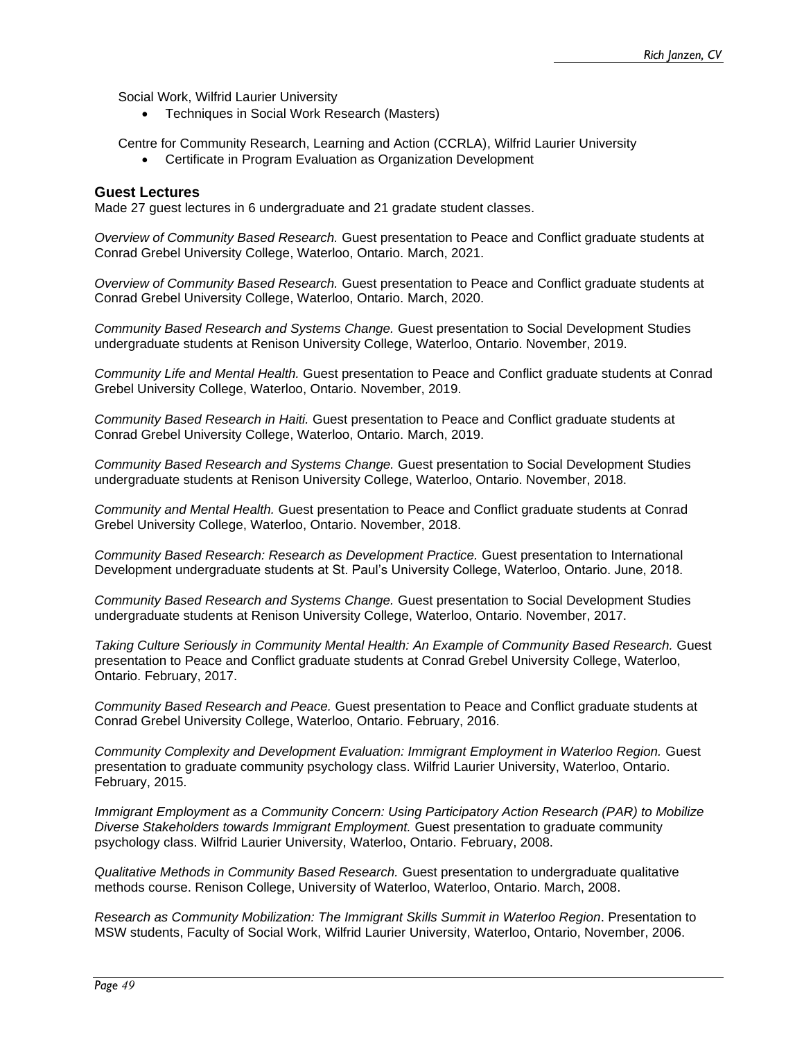Social Work, Wilfrid Laurier University

• Techniques in Social Work Research (Masters)

Centre for Community Research, Learning and Action (CCRLA), Wilfrid Laurier University

• Certificate in Program Evaluation as Organization Development

#### **Guest Lectures**

Made 27 guest lectures in 6 undergraduate and 21 gradate student classes.

*Overview of Community Based Research.* Guest presentation to Peace and Conflict graduate students at Conrad Grebel University College, Waterloo, Ontario. March, 2021.

*Overview of Community Based Research.* Guest presentation to Peace and Conflict graduate students at Conrad Grebel University College, Waterloo, Ontario. March, 2020.

*Community Based Research and Systems Change.* Guest presentation to Social Development Studies undergraduate students at Renison University College, Waterloo, Ontario. November, 2019.

*Community Life and Mental Health.* Guest presentation to Peace and Conflict graduate students at Conrad Grebel University College, Waterloo, Ontario. November, 2019.

*Community Based Research in Haiti.* Guest presentation to Peace and Conflict graduate students at Conrad Grebel University College, Waterloo, Ontario. March, 2019.

*Community Based Research and Systems Change.* Guest presentation to Social Development Studies undergraduate students at Renison University College, Waterloo, Ontario. November, 2018.

*Community and Mental Health.* Guest presentation to Peace and Conflict graduate students at Conrad Grebel University College, Waterloo, Ontario. November, 2018.

*Community Based Research: Research as Development Practice.* Guest presentation to International Development undergraduate students at St. Paul's University College, Waterloo, Ontario. June, 2018.

*Community Based Research and Systems Change.* Guest presentation to Social Development Studies undergraduate students at Renison University College, Waterloo, Ontario. November, 2017.

*Taking Culture Seriously in Community Mental Health: An Example of Community Based Research.* Guest presentation to Peace and Conflict graduate students at Conrad Grebel University College, Waterloo, Ontario. February, 2017.

*Community Based Research and Peace.* Guest presentation to Peace and Conflict graduate students at Conrad Grebel University College, Waterloo, Ontario. February, 2016.

*Community Complexity and Development Evaluation: Immigrant Employment in Waterloo Region.* Guest presentation to graduate community psychology class. Wilfrid Laurier University, Waterloo, Ontario. February, 2015.

*Immigrant Employment as a Community Concern: Using Participatory Action Research (PAR) to Mobilize Diverse Stakeholders towards Immigrant Employment.* Guest presentation to graduate community psychology class. Wilfrid Laurier University, Waterloo, Ontario. February, 2008.

*Qualitative Methods in Community Based Research.* Guest presentation to undergraduate qualitative methods course. Renison College, University of Waterloo, Waterloo, Ontario. March, 2008.

*Research as Community Mobilization: The Immigrant Skills Summit in Waterloo Region*. Presentation to MSW students, Faculty of Social Work, Wilfrid Laurier University, Waterloo, Ontario, November, 2006.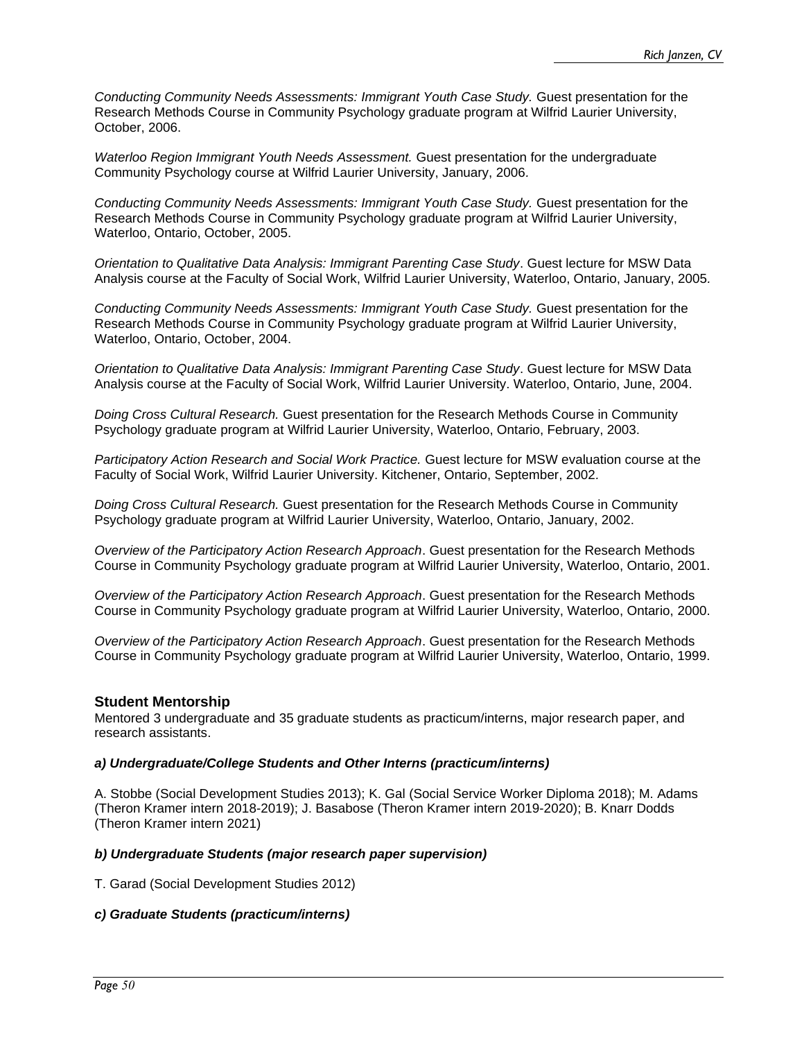*Conducting Community Needs Assessments: Immigrant Youth Case Study.* Guest presentation for the Research Methods Course in Community Psychology graduate program at Wilfrid Laurier University, October, 2006.

*Waterloo Region Immigrant Youth Needs Assessment.* Guest presentation for the undergraduate Community Psychology course at Wilfrid Laurier University, January, 2006*.*

*Conducting Community Needs Assessments: Immigrant Youth Case Study.* Guest presentation for the Research Methods Course in Community Psychology graduate program at Wilfrid Laurier University, Waterloo, Ontario, October, 2005.

*Orientation to Qualitative Data Analysis: Immigrant Parenting Case Study*. Guest lecture for MSW Data Analysis course at the Faculty of Social Work, Wilfrid Laurier University, Waterloo, Ontario, January, 2005*.*

*Conducting Community Needs Assessments: Immigrant Youth Case Study.* Guest presentation for the Research Methods Course in Community Psychology graduate program at Wilfrid Laurier University, Waterloo, Ontario, October, 2004.

*Orientation to Qualitative Data Analysis: Immigrant Parenting Case Study*. Guest lecture for MSW Data Analysis course at the Faculty of Social Work, Wilfrid Laurier University. Waterloo, Ontario, June, 2004*.*

*Doing Cross Cultural Research.* Guest presentation for the Research Methods Course in Community Psychology graduate program at Wilfrid Laurier University, Waterloo, Ontario, February, 2003.

*Participatory Action Research and Social Work Practice.* Guest lecture for MSW evaluation course at the Faculty of Social Work, Wilfrid Laurier University. Kitchener, Ontario, September, 2002*.*

*Doing Cross Cultural Research.* Guest presentation for the Research Methods Course in Community Psychology graduate program at Wilfrid Laurier University, Waterloo, Ontario, January, 2002.

*Overview of the Participatory Action Research Approach*. Guest presentation for the Research Methods Course in Community Psychology graduate program at Wilfrid Laurier University, Waterloo, Ontario, 2001.

*Overview of the Participatory Action Research Approach*. Guest presentation for the Research Methods Course in Community Psychology graduate program at Wilfrid Laurier University, Waterloo, Ontario, 2000.

*Overview of the Participatory Action Research Approach*. Guest presentation for the Research Methods Course in Community Psychology graduate program at Wilfrid Laurier University, Waterloo, Ontario, 1999.

## **Student Mentorship**

Mentored 3 undergraduate and 35 graduate students as practicum/interns, major research paper, and research assistants.

#### *a) Undergraduate/College Students and Other Interns (practicum/interns)*

A. Stobbe (Social Development Studies 2013); K. Gal (Social Service Worker Diploma 2018); M. Adams (Theron Kramer intern 2018-2019); J. Basabose (Theron Kramer intern 2019-2020); B. Knarr Dodds (Theron Kramer intern 2021)

#### *b) Undergraduate Students (major research paper supervision)*

T. Garad (Social Development Studies 2012)

#### *c) Graduate Students (practicum/interns)*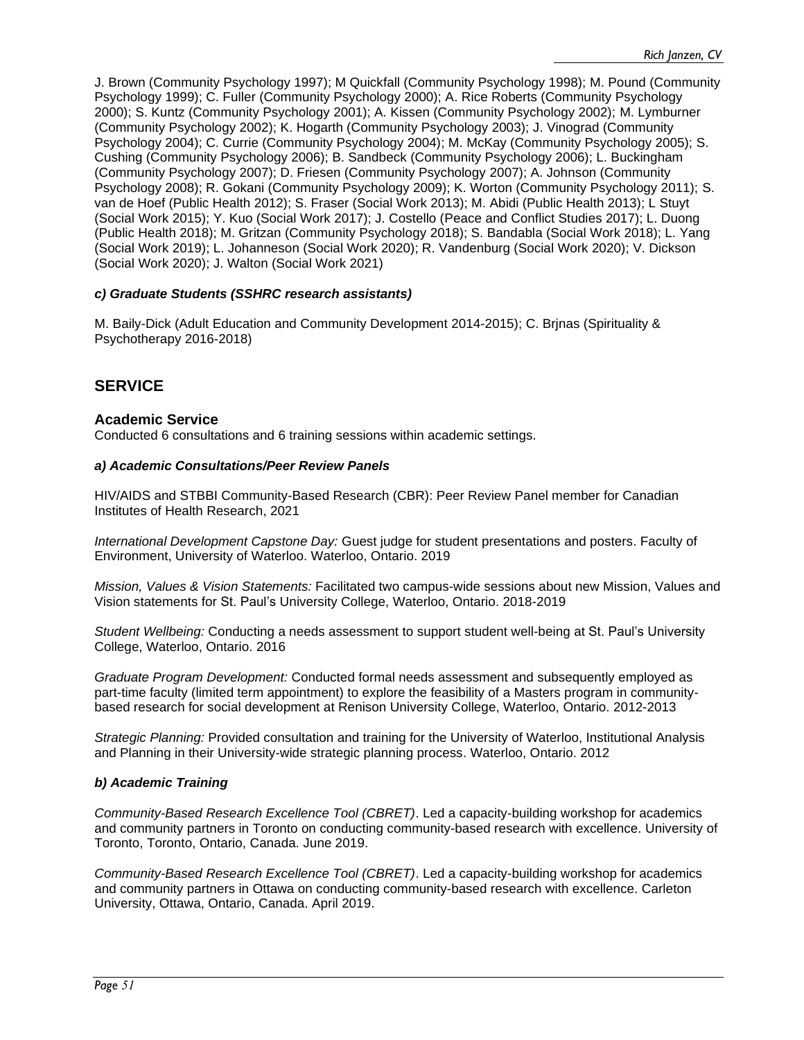J. Brown (Community Psychology 1997); M Quickfall (Community Psychology 1998); M. Pound (Community Psychology 1999); C. Fuller (Community Psychology 2000); A. Rice Roberts (Community Psychology 2000); S. Kuntz (Community Psychology 2001); A. Kissen (Community Psychology 2002); M. Lymburner (Community Psychology 2002); K. Hogarth (Community Psychology 2003); J. Vinograd (Community Psychology 2004); C. Currie (Community Psychology 2004); M. McKay (Community Psychology 2005); S. Cushing (Community Psychology 2006); B. Sandbeck (Community Psychology 2006); L. Buckingham (Community Psychology 2007); D. Friesen (Community Psychology 2007); A. Johnson (Community Psychology 2008); R. Gokani (Community Psychology 2009); K. Worton (Community Psychology 2011); S. van de Hoef (Public Health 2012); S. Fraser (Social Work 2013); M. Abidi (Public Health 2013); L Stuyt (Social Work 2015); Y. Kuo (Social Work 2017); J. Costello (Peace and Conflict Studies 2017); L. Duong (Public Health 2018); M. Gritzan (Community Psychology 2018); S. Bandabla (Social Work 2018); L. Yang (Social Work 2019); L. Johanneson (Social Work 2020); R. Vandenburg (Social Work 2020); V. Dickson (Social Work 2020); J. Walton (Social Work 2021)

#### *c) Graduate Students (SSHRC research assistants)*

M. Baily-Dick (Adult Education and Community Development 2014-2015); C. Brjnas (Spirituality & Psychotherapy 2016-2018)

## **SERVICE**

#### **Academic Service**

Conducted 6 consultations and 6 training sessions within academic settings.

#### *a) Academic Consultations/Peer Review Panels*

HIV/AIDS and STBBI Community-Based Research (CBR): Peer Review Panel member for Canadian Institutes of Health Research, 2021

*International Development Capstone Day:* Guest judge for student presentations and posters. Faculty of Environment, University of Waterloo. Waterloo, Ontario. 2019

*Mission, Values & Vision Statements:* Facilitated two campus-wide sessions about new Mission, Values and Vision statements for St. Paul's University College, Waterloo, Ontario. 2018-2019

*Student Wellbeing:* Conducting a needs assessment to support student well-being at St. Paul's University College, Waterloo, Ontario. 2016

*Graduate Program Development:* Conducted formal needs assessment and subsequently employed as part-time faculty (limited term appointment) to explore the feasibility of a Masters program in communitybased research for social development at Renison University College, Waterloo, Ontario. 2012-2013

*Strategic Planning:* Provided consultation and training for the University of Waterloo, Institutional Analysis and Planning in their University-wide strategic planning process. Waterloo, Ontario. 2012

#### *b) Academic Training*

*Community-Based Research Excellence Tool (CBRET)*. Led a capacity-building workshop for academics and community partners in Toronto on conducting community-based research with excellence. University of Toronto, Toronto, Ontario, Canada. June 2019.

*Community-Based Research Excellence Tool (CBRET)*. Led a capacity-building workshop for academics and community partners in Ottawa on conducting community-based research with excellence. Carleton University, Ottawa, Ontario, Canada. April 2019.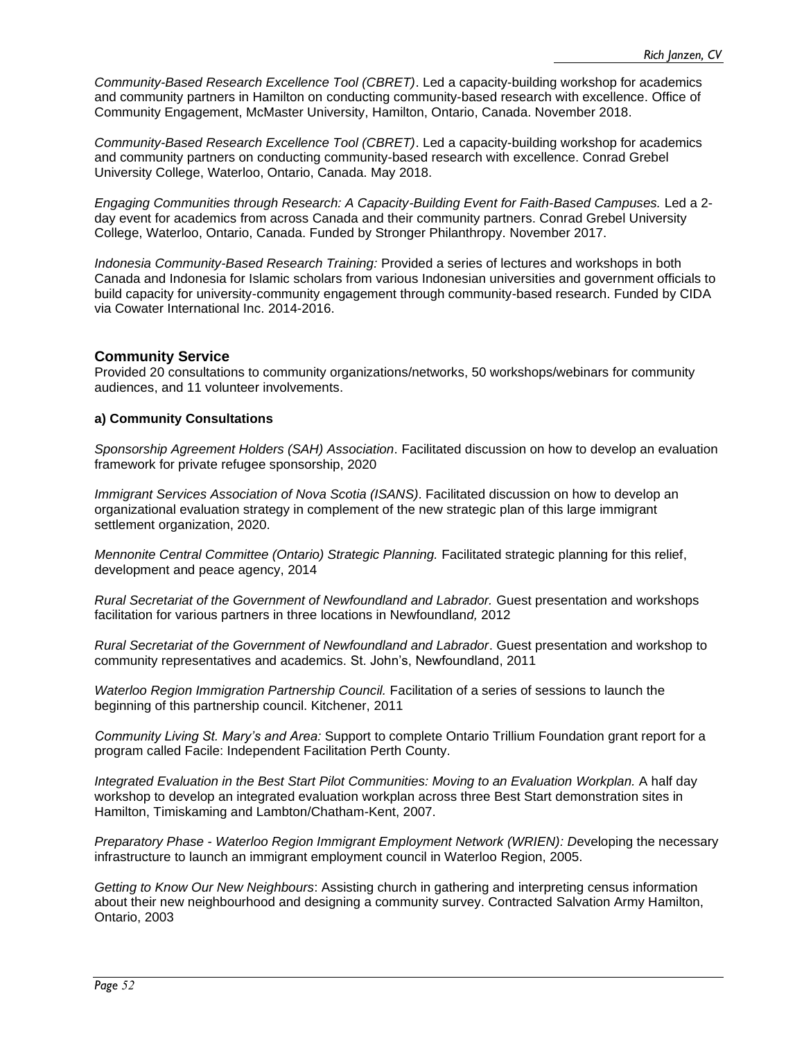*Community-Based Research Excellence Tool (CBRET)*. Led a capacity-building workshop for academics and community partners in Hamilton on conducting community-based research with excellence. Office of Community Engagement, McMaster University, Hamilton, Ontario, Canada. November 2018.

*Community-Based Research Excellence Tool (CBRET)*. Led a capacity-building workshop for academics and community partners on conducting community-based research with excellence. Conrad Grebel University College, Waterloo, Ontario, Canada. May 2018.

*Engaging Communities through Research: A Capacity-Building Event for Faith-Based Campuses.* Led a 2 day event for academics from across Canada and their community partners. Conrad Grebel University College, Waterloo, Ontario, Canada. Funded by Stronger Philanthropy. November 2017.

*Indonesia Community-Based Research Training:* Provided a series of lectures and workshops in both Canada and Indonesia for Islamic scholars from various Indonesian universities and government officials to build capacity for university-community engagement through community-based research. Funded by CIDA via Cowater International Inc. 2014-2016.

## **Community Service**

Provided 20 consultations to community organizations/networks, 50 workshops/webinars for community audiences, and 11 volunteer involvements.

## **a) Community Consultations**

*Sponsorship Agreement Holders (SAH) Association*. Facilitated discussion on how to develop an evaluation framework for private refugee sponsorship, 2020

*Immigrant Services Association of Nova Scotia (ISANS)*. Facilitated discussion on how to develop an organizational evaluation strategy in complement of the new strategic plan of this large immigrant settlement organization, 2020.

*Mennonite Central Committee (Ontario) Strategic Planning.* Facilitated strategic planning for this relief, development and peace agency, 2014

*Rural Secretariat of the Government of Newfoundland and Labrador.* Guest presentation and workshops facilitation for various partners in three locations in Newfoundlan*d,* 2012

*Rural Secretariat of the Government of Newfoundland and Labrador*. Guest presentation and workshop to community representatives and academics. St. John's, Newfoundland, 2011

*Waterloo Region Immigration Partnership Council.* Facilitation of a series of sessions to launch the beginning of this partnership council. Kitchener, 2011

*Community Living St. Mary's and Area:* Support to complete Ontario Trillium Foundation grant report for a program called Facile: Independent Facilitation Perth County.

*Integrated Evaluation in the Best Start Pilot Communities: Moving to an Evaluation Workplan.* A half day workshop to develop an integrated evaluation workplan across three Best Start demonstration sites in Hamilton, Timiskaming and Lambton/Chatham-Kent, 2007.

*Preparatory Phase - Waterloo Region Immigrant Employment Network (WRIEN): D*eveloping the necessary infrastructure to launch an immigrant employment council in Waterloo Region, 2005.

*Getting to Know Our New Neighbours*: Assisting church in gathering and interpreting census information about their new neighbourhood and designing a community survey. Contracted Salvation Army Hamilton, Ontario, 2003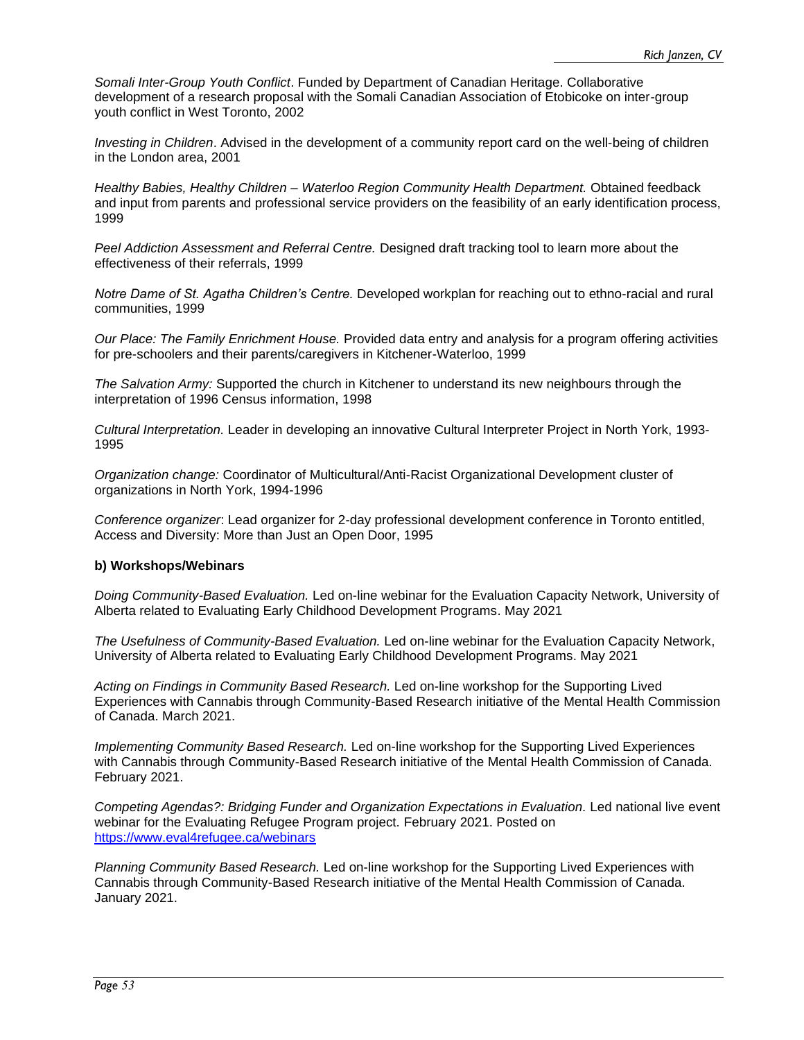*Somali Inter-Group Youth Conflict*. Funded by Department of Canadian Heritage. Collaborative development of a research proposal with the Somali Canadian Association of Etobicoke on inter-group youth conflict in West Toronto, 2002

*Investing in Children*. Advised in the development of a community report card on the well-being of children in the London area, 2001

*Healthy Babies, Healthy Children – Waterloo Region Community Health Department.* Obtained feedback and input from parents and professional service providers on the feasibility of an early identification process, 1999

*Peel Addiction Assessment and Referral Centre.* Designed draft tracking tool to learn more about the effectiveness of their referrals, 1999

*Notre Dame of St. Agatha Children's Centre.* Developed workplan for reaching out to ethno-racial and rural communities, 1999

*Our Place: The Family Enrichment House.* Provided data entry and analysis for a program offering activities for pre-schoolers and their parents/caregivers in Kitchener-Waterloo, 1999

*The Salvation Army:* Supported the church in Kitchener to understand its new neighbours through the interpretation of 1996 Census information, 1998

*Cultural Interpretation.* Leader in developing an innovative Cultural Interpreter Project in North York, 1993- 1995

*Organization change:* Coordinator of Multicultural/Anti-Racist Organizational Development cluster of organizations in North York, 1994-1996

*Conference organizer*: Lead organizer for 2-day professional development conference in Toronto entitled, Access and Diversity: More than Just an Open Door, 1995

#### **b) Workshops/Webinars**

*Doing Community-Based Evaluation.* Led on-line webinar for the Evaluation Capacity Network, University of Alberta related to Evaluating Early Childhood Development Programs. May 2021

*The Usefulness of Community-Based Evaluation.* Led on-line webinar for the Evaluation Capacity Network, University of Alberta related to Evaluating Early Childhood Development Programs. May 2021

*Acting on Findings in Community Based Research.* Led on-line workshop for the Supporting Lived Experiences with Cannabis through Community-Based Research initiative of the Mental Health Commission of Canada. March 2021.

*Implementing Community Based Research.* Led on-line workshop for the Supporting Lived Experiences with Cannabis through Community-Based Research initiative of the Mental Health Commission of Canada. February 2021.

*Competing Agendas?: Bridging Funder and Organization Expectations in Evaluation.* Led national live event webinar for the Evaluating Refugee Program project. February 2021. Posted on <https://www.eval4refugee.ca/webinars>

*Planning Community Based Research.* Led on-line workshop for the Supporting Lived Experiences with Cannabis through Community-Based Research initiative of the Mental Health Commission of Canada. January 2021.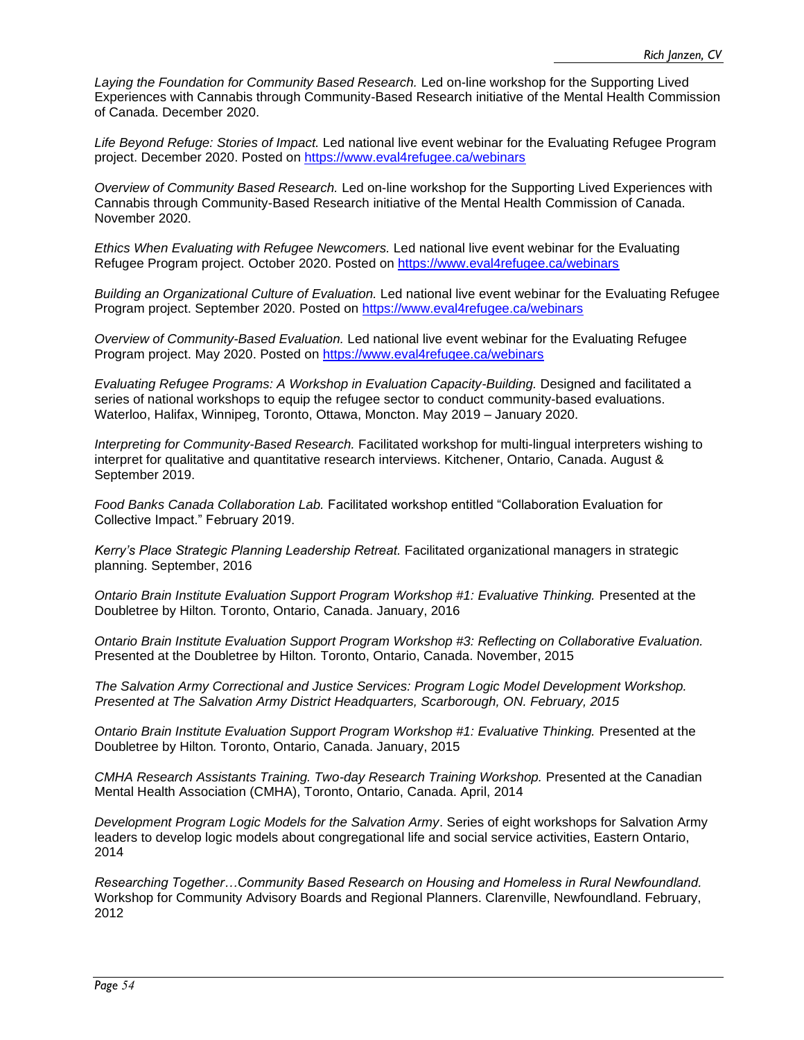Laying the Foundation for Community Based Research. Led on-line workshop for the Supporting Lived Experiences with Cannabis through Community-Based Research initiative of the Mental Health Commission of Canada. December 2020.

*Life Beyond Refuge: Stories of Impact.* Led national live event webinar for the Evaluating Refugee Program project. December 2020. Posted on<https://www.eval4refugee.ca/webinars>

*Overview of Community Based Research.* Led on-line workshop for the Supporting Lived Experiences with Cannabis through Community-Based Research initiative of the Mental Health Commission of Canada. November 2020.

*Ethics When Evaluating with Refugee Newcomers.* Led national live event webinar for the Evaluating Refugee Program project. October 2020. Posted on<https://www.eval4refugee.ca/webinars>

*Building an Organizational Culture of Evaluation.* Led national live event webinar for the Evaluating Refugee Program project. September 2020. Posted on<https://www.eval4refugee.ca/webinars>

*Overview of Community-Based Evaluation.* Led national live event webinar for the Evaluating Refugee Program project. May 2020. Posted on<https://www.eval4refugee.ca/webinars>

*Evaluating Refugee Programs: A Workshop in Evaluation Capacity-Building.* Designed and facilitated a series of national workshops to equip the refugee sector to conduct community-based evaluations. Waterloo, Halifax, Winnipeg, Toronto, Ottawa, Moncton. May 2019 – January 2020.

*Interpreting for Community-Based Research.* Facilitated workshop for multi-lingual interpreters wishing to interpret for qualitative and quantitative research interviews. Kitchener, Ontario, Canada. August & September 2019.

*Food Banks Canada Collaboration Lab.* Facilitated workshop entitled "Collaboration Evaluation for Collective Impact." February 2019.

*Kerry's Place Strategic Planning Leadership Retreat.* Facilitated organizational managers in strategic planning. September, 2016

*Ontario Brain Institute Evaluation Support Program Workshop #1: Evaluative Thinking.* Presented at the Doubletree by Hilton*.* Toronto, Ontario, Canada. January, 2016

*Ontario Brain Institute Evaluation Support Program Workshop #3: Reflecting on Collaborative Evaluation.*  Presented at the Doubletree by Hilton*.* Toronto, Ontario, Canada. November, 2015

*The Salvation Army Correctional and Justice Services: Program Logic Model Development Workshop. Presented at The Salvation Army District Headquarters, Scarborough, ON. February, 2015*

*Ontario Brain Institute Evaluation Support Program Workshop #1: Evaluative Thinking. Presented at the* Doubletree by Hilton*.* Toronto, Ontario, Canada. January, 2015

*CMHA Research Assistants Training. Two-day Research Training Workshop.* Presented at the Canadian Mental Health Association (CMHA), Toronto, Ontario, Canada. April, 2014

*Development Program Logic Models for the Salvation Army*. Series of eight workshops for Salvation Army leaders to develop logic models about congregational life and social service activities, Eastern Ontario, 2014

*Researching Together…Community Based Research on Housing and Homeless in Rural Newfoundland.* Workshop for Community Advisory Boards and Regional Planners. Clarenville, Newfoundland. February, 2012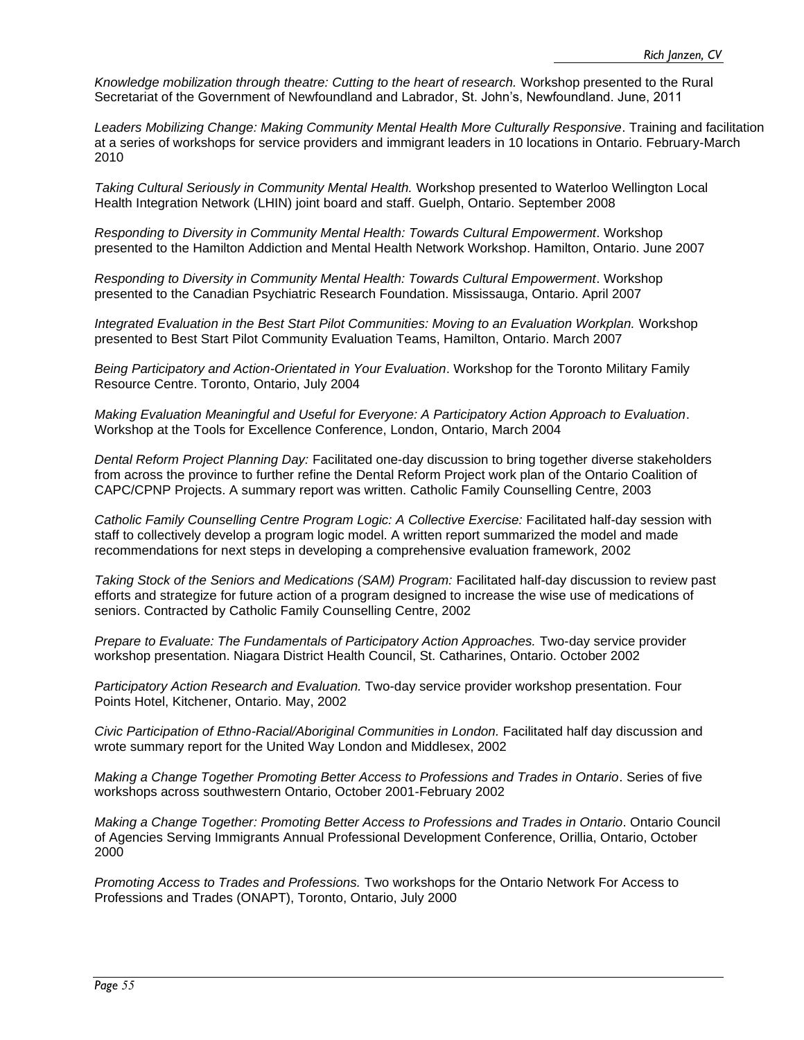*Knowledge mobilization through theatre: Cutting to the heart of research.* Workshop presented to the Rural Secretariat of the Government of Newfoundland and Labrador, St. John's, Newfoundland. June, 2011

*Leaders Mobilizing Change: Making Community Mental Health More Culturally Responsive*. Training and facilitation at a series of workshops for service providers and immigrant leaders in 10 locations in Ontario. February-March 2010

*Taking Cultural Seriously in Community Mental Health.* Workshop presented to Waterloo Wellington Local Health Integration Network (LHIN) joint board and staff. Guelph, Ontario. September 2008

*Responding to Diversity in Community Mental Health: Towards Cultural Empowerment*. Workshop presented to the Hamilton Addiction and Mental Health Network Workshop. Hamilton, Ontario. June 2007

*Responding to Diversity in Community Mental Health: Towards Cultural Empowerment*. Workshop presented to the Canadian Psychiatric Research Foundation. Mississauga, Ontario. April 2007

*Integrated Evaluation in the Best Start Pilot Communities: Moving to an Evaluation Workplan.* Workshop presented to Best Start Pilot Community Evaluation Teams, Hamilton, Ontario. March 2007

*Being Participatory and Action-Orientated in Your Evaluation*. Workshop for the Toronto Military Family Resource Centre. Toronto, Ontario, July 2004

*Making Evaluation Meaningful and Useful for Everyone: A Participatory Action Approach to Evaluation*. Workshop at the Tools for Excellence Conference, London, Ontario, March 2004

*Dental Reform Project Planning Day:* Facilitated one-day discussion to bring together diverse stakeholders from across the province to further refine the Dental Reform Project work plan of the Ontario Coalition of CAPC/CPNP Projects. A summary report was written. Catholic Family Counselling Centre, 2003

*Catholic Family Counselling Centre Program Logic: A Collective Exercise:* Facilitated half-day session with staff to collectively develop a program logic model. A written report summarized the model and made recommendations for next steps in developing a comprehensive evaluation framework, 2002

*Taking Stock of the Seniors and Medications (SAM) Program:* Facilitated half-day discussion to review past efforts and strategize for future action of a program designed to increase the wise use of medications of seniors. Contracted by Catholic Family Counselling Centre, 2002

*Prepare to Evaluate: The Fundamentals of Participatory Action Approaches.* Two-day service provider workshop presentation. Niagara District Health Council, St. Catharines, Ontario. October 2002

*Participatory Action Research and Evaluation.* Two-day service provider workshop presentation. Four Points Hotel, Kitchener, Ontario. May, 2002

*Civic Participation of Ethno-Racial/Aboriginal Communities in London.* Facilitated half day discussion and wrote summary report for the United Way London and Middlesex, 2002

*Making a Change Together Promoting Better Access to Professions and Trades in Ontario*. Series of five workshops across southwestern Ontario, October 2001-February 2002

*Making a Change Together: Promoting Better Access to Professions and Trades in Ontario*. Ontario Council of Agencies Serving Immigrants Annual Professional Development Conference, Orillia, Ontario, October 2000

*Promoting Access to Trades and Professions.* Two workshops for the Ontario Network For Access to Professions and Trades (ONAPT), Toronto, Ontario, July 2000